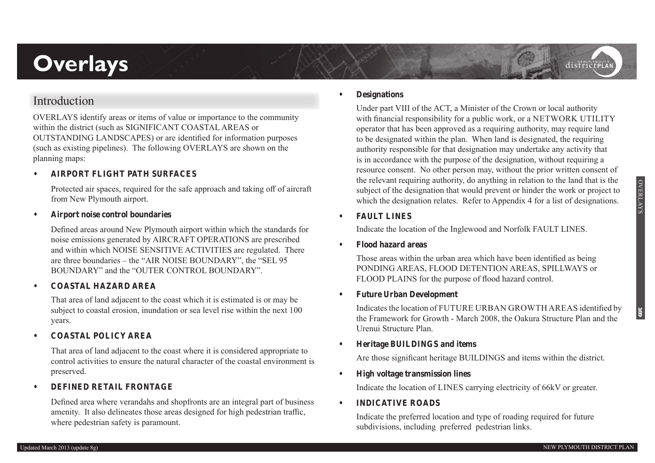# **Overlays**

# **Introduction**

OVERLAYS identify areas or items of value or importance to the community within the district (such as SIGNIFICANT COASTAL AREAS or OUTSTANDING LANDSCAPES) or are identified for information purposes (such as existing pipelines). The following OVERLAYS are shown on the planning maps:

# **• AIRPORT FLIGHT PATH SURFACES**

Protected air spaces, required for the safe approach and taking off of aircraft from New Plymouth airport.

**• Airport noise control boundaries**

Defined areas around New Plymouth airport within which the standards for noise emissions generated by AIRCRAFT OPERATIONS are prescribed and within which NOISE SENSITIVE ACTIVITIES are regulated. There are three boundaries – the "AIR NOISE BOUNDARY", the "SEL 95 BOUNDARY" and the "OUTER CONTROL BOUNDARY".

**• COASTAL HAZARD AREA**

That area of land adjacent to the coast which it is estimated is or may be subject to coastal erosion, inundation or sea level rise within the next 100 years.

**• COASTAL POLICY AREA**

That area of land adjacent to the coast where it is considered appropriate to control activities to ensure the natural character of the coastal environment is preserved.

### **• DEFINED RETAIL FRONTAGE**

Defined area where verandahs and shopfronts are an integral part of business amenity. It also delineates those areas designed for high pedestrian traffic, where pedestrian safety is paramount.

#### **• Designations**

Under part VIII of the ACT, a Minister of the Crown or local authority with financial responsibility for a public work, or a NETWORK UTILITY operator that has been approved as a requiring authority, may require land to be designated within the plan. When land is designated, the requiring authority responsible for that designation may undertake any activity that is in accordance with the purpose of the designation, without requiring a resource consent. No other person may, without the prior written consent of the relevant requiring authority, do anything in relation to the land that is the subject of the designation that would prevent or hinder the work or project to which the designation relates. Refer to Appendix 4 for a list of designations.

### **• FAULT LINES**

Indicate the location of the Inglewood and Norfolk FAULT LINES.

**• Flood hazard areas**

Those areas within the urban area which have been identified as being PONDING AREAS, FLOOD DETENTION AREAS, SPILLWAYS or FLOOD PLAINS for the purpose of flood hazard control.

**• Future Urban Development**

Indicates the location of FUTURE URBAN GROWTH AREAS identified by the Framework for Growth - March 2008, the Oakura Structure Plan and the Urenui Structure Plan.

**• Heritage BUILDINGS and items**

Are those significant heritage BUILDINGS and items within the district.

**• High voltage transmission lines**

Indicate the location of LINES carrying electricity of 66kV or greater.

**• INDICATIVE ROADS**

Indicate the preferred location and type of roading required for future subdivisions, including preferred pedestrian links.

districtPLA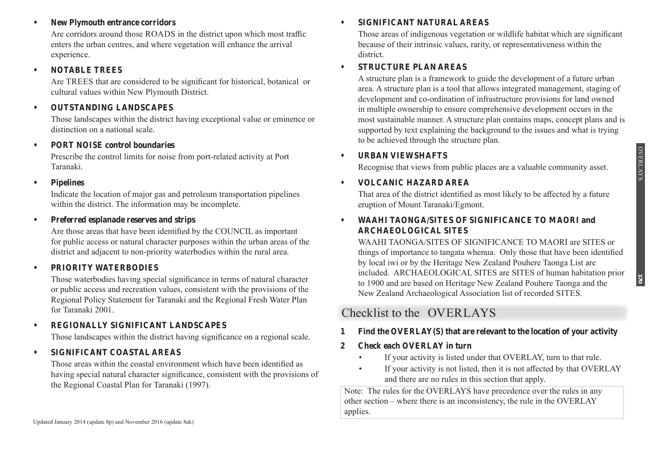### **• New Plymouth entrance corridors**

Are corridors around those ROADS in the district upon which most traffic enters the urban centres, and where vegetation will enhance the arrival experience.

## **• NOTABLE TREES**

Are TREES that are considered to be significant for historical, botanical or cultural values within New Plymouth District.

# **• OUTSTANDING LANDSCAPES**

Those landscapes within the district having exceptional value or eminence or distinction on a national scale.

# **• PORT NOISE control boundaries**

Prescribe the control limits for noise from port-related activity at Port Taranaki.

## **• Pipelines**

Indicate the location of major gas and petroleum transportation pipelines within the district. The information may be incomplete.

# **• Preferred esplanade reserves and strips**

Are those areas that have been identified by the COUNCIL as important for public access or natural character purposes within the urban areas of the district and adjacent to non-priority waterbodies within the rural area.

# **• PRIORITY WATERBODIES**

Those waterbodies having special significance in terms of natural character or public access and recreation values, consistent with the provisions of the Regional Policy Statement for Taranaki and the Regional Fresh Water Plan for Taranaki 2001.

# **• REGIONALLY SIGNIFICANT LANDSCAPES**

Those landscapes within the district having significance on a regional scale.

# **• SIGNIFICANT COASTAL AREAS**

Those areas within the coastal environment which have been identified as having special natural character significance, consistent with the provisions of the Regional Coastal Plan for Taranaki (1997).

#### Updated January 2014 (update 8p) and November 2016 (update 8ak)

## **• SIGNIFICANT NATURAL AREAS**

Those areas of indigenous vegetation or wildlife habitat which are significant because of their intrinsic values, rarity, or representativeness within the district.

# **• STRUCTURE PLAN AREAS**

A structure plan is a framework to guide the development of a future urban area. A structure plan is a tool that allows integrated management, staging of development and co-ordination of infrastructure provisions for land owned in multiple ownership to ensure comprehensive development occurs in the most sustainable manner. A structure plan contains maps, concept plans and is supported by text explaining the background to the issues and what is trying to be achieved through the structure plan.

# **• URBAN VIEWSHAFTS**

Recognise that views from public places are a valuable community asset.

# **• VOLCANIC HAZARD AREA**

That area of the district identified as most likely to be affected by a future eruption of Mount Taranaki/Egmont.

# **• WAAHI TAONGA/SITES OF SIGNIFICANCE TO MAORI and ARCHAEOLOGICAL SITES**

WAAHI TAONGA/SITES OF SIGNIFICANCE TO MAORI are SITES or things of importance to tangata whenua. Only those that have been identified by local iwi or by the Heritage New Zealand Pouhere Taonga List are included. ARCHAEOLOGICAL SITES are SITES of human habitation prior to 1900 and are based on Heritage New Zealand Pouhere Taonga and the New Zealand Archaeological Association list of recorded SITES.

# **Checklist to the OVERLAYS**

# **1 Find the OVERLAY(S) that are relevant to the location of your activity**

# **2 Check each OVERLAY in turn**

- If your activity is listed under that OVERLAY, turn to that rule.
- If your activity is not listed, then it is not affected by that OVERLAY and there are no rules in this section that apply.

Note: The rules for the OVERLAYS have precedence over the rules in any other section – where there is an inconsistency, the rule in the OVERLAY applies.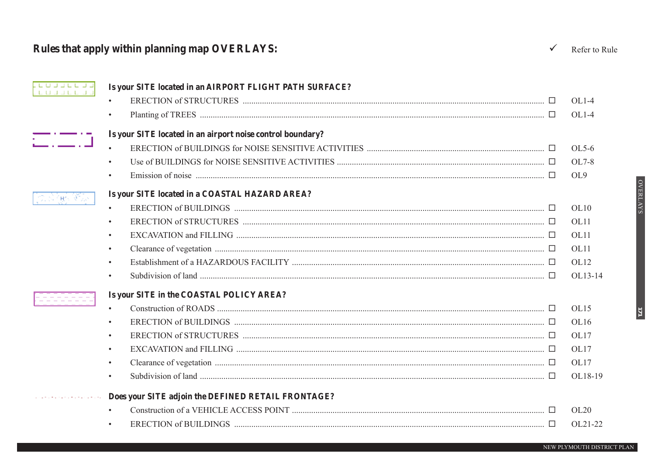# Rules that apply within planning map OVERLAYS:

| <u>. LUUULLUU</u><br>. L'OG JE L'OG | Is your SITE located in an AIRPORT FLIGHT PATH SURFACE?                                                                                                                                                                       |         |
|-------------------------------------|-------------------------------------------------------------------------------------------------------------------------------------------------------------------------------------------------------------------------------|---------|
|                                     |                                                                                                                                                                                                                               | $OL1-4$ |
|                                     | $\bullet$                                                                                                                                                                                                                     | $OL1-4$ |
|                                     | Is your SITE located in an airport noise control boundary?                                                                                                                                                                    |         |
|                                     | $\bullet$                                                                                                                                                                                                                     | OL5-6   |
|                                     | $\bullet$                                                                                                                                                                                                                     | OL7-8   |
|                                     | $\bullet$                                                                                                                                                                                                                     | OL9     |
| のぶ (動詞を)                            | Is your SITE located in a COASTAL HAZARD AREA?                                                                                                                                                                                |         |
|                                     | $\bullet$                                                                                                                                                                                                                     | OL10    |
|                                     | $\bullet$                                                                                                                                                                                                                     | OL11    |
|                                     | $\bullet$                                                                                                                                                                                                                     | OL11    |
|                                     | $\bullet$                                                                                                                                                                                                                     | OL11    |
|                                     | $\bullet$                                                                                                                                                                                                                     | OL12    |
|                                     | Subdivision of land $\ldots$ $\ldots$ $\ldots$ $\ldots$ $\ldots$ $\ldots$ $\ldots$ $\ldots$ $\ldots$ $\ldots$ $\ldots$ $\ldots$ $\ldots$ $\ldots$ $\ldots$ $\ldots$ $\ldots$ $\ldots$ $\ldots$ $\ldots$ $\ldots$<br>$\bullet$ | OL13-14 |
|                                     | Is your SITE in the COASTAL POLICY AREA?                                                                                                                                                                                      |         |
|                                     |                                                                                                                                                                                                                               | OL15    |
|                                     | $\bullet$                                                                                                                                                                                                                     | OL16    |
|                                     | $\bullet$                                                                                                                                                                                                                     | OL17    |
|                                     | $\bullet$                                                                                                                                                                                                                     | OL17    |
|                                     | $\bullet$                                                                                                                                                                                                                     | OL17    |
|                                     | Subdivision of land $\ldots$ $\ldots$ $\ldots$ $\ldots$ $\ldots$ $\ldots$ $\ldots$ $\ldots$ $\ldots$ $\ldots$ $\ldots$ $\ldots$ $\ldots$ $\ldots$ $\ldots$ $\ldots$ $\ldots$ $\ldots$ $\ldots$<br>$\bullet$                   | OL18-19 |
|                                     | Does your SITE adjoin the DEFINED RETAIL FRONTAGE?                                                                                                                                                                            |         |
|                                     | $\bullet$                                                                                                                                                                                                                     | OL20    |
|                                     |                                                                                                                                                                                                                               | OL21-22 |
|                                     |                                                                                                                                                                                                                               |         |

NEW PLYMOUTH DISTRICT PLAN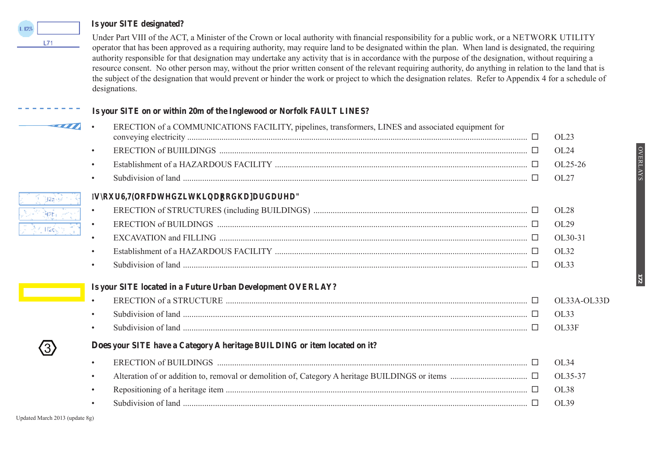#### **Is your SITE designated?**



#### **Is your SITE on or within 20m of the Inglewood or Norfolk FAULT LINES?**

| ----- |           | ERECTION of a COMMUNICATIONS FACILITY, pipelines, transformers, LINES and associated equipment for                                                                                                                        | OL23        |
|-------|-----------|---------------------------------------------------------------------------------------------------------------------------------------------------------------------------------------------------------------------------|-------------|
|       | $\bullet$ |                                                                                                                                                                                                                           | OL24        |
|       | $\bullet$ |                                                                                                                                                                                                                           | OL25-26     |
|       | $\bullet$ | Subdivision of land $\ldots$ $\ldots$ $\ldots$ $\ldots$ $\ldots$ $\ldots$ $\ldots$ $\ldots$ $\ldots$ $\ldots$ $\ldots$ $\ldots$ $\ldots$ $\ldots$ $\ldots$ $\ldots$ $\ldots$ $\ldots$ $\ldots$ $\ldots$ $\ldots$ $\ldots$ | OL27        |
|       |           | Is your SITE located within a flood hazard area?                                                                                                                                                                          |             |
|       | $\bullet$ |                                                                                                                                                                                                                           | OL28        |
|       | $\bullet$ |                                                                                                                                                                                                                           | OL29        |
|       | $\bullet$ |                                                                                                                                                                                                                           | OL30-31     |
|       | $\bullet$ |                                                                                                                                                                                                                           | OL32        |
|       | $\bullet$ | Subdivision of land $\ldots$ $\ldots$ $\ldots$ $\ldots$ $\ldots$ $\ldots$ $\ldots$ $\ldots$ $\ldots$ $\ldots$ $\ldots$ $\ldots$ $\ldots$ $\ldots$ $\ldots$ $\ldots$ $\ldots$ $\ldots$                                     | OL33        |
|       |           | Is your SITE located in a Future Urban Development OVERLAY?                                                                                                                                                               |             |
|       |           |                                                                                                                                                                                                                           | OL33A-OL33D |
|       | $\bullet$ |                                                                                                                                                                                                                           | OL33        |
|       |           | Subdivision of land $\ldots$ $\ldots$ $\ldots$ $\ldots$ $\ldots$ $\ldots$ $\ldots$ $\ldots$ $\ldots$ $\ldots$ $\ldots$ $\ldots$ $\ldots$ $\ldots$ $\ldots$ $\ldots$ $\ldots$ $\ldots$                                     | OL33F       |
|       |           | Does your SITE have a Category A heritage BUILDING or item located on it?                                                                                                                                                 |             |
|       |           |                                                                                                                                                                                                                           | OL34        |
|       | $\bullet$ |                                                                                                                                                                                                                           | OL35-37     |
|       | $\bullet$ |                                                                                                                                                                                                                           | OL38        |
|       |           |                                                                                                                                                                                                                           |             |
|       |           | Subdivision of land $\ldots$ $\ldots$ $\ldots$ $\ldots$ $\ldots$ $\ldots$ $\ldots$ $\ldots$ $\ldots$ $\ldots$ $\ldots$ $\ldots$ $\ldots$ $\ldots$ $\ldots$ $\ldots$ $\ldots$ $\ldots$ $\ldots$                            | OL39        |

**172**

 $L71$ 

فرادة 192 tàse.

⊻ H2ó

 $\left< \overline{\text{3}} \right>$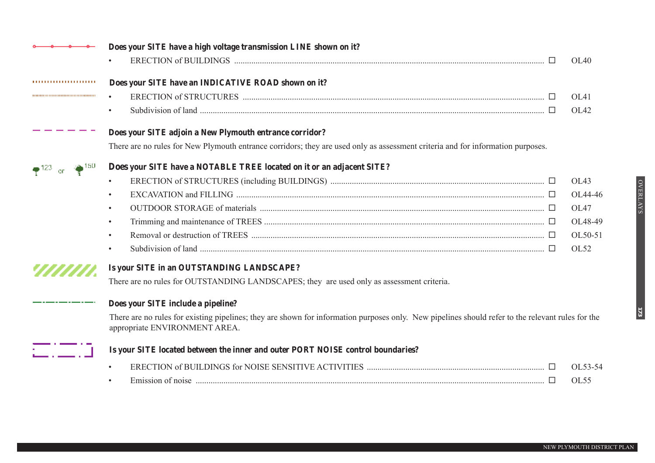|                                       | Does your SITE have a high voltage transmission LINE shown on it?                                                                                                                     |             |
|---------------------------------------|---------------------------------------------------------------------------------------------------------------------------------------------------------------------------------------|-------------|
|                                       |                                                                                                                                                                                       | OL40        |
|                                       | Does your SITE have an INDICATIVE ROAD shown on it?                                                                                                                                   |             |
| ,,,,,,,,,,,,,,,,,,,,,,,,,,,,,,,,,,,,, |                                                                                                                                                                                       | OL41        |
|                                       | Subdivision of land $\ldots$ $\ldots$ $\ldots$ $\ldots$ $\ldots$ $\ldots$ $\ldots$ $\ldots$ $\ldots$ $\ldots$ $\ldots$ $\ldots$ $\ldots$ $\ldots$ $\ldots$ $\ldots$ $\ldots$ $\ldots$ | OL42        |
|                                       | Does your SITE adjoin a New Plymouth entrance corridor?                                                                                                                               |             |
|                                       | There are no rules for New Plymouth entrance corridors; they are used only as assessment criteria and for information purposes.                                                       |             |
| . 150                                 | Does your SITE have a NOTABLE TREE located on it or an adjacent SITE?                                                                                                                 |             |
|                                       |                                                                                                                                                                                       | OL43        |
|                                       |                                                                                                                                                                                       | OL44-46     |
|                                       |                                                                                                                                                                                       | OL47        |
|                                       | $\bullet$                                                                                                                                                                             | OL48-49     |
|                                       |                                                                                                                                                                                       | OL50-51     |
|                                       | Subdivision of land $\ldots$ $\ldots$ $\ldots$ $\ldots$ $\ldots$ $\ldots$ $\ldots$ $\ldots$ $\ldots$ $\ldots$ $\ldots$ $\ldots$ $\ldots$ $\ldots$ $\ldots$ $\ldots$ $\ldots$ $\ldots$ | OL52        |
|                                       | Is your SITE in an OUTSTANDING LANDSCAPE?                                                                                                                                             |             |
|                                       | There are no rules for OUTSTANDING LANDSCAPES; they are used only as assessment criteria.                                                                                             |             |
|                                       | Does your SITE include a pipeline?                                                                                                                                                    |             |
|                                       | There are no rules for existing pipelines; they are shown for information purposes only. New pipelines should refer to the relevant rules for the<br>appropriate ENVIRONMENT AREA.    |             |
|                                       | Is your SITE located between the inner and outer PORT NOISE control boundaries?                                                                                                       |             |
|                                       |                                                                                                                                                                                       | OL53-54     |
|                                       |                                                                                                                                                                                       | <b>OL55</b> |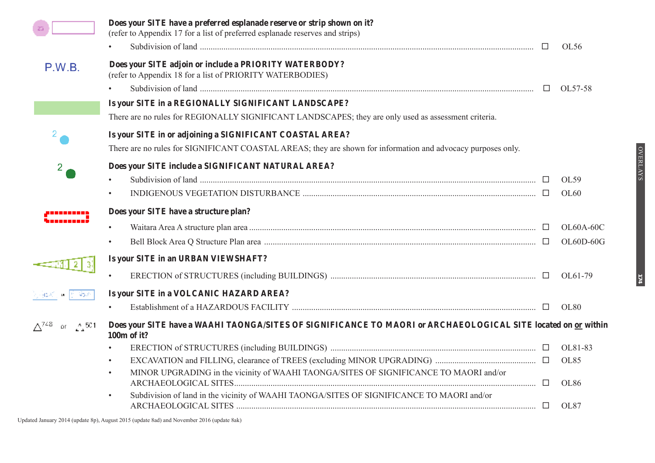|                                 | Does your SITE have a preferred esplanade reserve or strip shown on it?<br>(refer to Appendix 17 for a list of preferred esplanade reserves and strips)                                        | $\Box$ | OL56        |
|---------------------------------|------------------------------------------------------------------------------------------------------------------------------------------------------------------------------------------------|--------|-------------|
| P.W.B.                          | Does your SITE adjoin or include a PRIORITY WATERBODY?<br>(refer to Appendix 18 for a list of PRIORITY WATERBODIES)                                                                            |        |             |
|                                 |                                                                                                                                                                                                | $\Box$ | OL57-58     |
|                                 | Is your SITE in a REGIONALLY SIGNIFICANT LANDSCAPE?                                                                                                                                            |        |             |
|                                 | There are no rules for REGIONALLY SIGNIFICANT LANDSCAPES; they are only used as assessment criteria.                                                                                           |        |             |
|                                 | Is your SITE in or adjoining a SIGNIFICANT COASTAL AREA?                                                                                                                                       |        |             |
|                                 | There are no rules for SIGNIFICANT COASTAL AREAS; they are shown for information and advocacy purposes only.                                                                                   |        |             |
| $\mathbf{2}^{\prime}$           | Does your SITE include a SIGNIFICANT NATURAL AREA?                                                                                                                                             |        |             |
|                                 | Subdivision of land $\ldots$ $\ldots$ $\ldots$ $\ldots$ $\ldots$ $\ldots$ $\ldots$ $\ldots$ $\ldots$ $\ldots$ $\ldots$ $\ldots$ $\ldots$ $\ldots$ $\ldots$ $\ldots$ $\ldots$ $\ldots$ $\ldots$ |        | OL59        |
|                                 |                                                                                                                                                                                                |        | OL60        |
|                                 | Does your SITE have a structure plan?                                                                                                                                                          |        |             |
|                                 |                                                                                                                                                                                                |        | OL60A-60C   |
|                                 | $\bullet$                                                                                                                                                                                      |        | OL60D-60G   |
|                                 | Is your SITE in an URBAN VIEWSHAFT?                                                                                                                                                            |        |             |
|                                 |                                                                                                                                                                                                |        | OL61-79     |
|                                 | Is your SITE in a VOLCANIC HAZARD AREA?                                                                                                                                                        |        |             |
|                                 |                                                                                                                                                                                                |        | <b>OL80</b> |
| $\Delta^{748}$<br>or $\sim 501$ | Does your SITE have a WAAHI TAONGA/SITES OF SIGNIFICANCE TO MAORI or ARCHAEOLOGICAL SITE located on or within<br>100m of it?                                                                   |        |             |
|                                 | $\bullet$                                                                                                                                                                                      |        | OL81-83     |
|                                 | $\bullet$                                                                                                                                                                                      |        | <b>OL85</b> |
|                                 | MINOR UPGRADING in the vicinity of WAAHI TAONGA/SITES OF SIGNIFICANCE TO MAORI and/or<br>$\bullet$                                                                                             | $\Box$ | <b>OL86</b> |
|                                 | Subdivision of land in the vicinity of WAAHI TAONGA/SITES OF SIGNIFICANCE TO MAORI and/or<br>$\bullet$                                                                                         |        | OL87        |

OVERLAYS OVERLAYS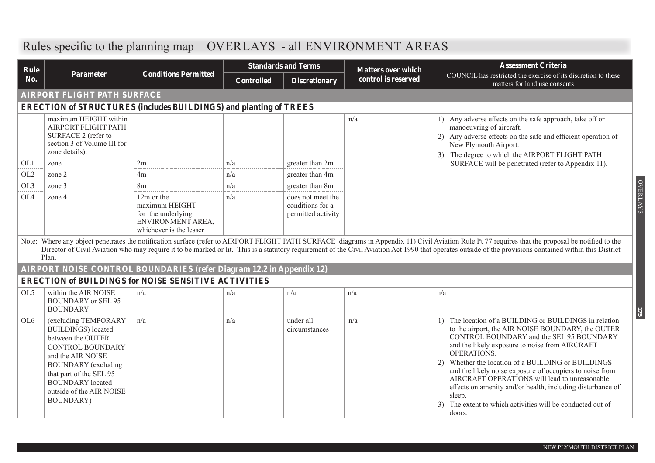| Rule            |                                                                                                                                                                                                                                                              | <b>Standards and Terms</b>                                                                         |                   | <b>Matters over which</b>                                   | <b>Assessment Criteria</b> |                                                                                                                                                                                                                                                                                                                                                                                                                                                                                                                                              |
|-----------------|--------------------------------------------------------------------------------------------------------------------------------------------------------------------------------------------------------------------------------------------------------------|----------------------------------------------------------------------------------------------------|-------------------|-------------------------------------------------------------|----------------------------|----------------------------------------------------------------------------------------------------------------------------------------------------------------------------------------------------------------------------------------------------------------------------------------------------------------------------------------------------------------------------------------------------------------------------------------------------------------------------------------------------------------------------------------------|
| <b>No.</b>      | Parameter                                                                                                                                                                                                                                                    | <b>Conditions Permitted</b>                                                                        | <b>Controlled</b> | <b>Discretionary</b>                                        | control is reserved        | COUNCIL has restricted the exercise of its discretion to these<br>matters for land use consents                                                                                                                                                                                                                                                                                                                                                                                                                                              |
|                 | <u>AIRPORT FLIGHT PATH SURFACE</u>                                                                                                                                                                                                                           |                                                                                                    |                   |                                                             |                            |                                                                                                                                                                                                                                                                                                                                                                                                                                                                                                                                              |
|                 |                                                                                                                                                                                                                                                              | <b>ERECTION of STRUCTURES (includes BUILDINGS) and planting of TREES</b>                           |                   |                                                             |                            |                                                                                                                                                                                                                                                                                                                                                                                                                                                                                                                                              |
| OL1             | maximum HEIGHT within<br>AIRPORT FLIGHT PATH<br>SURFACE 2 (refer to<br>section 3 of Volume III for<br>zone details):<br>zone 1                                                                                                                               | 2m                                                                                                 | n/a               | greater than 2m                                             | n/a                        | 1) Any adverse effects on the safe approach, take off or<br>manoeuvring of aircraft.<br>2) Any adverse effects on the safe and efficient operation of<br>New Plymouth Airport.<br>The degree to which the AIRPORT FLIGHT PATH<br>3)<br>SURFACE will be penetrated (refer to Appendix 11).                                                                                                                                                                                                                                                    |
| OL <sub>2</sub> | zone 2                                                                                                                                                                                                                                                       | 4m                                                                                                 | n/a               | greater than 4m                                             |                            |                                                                                                                                                                                                                                                                                                                                                                                                                                                                                                                                              |
| OL3             | zone 3                                                                                                                                                                                                                                                       | 8 <sub>m</sub>                                                                                     | n/a               | greater than 8m                                             |                            |                                                                                                                                                                                                                                                                                                                                                                                                                                                                                                                                              |
| OL4             | zone 4                                                                                                                                                                                                                                                       | 12m or the<br>maximum HEIGHT<br>for the underlying<br>ENVIRONMENT AREA,<br>whichever is the lesser | n/a               | does not meet the<br>conditions for a<br>permitted activity |                            |                                                                                                                                                                                                                                                                                                                                                                                                                                                                                                                                              |
|                 | Plan.                                                                                                                                                                                                                                                        |                                                                                                    |                   |                                                             |                            | Note: Where any object penetrates the notification surface (refer to AIRPORT FLIGHT PATH SURFACE diagrams in Appendix 11) Civil Aviation Rule Pt 77 requires that the proposal be notified to the<br>Director of Civil Aviation who may require it to be marked or lit. This is a statutory requirement of the Civil Aviation Act 1990 that operates outside of the provisions contained within this District                                                                                                                                |
|                 |                                                                                                                                                                                                                                                              | <b>AIRPORT NOISE CONTROL BOUNDARIES</b> (refer Diagram 12.2 in Appendix 12)                        |                   |                                                             |                            |                                                                                                                                                                                                                                                                                                                                                                                                                                                                                                                                              |
|                 |                                                                                                                                                                                                                                                              | <b>ERECTION of BUILDINGS for NOISE SENSITIVE ACTIVITIES</b>                                        |                   |                                                             |                            |                                                                                                                                                                                                                                                                                                                                                                                                                                                                                                                                              |
| OL5             | within the AIR NOISE<br><b>BOUNDARY</b> or SEL 95<br><b>BOUNDARY</b>                                                                                                                                                                                         | n/a                                                                                                | n/a               | n/a                                                         | n/a                        | n/a                                                                                                                                                                                                                                                                                                                                                                                                                                                                                                                                          |
| OL <sub>6</sub> | (excluding TEMPORARY<br><b>BUILDINGS</b> ) located<br>between the OUTER<br><b>CONTROL BOUNDARY</b><br>and the AIR NOISE<br><b>BOUNDARY</b> (excluding<br>that part of the SEL 95<br><b>BOUNDARY</b> located<br>outside of the AIR NOISE<br><b>BOUNDARY</b> ) | n/a                                                                                                | n/a               | under all<br>circumstances                                  | n/a                        | 1) The location of a BUILDING or BUILDINGS in relation<br>to the airport, the AIR NOISE BOUNDARY, the OUTER<br>CONTROL BOUNDARY and the SEL 95 BOUNDARY<br>and the likely exposure to noise from AIRCRAFT<br>OPERATIONS.<br>Whether the location of a BUILDING or BUILDINGS<br>(2)<br>and the likely noise exposure of occupiers to noise from<br>AIRCRAFT OPERATIONS will lead to unreasonable<br>effects on amenity and/or health, including disturbance of<br>sleep.<br>The extent to which activities will be conducted out of<br>doors. |

# **Rules specific to the planning map OVERLAYS - all ENVIRONMENT AREAS**

OVERLAYS

**OVERLAYS**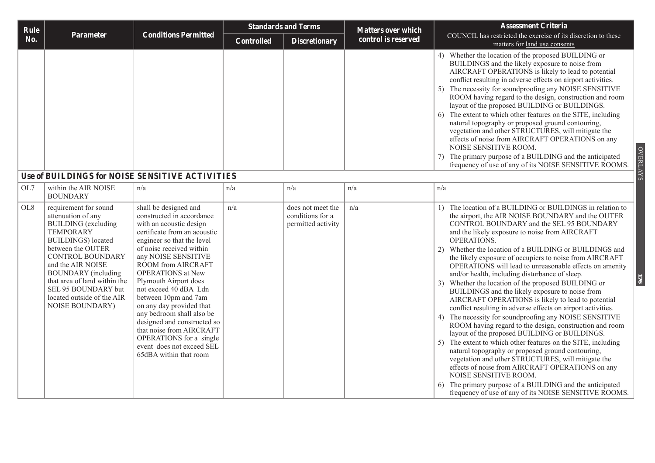| Rule            |                                                                                                                                                                                                                                                                                                                                               |                                                                                                                                                                                                                                                                                                                                                                                                                                                                                                                                  |                   | <b>Standards and Terms</b>                                  | <b>Matters over which</b> | <b>Assessment Criteria</b>                                                                                                                                                                                                                                                                                                                                                                                                                                                                                                                                                                                                                                                                                                                                                                                                                                                                                                                                                                                                                                  |
|-----------------|-----------------------------------------------------------------------------------------------------------------------------------------------------------------------------------------------------------------------------------------------------------------------------------------------------------------------------------------------|----------------------------------------------------------------------------------------------------------------------------------------------------------------------------------------------------------------------------------------------------------------------------------------------------------------------------------------------------------------------------------------------------------------------------------------------------------------------------------------------------------------------------------|-------------------|-------------------------------------------------------------|---------------------------|-------------------------------------------------------------------------------------------------------------------------------------------------------------------------------------------------------------------------------------------------------------------------------------------------------------------------------------------------------------------------------------------------------------------------------------------------------------------------------------------------------------------------------------------------------------------------------------------------------------------------------------------------------------------------------------------------------------------------------------------------------------------------------------------------------------------------------------------------------------------------------------------------------------------------------------------------------------------------------------------------------------------------------------------------------------|
| No.             | Parameter                                                                                                                                                                                                                                                                                                                                     | <b>Conditions Permitted</b>                                                                                                                                                                                                                                                                                                                                                                                                                                                                                                      | <b>Controlled</b> | <b>Discretionary</b>                                        | control is reserved       | COUNCIL has restricted the exercise of its discretion to these<br>matters for land use consents                                                                                                                                                                                                                                                                                                                                                                                                                                                                                                                                                                                                                                                                                                                                                                                                                                                                                                                                                             |
|                 |                                                                                                                                                                                                                                                                                                                                               |                                                                                                                                                                                                                                                                                                                                                                                                                                                                                                                                  |                   |                                                             |                           | 4) Whether the location of the proposed BUILDING or<br>BUILDINGS and the likely exposure to noise from<br>AIRCRAFT OPERATIONS is likely to lead to potential<br>conflict resulting in adverse effects on airport activities.<br>The necessity for soundproofing any NOISE SENSITIVE<br>5)<br>ROOM having regard to the design, construction and room<br>layout of the proposed BUILDING or BUILDINGS.<br>The extent to which other features on the SITE, including<br>natural topography or proposed ground contouring,<br>vegetation and other STRUCTURES, will mitigate the<br>effects of noise from AIRCRAFT OPERATIONS on any<br>NOISE SENSITIVE ROOM.<br><b>OVERLAYS</b><br>7) The primary purpose of a BUILDING and the anticipated<br>frequency of use of any of its NOISE SENSITIVE ROOMS.                                                                                                                                                                                                                                                          |
|                 |                                                                                                                                                                                                                                                                                                                                               | Use of BUILDINGS for NOISE SENSITIVE ACTIVITIES                                                                                                                                                                                                                                                                                                                                                                                                                                                                                  |                   |                                                             |                           |                                                                                                                                                                                                                                                                                                                                                                                                                                                                                                                                                                                                                                                                                                                                                                                                                                                                                                                                                                                                                                                             |
| OL7             | within the AIR NOISE<br><b>BOUNDARY</b>                                                                                                                                                                                                                                                                                                       | n/a                                                                                                                                                                                                                                                                                                                                                                                                                                                                                                                              | n/a               | n/a                                                         | n/a                       | n/a                                                                                                                                                                                                                                                                                                                                                                                                                                                                                                                                                                                                                                                                                                                                                                                                                                                                                                                                                                                                                                                         |
| OL <sub>8</sub> | requirement for sound<br>attenuation of any<br><b>BUILDING</b> (excluding<br><b>TEMPORARY</b><br><b>BUILDINGS</b> ) located<br>between the OUTER<br><b>CONTROL BOUNDARY</b><br>and the AIR NOISE<br><b>BOUNDARY</b> (including<br>that area of land within the<br>SEL 95 BOUNDARY but<br>located outside of the AIR<br><b>NOISE BOUNDARY)</b> | shall be designed and<br>constructed in accordance<br>with an acoustic design<br>certificate from an acoustic<br>engineer so that the level<br>of noise received within<br>any NOISE SENSITIVE<br>ROOM from AIRCRAFT<br><b>OPERATIONS</b> at New<br>Plymouth Airport does<br>not exceed 40 dBA Ldn<br>between 10pm and 7am<br>on any day provided that<br>any bedroom shall also be<br>designed and constructed so<br>that noise from AIRCRAFT<br>OPERATIONS for a single<br>event does not exceed SEL<br>65dBA within that room | n/a               | does not meet the<br>conditions for a<br>permitted activity | n/a                       | 1) The location of a BUILDING or BUILDINGS in relation to<br>the airport, the AIR NOISE BOUNDARY and the OUTER<br>CONTROL BOUNDARY and the SEL 95 BOUNDARY<br>and the likely exposure to noise from AIRCRAFT<br>OPERATIONS.<br>2) Whether the location of a BUILDING or BUILDINGS and<br>the likely exposure of occupiers to noise from AIRCRAFT<br>OPERATIONS will lead to unreasonable effects on amenity<br>and/or health, including disturbance of sleep.<br>$\overline{20}$<br>3) Whether the location of the proposed BUILDING or<br>BUILDINGS and the likely exposure to noise from<br>AIRCRAFT OPERATIONS is likely to lead to potential<br>conflict resulting in adverse effects on airport activities.<br>The necessity for soundproofing any NOISE SENSITIVE<br>ROOM having regard to the design, construction and room<br>layout of the proposed BUILDING or BUILDINGS.<br>The extent to which other features on the SITE, including<br>natural topography or proposed ground contouring,<br>vegetation and other STRUCTURES, will mitigate the |

effects of noise from AIRCRAFT OPERATIONS on any

6) The primary purpose of a BUILDING and the anticipated frequency of use of any of its NOISE SENSITIVE ROOMS.

NOISE SENSITIVE ROOM.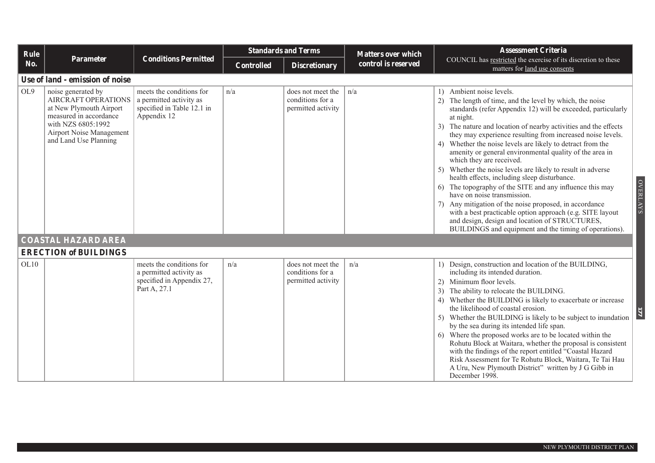| Rule            |                                                                                                                                                                           |                                                                                                  |                   | <b>Standards and Terms</b>                                  | <b>Matters over which</b> | <b>Assessment Criteria</b>                                                                                                                                                                                                                                                                                                                                                                                                                                                                                                                                                                                                                                                                                                                                                                                                                                                                                        |
|-----------------|---------------------------------------------------------------------------------------------------------------------------------------------------------------------------|--------------------------------------------------------------------------------------------------|-------------------|-------------------------------------------------------------|---------------------------|-------------------------------------------------------------------------------------------------------------------------------------------------------------------------------------------------------------------------------------------------------------------------------------------------------------------------------------------------------------------------------------------------------------------------------------------------------------------------------------------------------------------------------------------------------------------------------------------------------------------------------------------------------------------------------------------------------------------------------------------------------------------------------------------------------------------------------------------------------------------------------------------------------------------|
| No.             | <b>Parameter</b>                                                                                                                                                          | <b>Conditions Permitted</b>                                                                      | <b>Controlled</b> | <b>Discretionary</b>                                        | control is reserved       | COUNCIL has restricted the exercise of its discretion to these<br>matters for land use consents                                                                                                                                                                                                                                                                                                                                                                                                                                                                                                                                                                                                                                                                                                                                                                                                                   |
|                 | Use of land - emission of noise                                                                                                                                           |                                                                                                  |                   |                                                             |                           |                                                                                                                                                                                                                                                                                                                                                                                                                                                                                                                                                                                                                                                                                                                                                                                                                                                                                                                   |
| OL <sub>9</sub> | noise generated by<br>AIRCRAFT OPERATIONS<br>at New Plymouth Airport<br>measured in accordance<br>with NZS 6805:1992<br>Airport Noise Management<br>and Land Use Planning | meets the conditions for<br>a permitted activity as<br>specified in Table 12.1 in<br>Appendix 12 | n/a               | does not meet the<br>conditions for a<br>permitted activity | n/a                       | 1) Ambient noise levels.<br>2) The length of time, and the level by which, the noise<br>standards (refer Appendix 12) will be exceeded, particularly<br>at night.<br>3) The nature and location of nearby activities and the effects<br>they may experience resulting from increased noise levels.<br>4) Whether the noise levels are likely to detract from the<br>amenity or general environmental quality of the area in<br>which they are received.<br>5) Whether the noise levels are likely to result in adverse<br>health effects, including sleep disturbance.<br><b>OVERLAYS</b><br>The topography of the SITE and any influence this may<br>have on noise transmission.<br>Any mitigation of the noise proposed, in accordance<br>with a best practicable option approach (e.g. SITE layout<br>and design, design and location of STRUCTURES,<br>BUILDINGS and equipment and the timing of operations). |
|                 | <b>COASTAL HAZARD AREA</b>                                                                                                                                                |                                                                                                  |                   |                                                             |                           |                                                                                                                                                                                                                                                                                                                                                                                                                                                                                                                                                                                                                                                                                                                                                                                                                                                                                                                   |
|                 | <b>ERECTION of BUILDINGS</b>                                                                                                                                              |                                                                                                  |                   |                                                             |                           |                                                                                                                                                                                                                                                                                                                                                                                                                                                                                                                                                                                                                                                                                                                                                                                                                                                                                                                   |
| OL10            |                                                                                                                                                                           | meets the conditions for<br>a permitted activity as<br>specified in Appendix 27,<br>Part A, 27.1 | n/a               | does not meet the<br>conditions for a<br>permitted activity | n/a                       | 1) Design, construction and location of the BUILDING,<br>including its intended duration.<br>Minimum floor levels.<br>2)<br>The ability to relocate the BUILDING.<br>4) Whether the BUILDING is likely to exacerbate or increase<br>the likelihood of coastal erosion.<br>Whether the BUILDING is likely to be subject to inundation<br>5)<br>by the sea during its intended life span.<br>6) Where the proposed works are to be located within the<br>Rohutu Block at Waitara, whether the proposal is consistent<br>with the findings of the report entitled "Coastal Hazard<br>Risk Assessment for Te Rohutu Block, Waitara, Te Tai Hau<br>A Uru, New Plymouth District" written by J G Gibb in<br>December 1998.                                                                                                                                                                                              |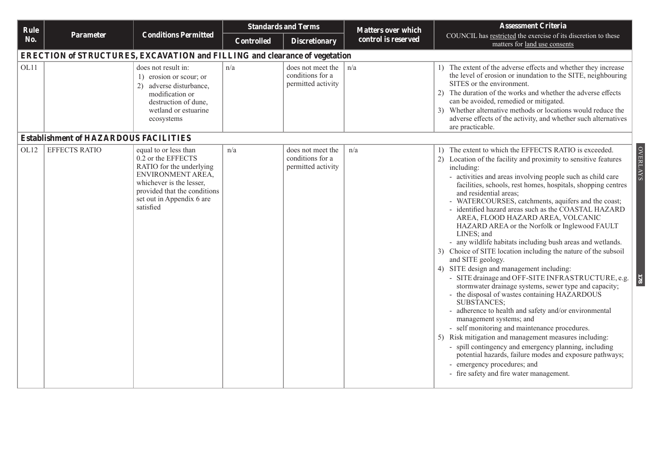| Rule |                                                                                   |                                                                                                                                                                                                    |                   | <b>Standards and Terms</b>                                  | <b>Matters over which</b> | <b>Assessment Criteria</b>                                                                                                                                                                                                                                                                                                                                                                                                                                                                                                                                                                                                                                                                                                                                                                                                                                                                                                                                                                                                                                                                                                                                                                                                                                                                                                                                        |  |  |  |  |  |
|------|-----------------------------------------------------------------------------------|----------------------------------------------------------------------------------------------------------------------------------------------------------------------------------------------------|-------------------|-------------------------------------------------------------|---------------------------|-------------------------------------------------------------------------------------------------------------------------------------------------------------------------------------------------------------------------------------------------------------------------------------------------------------------------------------------------------------------------------------------------------------------------------------------------------------------------------------------------------------------------------------------------------------------------------------------------------------------------------------------------------------------------------------------------------------------------------------------------------------------------------------------------------------------------------------------------------------------------------------------------------------------------------------------------------------------------------------------------------------------------------------------------------------------------------------------------------------------------------------------------------------------------------------------------------------------------------------------------------------------------------------------------------------------------------------------------------------------|--|--|--|--|--|
| No.  | Parameter                                                                         | <b>Conditions Permitted</b>                                                                                                                                                                        | <b>Controlled</b> | <b>Discretionary</b>                                        | control is reserved       | COUNCIL has restricted the exercise of its discretion to these<br>matters for land use consents                                                                                                                                                                                                                                                                                                                                                                                                                                                                                                                                                                                                                                                                                                                                                                                                                                                                                                                                                                                                                                                                                                                                                                                                                                                                   |  |  |  |  |  |
|      | <b>ERECTION of STRUCTURES, EXCAVATION and FILLING and clearance of vegetation</b> |                                                                                                                                                                                                    |                   |                                                             |                           |                                                                                                                                                                                                                                                                                                                                                                                                                                                                                                                                                                                                                                                                                                                                                                                                                                                                                                                                                                                                                                                                                                                                                                                                                                                                                                                                                                   |  |  |  |  |  |
| OL11 |                                                                                   | does not result in:<br>1) erosion or scour; or<br>2) adverse disturbance,<br>modification or<br>destruction of dune,<br>wetland or estuarine<br>ecosystems                                         | n/a               | does not meet the<br>conditions for a<br>permitted activity | n/a                       | 1) The extent of the adverse effects and whether they increase<br>the level of erosion or inundation to the SITE, neighbouring<br>SITES or the environment.<br>The duration of the works and whether the adverse effects<br>2)<br>can be avoided, remedied or mitigated.<br>3) Whether alternative methods or locations would reduce the<br>adverse effects of the activity, and whether such alternatives<br>are practicable.                                                                                                                                                                                                                                                                                                                                                                                                                                                                                                                                                                                                                                                                                                                                                                                                                                                                                                                                    |  |  |  |  |  |
|      | <b>Establishment of HAZARDOUS FACILITIES</b>                                      |                                                                                                                                                                                                    |                   |                                                             |                           |                                                                                                                                                                                                                                                                                                                                                                                                                                                                                                                                                                                                                                                                                                                                                                                                                                                                                                                                                                                                                                                                                                                                                                                                                                                                                                                                                                   |  |  |  |  |  |
| OL12 | <b>EFFECTS RATIO</b>                                                              | equal to or less than<br>0.2 or the EFFECTS<br>RATIO for the underlying<br>ENVIRONMENT AREA,<br>whichever is the lesser,<br>provided that the conditions<br>set out in Appendix 6 are<br>satisfied | n/a               | does not meet the<br>conditions for a<br>permitted activity | n/a                       | <b>OVERLAYS</b><br>The extent to which the EFFECTS RATIO is exceeded.<br>$\left  \cdot \right $<br>2) Location of the facility and proximity to sensitive features<br>including:<br>- activities and areas involving people such as child care<br>facilities, schools, rest homes, hospitals, shopping centres<br>and residential areas;<br>- WATERCOURSES, catchments, aquifers and the coast;<br>- identified hazard areas such as the COASTAL HAZARD<br>AREA, FLOOD HAZARD AREA, VOLCANIC<br>HAZARD AREA or the Norfolk or Inglewood FAULT<br>LINES; and<br>- any wildlife habitats including bush areas and wetlands.<br>3) Choice of SITE location including the nature of the subsoil<br>and SITE geology.<br>4) SITE design and management including:<br>- SITE drainage and OFF-SITE INFRASTRUCTURE, e.g.<br>$\overline{13}$<br>stormwater drainage systems, sewer type and capacity;<br>- the disposal of wastes containing HAZARDOUS<br><b>SUBSTANCES;</b><br>- adherence to health and safety and/or environmental<br>management systems; and<br>- self monitoring and maintenance procedures.<br>5) Risk mitigation and management measures including:<br>- spill contingency and emergency planning, including<br>potential hazards, failure modes and exposure pathways;<br>- emergency procedures; and<br>- fire safety and fire water management. |  |  |  |  |  |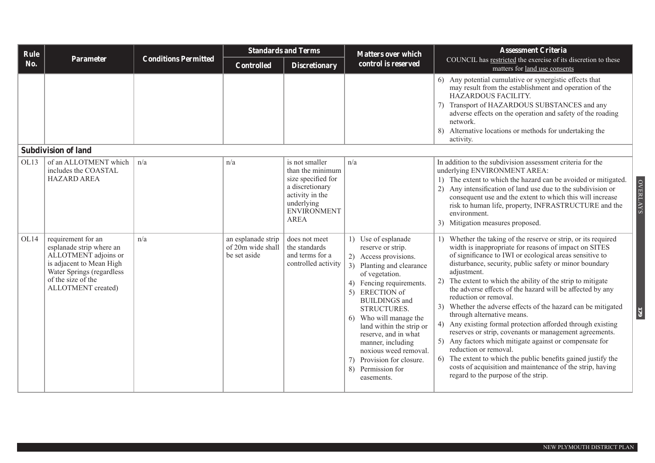| Rule |                                                                                                                                                                             |                             |                                                         | <b>Standards and Terms</b>                                                                                                                        | <b>Matters over which</b>                                                                                                                                                                                                                                                                                                                                                                                  | <b>Assessment Criteria</b>                                                                                                                                                                                                                                                                                                                                                                                                                                                                                                                                                                                                                                                                                                                                                                                                                                                                               |
|------|-----------------------------------------------------------------------------------------------------------------------------------------------------------------------------|-----------------------------|---------------------------------------------------------|---------------------------------------------------------------------------------------------------------------------------------------------------|------------------------------------------------------------------------------------------------------------------------------------------------------------------------------------------------------------------------------------------------------------------------------------------------------------------------------------------------------------------------------------------------------------|----------------------------------------------------------------------------------------------------------------------------------------------------------------------------------------------------------------------------------------------------------------------------------------------------------------------------------------------------------------------------------------------------------------------------------------------------------------------------------------------------------------------------------------------------------------------------------------------------------------------------------------------------------------------------------------------------------------------------------------------------------------------------------------------------------------------------------------------------------------------------------------------------------|
| No.  | Parameter                                                                                                                                                                   | <b>Conditions Permitted</b> | Controlled                                              | <b>Discretionary</b>                                                                                                                              | control is reserved                                                                                                                                                                                                                                                                                                                                                                                        | COUNCIL has restricted the exercise of its discretion to these<br>matters for land use consents                                                                                                                                                                                                                                                                                                                                                                                                                                                                                                                                                                                                                                                                                                                                                                                                          |
|      |                                                                                                                                                                             |                             |                                                         |                                                                                                                                                   |                                                                                                                                                                                                                                                                                                                                                                                                            | 6) Any potential cumulative or synergistic effects that<br>may result from the establishment and operation of the<br>HAZARDOUS FACILITY.<br>7) Transport of HAZARDOUS SUBSTANCES and any<br>adverse effects on the operation and safety of the roading<br>network.<br>8) Alternative locations or methods for undertaking the<br>activity.                                                                                                                                                                                                                                                                                                                                                                                                                                                                                                                                                               |
|      | <b>Subdivision of land</b>                                                                                                                                                  |                             |                                                         |                                                                                                                                                   |                                                                                                                                                                                                                                                                                                                                                                                                            |                                                                                                                                                                                                                                                                                                                                                                                                                                                                                                                                                                                                                                                                                                                                                                                                                                                                                                          |
| OL13 | of an ALLOTMENT which<br>includes the COASTAL<br><b>HAZARD AREA</b>                                                                                                         | n/a                         | n/a                                                     | is not smaller<br>than the minimum<br>size specified for<br>a discretionary<br>activity in the<br>underlying<br><b>ENVIRONMENT</b><br><b>AREA</b> | n/a                                                                                                                                                                                                                                                                                                                                                                                                        | In addition to the subdivision assessment criteria for the<br>underlying ENVIRONMENT AREA:<br>1) The extent to which the hazard can be avoided or mitigated.<br><b>OVERLAYS</b><br>2) Any intensification of land use due to the subdivision or<br>consequent use and the extent to which this will increase<br>risk to human life, property, INFRASTRUCTURE and the<br>environment.<br>3) Mitigation measures proposed.                                                                                                                                                                                                                                                                                                                                                                                                                                                                                 |
| OL14 | requirement for an<br>esplanade strip where an<br>ALLOTMENT adjoins or<br>is adjacent to Mean High<br>Water Springs (regardless<br>of the size of the<br>ALLOTMENT created) | n/a                         | an esplanade strip<br>of 20m wide shall<br>be set aside | does not meet<br>the standards<br>and terms for a<br>controlled activity                                                                          | 1) Use of esplanade<br>reserve or strip.<br>2) Access provisions.<br>3) Planting and clearance<br>of vegetation.<br>4) Fencing requirements.<br>5) ERECTION of<br><b>BUILDINGS</b> and<br>STRUCTURES.<br>Who will manage the<br>6)<br>land within the strip or<br>reserve, and in what<br>manner, including<br>noxious weed removal.<br>Provision for closure.<br>7)<br>8)<br>Permission for<br>easements. | 1) Whether the taking of the reserve or strip, or its required<br>width is inappropriate for reasons of impact on SITES<br>of significance to IWI or ecological areas sensitive to<br>disturbance, security, public safety or minor boundary<br>adjustment.<br>2) The extent to which the ability of the strip to mitigate<br>the adverse effects of the hazard will be affected by any<br>reduction or removal.<br>3) Whether the adverse effects of the hazard can be mitigated<br>6/1<br>through alternative means.<br>4) Any existing formal protection afforded through existing<br>reserves or strip, covenants or management agreements.<br>5) Any factors which mitigate against or compensate for<br>reduction or removal.<br>6) The extent to which the public benefits gained justify the<br>costs of acquisition and maintenance of the strip, having<br>regard to the purpose of the strip. |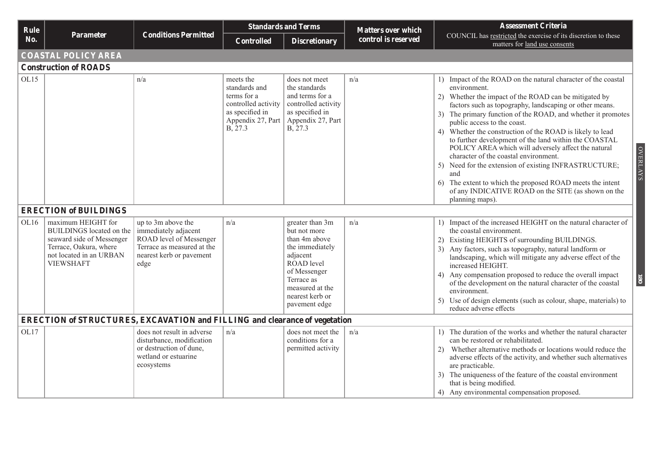| Rule |                                                                                                                                                             |                                                                                                                                         | <b>Standards and Terms</b>                                                                                          |                                                                                                                                                                                    | <b>Matters over which</b> | <b>Assessment Criteria</b>                                                                                                                                                                                                                                                                                                                                                                                                                                                                                                                                                                                                                                                                                                                       |  |  |  |  |  |
|------|-------------------------------------------------------------------------------------------------------------------------------------------------------------|-----------------------------------------------------------------------------------------------------------------------------------------|---------------------------------------------------------------------------------------------------------------------|------------------------------------------------------------------------------------------------------------------------------------------------------------------------------------|---------------------------|--------------------------------------------------------------------------------------------------------------------------------------------------------------------------------------------------------------------------------------------------------------------------------------------------------------------------------------------------------------------------------------------------------------------------------------------------------------------------------------------------------------------------------------------------------------------------------------------------------------------------------------------------------------------------------------------------------------------------------------------------|--|--|--|--|--|
| No.  | <b>Parameter</b>                                                                                                                                            | <b>Conditions Permitted</b>                                                                                                             | <b>Controlled</b>                                                                                                   | <b>Discretionary</b>                                                                                                                                                               | control is reserved       | COUNCIL has restricted the exercise of its discretion to these<br>matters for land use consents                                                                                                                                                                                                                                                                                                                                                                                                                                                                                                                                                                                                                                                  |  |  |  |  |  |
|      | <b>COASTAL POLICY AREA</b>                                                                                                                                  |                                                                                                                                         |                                                                                                                     |                                                                                                                                                                                    |                           |                                                                                                                                                                                                                                                                                                                                                                                                                                                                                                                                                                                                                                                                                                                                                  |  |  |  |  |  |
|      | <b>Construction of ROADS</b>                                                                                                                                |                                                                                                                                         |                                                                                                                     |                                                                                                                                                                                    |                           |                                                                                                                                                                                                                                                                                                                                                                                                                                                                                                                                                                                                                                                                                                                                                  |  |  |  |  |  |
| OL15 |                                                                                                                                                             | n/a                                                                                                                                     | meets the<br>standards and<br>terms for a<br>controlled activity<br>as specified in<br>Appendix 27, Part<br>B, 27.3 | does not meet<br>the standards<br>and terms for a<br>controlled activity<br>as specified in<br>Appendix 27, Part<br>B, 27.3                                                        | n/a                       | 1) Impact of the ROAD on the natural character of the coastal<br>environment.<br>2) Whether the impact of the ROAD can be mitigated by<br>factors such as topography, landscaping or other means.<br>3) The primary function of the ROAD, and whether it promotes<br>public access to the coast.<br>4) Whether the construction of the ROAD is likely to lead<br>to further development of the land within the COASTAL<br><b>OVERLAYS</b><br>POLICY AREA which will adversely affect the natural<br>character of the coastal environment.<br>5) Need for the extension of existing INFRASTRUCTURE;<br>and<br>6) The extent to which the proposed ROAD meets the intent<br>of any INDICATIVE ROAD on the SITE (as shown on the<br>planning maps). |  |  |  |  |  |
|      | <b>ERECTION of BUILDINGS</b>                                                                                                                                |                                                                                                                                         |                                                                                                                     |                                                                                                                                                                                    |                           |                                                                                                                                                                                                                                                                                                                                                                                                                                                                                                                                                                                                                                                                                                                                                  |  |  |  |  |  |
| OL16 | maximum HEIGHT for<br><b>BUILDINGS</b> located on the<br>seaward side of Messenger<br>Terrace, Oakura, where<br>not located in an URBAN<br><b>VIEWSHAFT</b> | up to 3m above the<br>immediately adjacent<br>ROAD level of Messenger<br>Terrace as measured at the<br>nearest kerb or pavement<br>edge | n/a                                                                                                                 | greater than 3m<br>but not more<br>than 4m above<br>the immediately<br>adjacent<br>ROAD level<br>of Messenger<br>Terrace as<br>measured at the<br>nearest kerb or<br>pavement edge | n/a                       | 1) Impact of the increased HEIGHT on the natural character of<br>the coastal environment.<br>2) Existing HEIGHTS of surrounding BUILDINGS.<br>3) Any factors, such as topography, natural landform or<br>landscaping, which will mitigate any adverse effect of the<br>increased HEIGHT.<br>4) Any compensation proposed to reduce the overall impact<br>180<br>of the development on the natural character of the coastal<br>environment.<br>5) Use of design elements (such as colour, shape, materials) to<br>reduce adverse effects                                                                                                                                                                                                          |  |  |  |  |  |
|      | <b>ERECTION of STRUCTURES, EXCAVATION and FILLING and clearance of vegetation</b>                                                                           |                                                                                                                                         |                                                                                                                     |                                                                                                                                                                                    |                           |                                                                                                                                                                                                                                                                                                                                                                                                                                                                                                                                                                                                                                                                                                                                                  |  |  |  |  |  |
| OL17 |                                                                                                                                                             | does not result in adverse<br>disturbance, modification<br>or destruction of dune,<br>wetland or estuarine<br>ecosystems                | n/a                                                                                                                 | does not meet the<br>conditions for a<br>permitted activity                                                                                                                        | n/a                       | 1) The duration of the works and whether the natural character<br>can be restored or rehabilitated.<br>2) Whether alternative methods or locations would reduce the<br>adverse effects of the activity, and whether such alternatives<br>are practicable.<br>3) The uniqueness of the feature of the coastal environment<br>that is being modified.<br>4) Any environmental compensation proposed.                                                                                                                                                                                                                                                                                                                                               |  |  |  |  |  |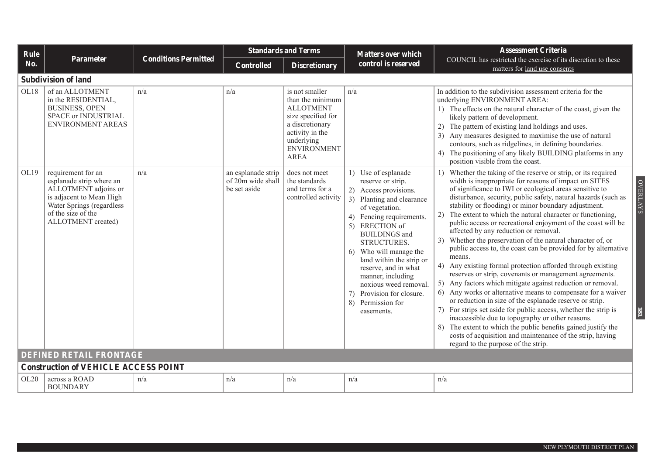| Rule |                                                                                                                                                                             |                             |                                                         | <b>Standards and Terms</b>                                                                                                                                            | <b>Matters over which</b>                                                                                                                                                                                                                                                                                                                                                                         | <b>Assessment Criteria</b>                                                                                                                                                                                                                                                                                                                                                                                                                                                                                                                                                                                                                                                                                                                                                                                                                                                                                                                                                                                                                                                                                                                                                                                                                                                |
|------|-----------------------------------------------------------------------------------------------------------------------------------------------------------------------------|-----------------------------|---------------------------------------------------------|-----------------------------------------------------------------------------------------------------------------------------------------------------------------------|---------------------------------------------------------------------------------------------------------------------------------------------------------------------------------------------------------------------------------------------------------------------------------------------------------------------------------------------------------------------------------------------------|---------------------------------------------------------------------------------------------------------------------------------------------------------------------------------------------------------------------------------------------------------------------------------------------------------------------------------------------------------------------------------------------------------------------------------------------------------------------------------------------------------------------------------------------------------------------------------------------------------------------------------------------------------------------------------------------------------------------------------------------------------------------------------------------------------------------------------------------------------------------------------------------------------------------------------------------------------------------------------------------------------------------------------------------------------------------------------------------------------------------------------------------------------------------------------------------------------------------------------------------------------------------------|
| No.  | <b>Parameter</b>                                                                                                                                                            | <b>Conditions Permitted</b> | <b>Controlled</b>                                       | <b>Discretionary</b>                                                                                                                                                  | control is reserved                                                                                                                                                                                                                                                                                                                                                                               | COUNCIL has restricted the exercise of its discretion to these<br>matters for land use consents                                                                                                                                                                                                                                                                                                                                                                                                                                                                                                                                                                                                                                                                                                                                                                                                                                                                                                                                                                                                                                                                                                                                                                           |
|      | <b>Subdivision of land</b>                                                                                                                                                  |                             |                                                         |                                                                                                                                                                       |                                                                                                                                                                                                                                                                                                                                                                                                   |                                                                                                                                                                                                                                                                                                                                                                                                                                                                                                                                                                                                                                                                                                                                                                                                                                                                                                                                                                                                                                                                                                                                                                                                                                                                           |
| OL18 | of an ALLOTMENT<br>in the RESIDENTIAL,<br><b>BUSINESS, OPEN</b><br>SPACE or INDUSTRIAL<br><b>ENVIRONMENT AREAS</b>                                                          | n/a                         | n/a                                                     | is not smaller<br>than the minimum<br><b>ALLOTMENT</b><br>size specified for<br>a discretionary<br>activity in the<br>underlying<br><b>ENVIRONMENT</b><br><b>AREA</b> | n/a                                                                                                                                                                                                                                                                                                                                                                                               | In addition to the subdivision assessment criteria for the<br>underlying ENVIRONMENT AREA:<br>1) The effects on the natural character of the coast, given the<br>likely pattern of development.<br>2) The pattern of existing land holdings and uses.<br>3) Any measures designed to maximise the use of natural<br>contours, such as ridgelines, in defining boundaries.<br>4) The positioning of any likely BUILDING platforms in any<br>position visible from the coast.                                                                                                                                                                                                                                                                                                                                                                                                                                                                                                                                                                                                                                                                                                                                                                                               |
| OL19 | requirement for an<br>esplanade strip where an<br>ALLOTMENT adjoins or<br>is adjacent to Mean High<br>Water Springs (regardless<br>of the size of the<br>ALLOTMENT created) | n/a                         | an esplanade strip<br>of 20m wide shall<br>be set aside | does not meet<br>the standards<br>and terms for a<br>controlled activity                                                                                              | 1) Use of esplanade<br>reserve or strip.<br>2) Access provisions.<br>3) Planting and clearance<br>of vegetation.<br>4) Fencing requirements.<br>5) ERECTION of<br><b>BUILDINGS</b> and<br>STRUCTURES.<br>6) Who will manage the<br>land within the strip or<br>reserve, and in what<br>manner, including<br>noxious weed removal.<br>7) Provision for closure.<br>8) Permission for<br>easements. | 1) Whether the taking of the reserve or strip, or its required<br><b>OVERLAYS</b><br>width is inappropriate for reasons of impact on SITES<br>of significance to IWI or ecological areas sensitive to<br>disturbance, security, public safety, natural hazards (such as<br>stability or flooding) or minor boundary adjustment.<br>2) The extent to which the natural character or functioning,<br>public access or recreational enjoyment of the coast will be<br>affected by any reduction or removal.<br>3) Whether the preservation of the natural character of, or<br>public access to, the coast can be provided for by alternative<br>means.<br>4) Any existing formal protection afforded through existing<br>reserves or strip, covenants or management agreements.<br>5) Any factors which mitigate against reduction or removal.<br>6) Any works or alternative means to compensate for a waiver<br>or reduction in size of the esplanade reserve or strip.<br>7) For strips set aside for public access, whether the strip is<br>181<br>inaccessible due to topography or other reasons.<br>8) The extent to which the public benefits gained justify the<br>costs of acquisition and maintenance of the strip, having<br>regard to the purpose of the strip. |
|      | <b>DEFINED RETAIL FRONTAGE</b>                                                                                                                                              |                             |                                                         |                                                                                                                                                                       |                                                                                                                                                                                                                                                                                                                                                                                                   |                                                                                                                                                                                                                                                                                                                                                                                                                                                                                                                                                                                                                                                                                                                                                                                                                                                                                                                                                                                                                                                                                                                                                                                                                                                                           |
|      | <b>Construction of VEHICLE ACCESS POINT</b>                                                                                                                                 |                             |                                                         |                                                                                                                                                                       |                                                                                                                                                                                                                                                                                                                                                                                                   |                                                                                                                                                                                                                                                                                                                                                                                                                                                                                                                                                                                                                                                                                                                                                                                                                                                                                                                                                                                                                                                                                                                                                                                                                                                                           |
| OL20 | across a ROAD<br><b>BOUNDARY</b>                                                                                                                                            | n/a                         | n/a                                                     | n/a                                                                                                                                                                   | n/a                                                                                                                                                                                                                                                                                                                                                                                               | n/a                                                                                                                                                                                                                                                                                                                                                                                                                                                                                                                                                                                                                                                                                                                                                                                                                                                                                                                                                                                                                                                                                                                                                                                                                                                                       |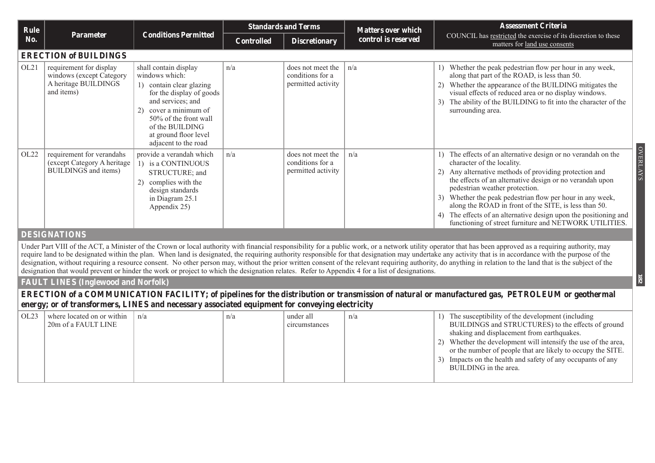| Rule |                                                                                                                                                                                                                                                                                                                                                                                                                                                                                                                                                                                                                                                                                                                                                                                            |                                                                                                                                                                                                                                         |                   | <b>Standards and Terms</b>                                  | <b>Matters over which</b> | <b>Assessment Criteria</b>                                                                                                                                                                                                                                                                                                                                                                                                                                                                                               |  |  |  |  |
|------|--------------------------------------------------------------------------------------------------------------------------------------------------------------------------------------------------------------------------------------------------------------------------------------------------------------------------------------------------------------------------------------------------------------------------------------------------------------------------------------------------------------------------------------------------------------------------------------------------------------------------------------------------------------------------------------------------------------------------------------------------------------------------------------------|-----------------------------------------------------------------------------------------------------------------------------------------------------------------------------------------------------------------------------------------|-------------------|-------------------------------------------------------------|---------------------------|--------------------------------------------------------------------------------------------------------------------------------------------------------------------------------------------------------------------------------------------------------------------------------------------------------------------------------------------------------------------------------------------------------------------------------------------------------------------------------------------------------------------------|--|--|--|--|
| No.  | <b>Parameter</b>                                                                                                                                                                                                                                                                                                                                                                                                                                                                                                                                                                                                                                                                                                                                                                           | <b>Conditions Permitted</b>                                                                                                                                                                                                             | <b>Controlled</b> | <b>Discretionary</b>                                        | control is reserved       | COUNCIL has restricted the exercise of its discretion to these<br>matters for land use consents                                                                                                                                                                                                                                                                                                                                                                                                                          |  |  |  |  |
|      | <b>ERECTION of BUILDINGS</b>                                                                                                                                                                                                                                                                                                                                                                                                                                                                                                                                                                                                                                                                                                                                                               |                                                                                                                                                                                                                                         |                   |                                                             |                           |                                                                                                                                                                                                                                                                                                                                                                                                                                                                                                                          |  |  |  |  |
| OL21 | requirement for display<br>windows (except Category<br>A heritage BUILDINGS<br>and items)                                                                                                                                                                                                                                                                                                                                                                                                                                                                                                                                                                                                                                                                                                  | shall contain display<br>windows which:<br>1) contain clear glazing<br>for the display of goods<br>and services; and<br>cover a minimum of<br>50% of the front wall<br>of the BUILDING<br>at ground floor level<br>adjacent to the road | n/a               | does not meet the<br>conditions for a<br>permitted activity | n/a                       | 1) Whether the peak pedestrian flow per hour in any week,<br>along that part of the ROAD, is less than 50.<br>Whether the appearance of the BUILDING mitigates the<br>visual effects of reduced area or no display windows.<br>The ability of the BUILDING to fit into the character of the<br>surrounding area.                                                                                                                                                                                                         |  |  |  |  |
| OL22 | requirement for verandahs<br>(except Category A heritage<br><b>BUILDINGS</b> and items)                                                                                                                                                                                                                                                                                                                                                                                                                                                                                                                                                                                                                                                                                                    | provide a verandah which<br>1) is a CONTINUOUS<br>STRUCTURE; and<br>2) complies with the<br>design standards<br>in Diagram 25.1<br>Appendix 25)                                                                                         | n/a               | does not meet the<br>conditions for a<br>permitted activity | n/a                       | <b>OVERLAYS</b><br>1) The effects of an alternative design or no verandah on the<br>character of the locality.<br>Any alternative methods of providing protection and<br>(2)<br>the effects of an alternative design or no verandah upon<br>pedestrian weather protection.<br>Whether the peak pedestrian flow per hour in any week,<br>along the ROAD in front of the SITE, is less than 50.<br>The effects of an alternative design upon the positioning and<br>functioning of street furniture and NETWORK UTILITIES. |  |  |  |  |
|      | <b>DESIGNATIONS</b>                                                                                                                                                                                                                                                                                                                                                                                                                                                                                                                                                                                                                                                                                                                                                                        |                                                                                                                                                                                                                                         |                   |                                                             |                           |                                                                                                                                                                                                                                                                                                                                                                                                                                                                                                                          |  |  |  |  |
|      | Under Part VIII of the ACT, a Minister of the Crown or local authority with financial responsibility for a public work, or a network utility operator that has been approved as a requiring authority, may<br>require land to be designated within the plan. When land is designated, the requiring authority responsible for that designation may undertake any activity that is in accordance with the purpose of the<br>designation, without requiring a resource consent. No other person may, without the prior written consent of the relevant requiring authority, do anything in relation to the land that is the subject of the<br>designation that would prevent or hinder the work or project to which the designation relates. Refer to Appendix 4 for a list of designations. |                                                                                                                                                                                                                                         |                   |                                                             |                           |                                                                                                                                                                                                                                                                                                                                                                                                                                                                                                                          |  |  |  |  |
|      | <b>FAULT LINES (Inglewood and Norfolk)</b>                                                                                                                                                                                                                                                                                                                                                                                                                                                                                                                                                                                                                                                                                                                                                 |                                                                                                                                                                                                                                         |                   |                                                             |                           | 182                                                                                                                                                                                                                                                                                                                                                                                                                                                                                                                      |  |  |  |  |
|      | energy; or of transformers, LINES and necessary associated equipment for conveying electricity                                                                                                                                                                                                                                                                                                                                                                                                                                                                                                                                                                                                                                                                                             |                                                                                                                                                                                                                                         |                   |                                                             |                           | <b>ERECTION</b> of a COMMUNICATION FACILITY; of pipelines for the distribution or transmission of natural or manufactured gas, PETROLEUM or geothermal                                                                                                                                                                                                                                                                                                                                                                   |  |  |  |  |
| OL23 | where located on or within<br>20m of a FAULT LINE                                                                                                                                                                                                                                                                                                                                                                                                                                                                                                                                                                                                                                                                                                                                          | n/a                                                                                                                                                                                                                                     | n/a               | under all<br>circumstances                                  | n/a                       | 1) The susceptibility of the development (including<br>BUILDINGS and STRUCTURES) to the effects of ground                                                                                                                                                                                                                                                                                                                                                                                                                |  |  |  |  |

|  | 20m of a FAULT LINE |  | circumstances |  | BUILDINGS and STRUCTURES) to the effects of ground<br>shaking and displacement from earthquakes.<br>2) Whether the development will intensify the use of the area,<br>or the number of people that are likely to occupy the SITE.<br>3) Impacts on the health and safety of any occupants of any |
|--|---------------------|--|---------------|--|--------------------------------------------------------------------------------------------------------------------------------------------------------------------------------------------------------------------------------------------------------------------------------------------------|
|--|---------------------|--|---------------|--|--------------------------------------------------------------------------------------------------------------------------------------------------------------------------------------------------------------------------------------------------------------------------------------------------|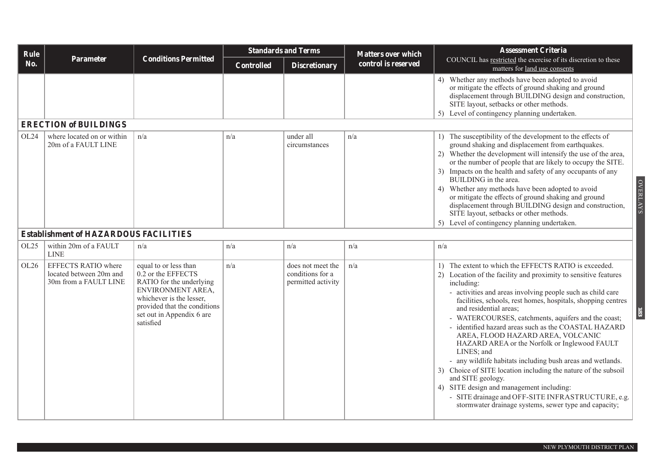| Rule |                                                                                |                                                                                                                                                                                                    | <b>Standards and Terms</b> |                                                             | <b>Matters over which</b> | <b>Assessment Criteria</b>                                                                                                                                                                                                                                                                                                                                                                                                                                                                                                                                                                                                                                                                                                                                                                                                             |  |  |  |  |  |
|------|--------------------------------------------------------------------------------|----------------------------------------------------------------------------------------------------------------------------------------------------------------------------------------------------|----------------------------|-------------------------------------------------------------|---------------------------|----------------------------------------------------------------------------------------------------------------------------------------------------------------------------------------------------------------------------------------------------------------------------------------------------------------------------------------------------------------------------------------------------------------------------------------------------------------------------------------------------------------------------------------------------------------------------------------------------------------------------------------------------------------------------------------------------------------------------------------------------------------------------------------------------------------------------------------|--|--|--|--|--|
| No.  | Parameter                                                                      | <b>Conditions Permitted</b>                                                                                                                                                                        | <b>Controlled</b>          | <b>Discretionary</b>                                        | control is reserved       | COUNCIL has restricted the exercise of its discretion to these<br>matters for land use consents                                                                                                                                                                                                                                                                                                                                                                                                                                                                                                                                                                                                                                                                                                                                        |  |  |  |  |  |
|      |                                                                                |                                                                                                                                                                                                    |                            |                                                             |                           | 4) Whether any methods have been adopted to avoid<br>or mitigate the effects of ground shaking and ground<br>displacement through BUILDING design and construction,<br>SITE layout, setbacks or other methods.<br>5) Level of contingency planning undertaken.                                                                                                                                                                                                                                                                                                                                                                                                                                                                                                                                                                         |  |  |  |  |  |
|      | <b>ERECTION of BUILDINGS</b>                                                   |                                                                                                                                                                                                    |                            |                                                             |                           |                                                                                                                                                                                                                                                                                                                                                                                                                                                                                                                                                                                                                                                                                                                                                                                                                                        |  |  |  |  |  |
| OL24 | where located on or within<br>20m of a FAULT LINE                              | n/a                                                                                                                                                                                                | n/a                        | under all<br>circumstances                                  | n/a                       | 1) The susceptibility of the development to the effects of<br>ground shaking and displacement from earthquakes.<br>2) Whether the development will intensify the use of the area,<br>or the number of people that are likely to occupy the SITE.<br>3) Impacts on the health and safety of any occupants of any<br>BUILDING in the area.<br><b>OVERLAYS</b><br>4) Whether any methods have been adopted to avoid<br>or mitigate the effects of ground shaking and ground<br>displacement through BUILDING design and construction,<br>SITE layout, setbacks or other methods.<br>5) Level of contingency planning undertaken.                                                                                                                                                                                                          |  |  |  |  |  |
|      | <b>Establishment of HAZARDOUS FACILITIES</b>                                   |                                                                                                                                                                                                    |                            |                                                             |                           |                                                                                                                                                                                                                                                                                                                                                                                                                                                                                                                                                                                                                                                                                                                                                                                                                                        |  |  |  |  |  |
| OL25 | within 20m of a FAULT<br><b>LINE</b>                                           | n/a                                                                                                                                                                                                | n/a                        | n/a                                                         | n/a                       | n/a                                                                                                                                                                                                                                                                                                                                                                                                                                                                                                                                                                                                                                                                                                                                                                                                                                    |  |  |  |  |  |
| OL26 | <b>EFFECTS RATIO where</b><br>located between 20m and<br>30m from a FAULT LINE | equal to or less than<br>0.2 or the EFFECTS<br>RATIO for the underlying<br>ENVIRONMENT AREA,<br>whichever is the lesser,<br>provided that the conditions<br>set out in Appendix 6 are<br>satisfied | n/a                        | does not meet the<br>conditions for a<br>permitted activity | n/a                       | 1) The extent to which the EFFECTS RATIO is exceeded.<br>2) Location of the facility and proximity to sensitive features<br>including:<br>- activities and areas involving people such as child care<br>facilities, schools, rest homes, hospitals, shopping centres<br>and residential areas;<br>83<br>- WATERCOURSES, catchments, aquifers and the coast;<br>- identified hazard areas such as the COASTAL HAZARD<br>AREA, FLOOD HAZARD AREA, VOLCANIC<br>HAZARD AREA or the Norfolk or Inglewood FAULT<br>LINES; and<br>- any wildlife habitats including bush areas and wetlands.<br>3) Choice of SITE location including the nature of the subsoil<br>and SITE geology.<br>4) SITE design and management including:<br>- SITE drainage and OFF-SITE INFRASTRUCTURE, e.g.<br>stormwater drainage systems, sewer type and capacity; |  |  |  |  |  |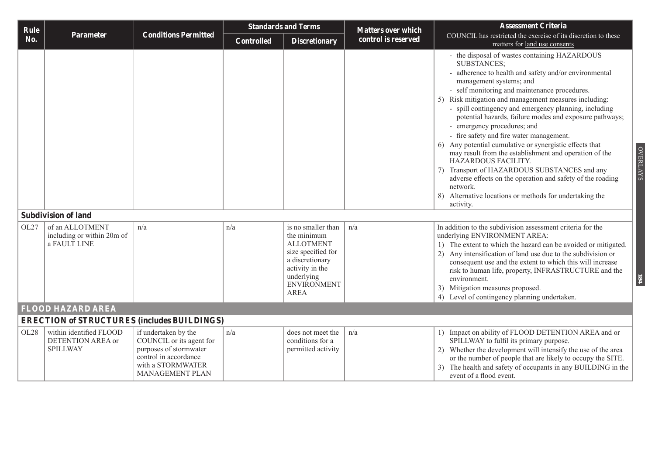| Rule |                                                                 |                                                                                                                                             | <b>Standards and Terms</b> |                                                                                                                                                                      | <b>Matters over which</b> | <b>Assessment Criteria</b>                                                                                                                                                                                                                                                                                                                                                                                                                                                                                                                                                                                                                                                                                                                                                                                                      |
|------|-----------------------------------------------------------------|---------------------------------------------------------------------------------------------------------------------------------------------|----------------------------|----------------------------------------------------------------------------------------------------------------------------------------------------------------------|---------------------------|---------------------------------------------------------------------------------------------------------------------------------------------------------------------------------------------------------------------------------------------------------------------------------------------------------------------------------------------------------------------------------------------------------------------------------------------------------------------------------------------------------------------------------------------------------------------------------------------------------------------------------------------------------------------------------------------------------------------------------------------------------------------------------------------------------------------------------|
| No.  | Parameter                                                       | <b>Conditions Permitted</b>                                                                                                                 | <b>Controlled</b>          | <b>Discretionary</b>                                                                                                                                                 | control is reserved       | COUNCIL has restricted the exercise of its discretion to these<br>matters for land use consents                                                                                                                                                                                                                                                                                                                                                                                                                                                                                                                                                                                                                                                                                                                                 |
|      |                                                                 |                                                                                                                                             |                            |                                                                                                                                                                      |                           | - the disposal of wastes containing HAZARDOUS<br><b>SUBSTANCES:</b><br>adherence to health and safety and/or environmental<br>management systems; and<br>- self monitoring and maintenance procedures.<br>5) Risk mitigation and management measures including:<br>- spill contingency and emergency planning, including<br>potential hazards, failure modes and exposure pathways;<br>- emergency procedures; and<br>- fire safety and fire water management.<br>Any potential cumulative or synergistic effects that<br>6)<br><b>OVERLAYS</b><br>may result from the establishment and operation of the<br>HAZARDOUS FACILITY.<br>Transport of HAZARDOUS SUBSTANCES and any<br>adverse effects on the operation and safety of the roading<br>network.<br>8) Alternative locations or methods for undertaking the<br>activity. |
|      | <b>Subdivision of land</b>                                      |                                                                                                                                             |                            |                                                                                                                                                                      |                           |                                                                                                                                                                                                                                                                                                                                                                                                                                                                                                                                                                                                                                                                                                                                                                                                                                 |
| OL27 | of an ALLOTMENT<br>including or within 20m of<br>a FAULT LINE   | n/a                                                                                                                                         | n/a                        | is no smaller than<br>the minimum<br><b>ALLOTMENT</b><br>size specified for<br>a discretionary<br>activity in the<br>underlying<br><b>ENVIRONMENT</b><br><b>AREA</b> | n/a                       | In addition to the subdivision assessment criteria for the<br>underlying ENVIRONMENT AREA:<br>1) The extent to which the hazard can be avoided or mitigated.<br>2) Any intensification of land use due to the subdivision or<br>consequent use and the extent to which this will increase<br>risk to human life, property, INFRASTRUCTURE and the<br>184<br>environment.<br>3) Mitigation measures proposed.<br>4) Level of contingency planning undertaken.                                                                                                                                                                                                                                                                                                                                                                    |
|      | <b>FLOOD HAZARD AREA</b>                                        |                                                                                                                                             |                            |                                                                                                                                                                      |                           |                                                                                                                                                                                                                                                                                                                                                                                                                                                                                                                                                                                                                                                                                                                                                                                                                                 |
|      | <b>ERECTION of STRUCTURES (includes BUILDINGS)</b>              |                                                                                                                                             |                            |                                                                                                                                                                      |                           |                                                                                                                                                                                                                                                                                                                                                                                                                                                                                                                                                                                                                                                                                                                                                                                                                                 |
| OL28 | within identified FLOOD<br>DETENTION AREA or<br><b>SPILLWAY</b> | if undertaken by the<br>COUNCIL or its agent for<br>purposes of stormwater<br>control in accordance<br>with a STORMWATER<br>MANAGEMENT PLAN | n/a                        | does not meet the<br>conditions for a<br>permitted activity                                                                                                          | n/a                       | 1) Impact on ability of FLOOD DETENTION AREA and or<br>SPILLWAY to fulfil its primary purpose.<br>2) Whether the development will intensify the use of the area<br>or the number of people that are likely to occupy the SITE.<br>The health and safety of occupants in any BUILDING in the<br>event of a flood event.                                                                                                                                                                                                                                                                                                                                                                                                                                                                                                          |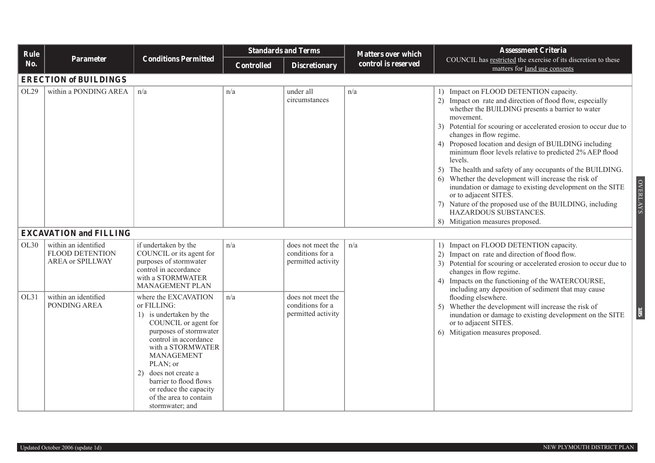| Rule |                                                                           |                                                                                                                                                                                                                                                                                                                             |                   | <b>Standards and Terms</b>                                  | <b>Matters over which</b> | <b>Assessment Criteria</b>                                                                                                                                                                                                                                                                                                                                                                                                                                                                                                                                                                                                                                                                                                                                   |  |  |  |  |
|------|---------------------------------------------------------------------------|-----------------------------------------------------------------------------------------------------------------------------------------------------------------------------------------------------------------------------------------------------------------------------------------------------------------------------|-------------------|-------------------------------------------------------------|---------------------------|--------------------------------------------------------------------------------------------------------------------------------------------------------------------------------------------------------------------------------------------------------------------------------------------------------------------------------------------------------------------------------------------------------------------------------------------------------------------------------------------------------------------------------------------------------------------------------------------------------------------------------------------------------------------------------------------------------------------------------------------------------------|--|--|--|--|
| No.  | Parameter                                                                 | <b>Conditions Permitted</b>                                                                                                                                                                                                                                                                                                 | <b>Controlled</b> | <b>Discretionary</b>                                        | control is reserved       | COUNCIL has restricted the exercise of its discretion to these<br>matters for land use consents                                                                                                                                                                                                                                                                                                                                                                                                                                                                                                                                                                                                                                                              |  |  |  |  |
|      | <b>ERECTION of BUILDINGS</b>                                              |                                                                                                                                                                                                                                                                                                                             |                   |                                                             |                           |                                                                                                                                                                                                                                                                                                                                                                                                                                                                                                                                                                                                                                                                                                                                                              |  |  |  |  |
| OL29 | within a PONDING AREA                                                     | n/a                                                                                                                                                                                                                                                                                                                         | n/a               | under all<br>circumstances                                  | n/a                       | 1) Impact on FLOOD DETENTION capacity.<br>2) Impact on rate and direction of flood flow, especially<br>whether the BUILDING presents a barrier to water<br>movement.<br>3) Potential for scouring or accelerated erosion to occur due to<br>changes in flow regime.<br>4) Proposed location and design of BUILDING including<br>minimum floor levels relative to predicted 2% AEP flood<br>levels.<br>5) The health and safety of any occupants of the BUILDING.<br>Whether the development will increase the risk of<br>6)<br><b>OVERLAYS</b><br>inundation or damage to existing development on the SITE<br>or to adjacent SITES.<br>7) Nature of the proposed use of the BUILDING, including<br>HAZARDOUS SUBSTANCES.<br>8) Mitigation measures proposed. |  |  |  |  |
|      | <b>EXCAVATION and FILLING</b>                                             |                                                                                                                                                                                                                                                                                                                             |                   |                                                             |                           |                                                                                                                                                                                                                                                                                                                                                                                                                                                                                                                                                                                                                                                                                                                                                              |  |  |  |  |
| OL30 | within an identified<br><b>FLOOD DETENTION</b><br><b>AREA or SPILLWAY</b> | if undertaken by the<br>COUNCIL or its agent for<br>purposes of stormwater<br>control in accordance<br>with a STORMWATER<br>MANAGEMENT PLAN                                                                                                                                                                                 | n/a               | does not meet the<br>conditions for a<br>permitted activity | n/a                       | 1) Impact on FLOOD DETENTION capacity.<br>2) Impact on rate and direction of flood flow.<br>3) Potential for scouring or accelerated erosion to occur due to<br>changes in flow regime.<br>Impacts on the functioning of the WATERCOURSE,<br>including any deposition of sediment that may cause                                                                                                                                                                                                                                                                                                                                                                                                                                                             |  |  |  |  |
| OL31 | within an identified<br>PONDING AREA                                      | where the EXCAVATION<br>or FILLING:<br>1) is undertaken by the<br>COUNCIL or agent for<br>purposes of stormwater<br>control in accordance<br>with a STORMWATER<br><b>MANAGEMENT</b><br>PLAN; or<br>does not create a<br>2)<br>barrier to flood flows<br>or reduce the capacity<br>of the area to contain<br>stormwater; and | n/a               | does not meet the<br>conditions for a<br>permitted activity |                           | flooding elsewhere.<br>Whether the development will increase the risk of<br>5)<br>85<br>inundation or damage to existing development on the SITE<br>or to adjacent SITES.<br>6) Mitigation measures proposed.                                                                                                                                                                                                                                                                                                                                                                                                                                                                                                                                                |  |  |  |  |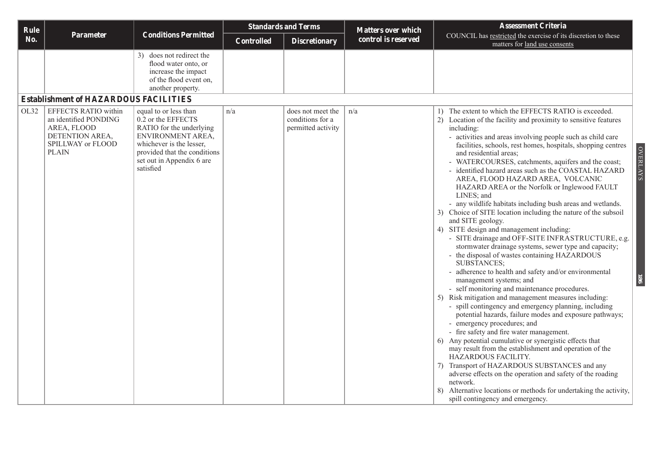| control is reserved<br>No.<br><b>Controlled</b><br><b>Discretionary</b><br>matters for land use consents<br>3) does not redirect the<br>flood water onto, or<br>increase the impact<br>of the flood event on,<br>another property.<br><b>Establishment of HAZARDOUS FACILITIES</b><br><b>EFFECTS RATIO within</b><br>OL32<br>equal to or less than<br>n/a<br>does not meet the<br>n/a<br>0.2 or the EFFECTS<br>conditions for a<br>an identified PONDING<br>AREA, FLOOD<br>RATIO for the underlying<br>permitted activity<br>including:<br>DETENTION AREA,<br>ENVIRONMENT AREA,<br>whichever is the lesser,<br>SPILLWAY or FLOOD<br><b>PLAIN</b><br>provided that the conditions<br>and residential areas;<br>set out in Appendix 6 are<br>satisfied<br>LINES; and<br>and SITE geology.<br>4) SITE design and management including:<br>SUBSTANCES;<br>management systems; and |                               | <b>Assessment Criteria</b>                                                                                                                                                                                                                                                                                                                                                                                                                                                                                                                                                                                                                                                                                                                                                                                                                                                                                                                                                                                                                                                                                                                                                                                                                                                                                                                           | <b>Matters over which</b> | <b>Standards and Terms</b> |                             |           | Rule |
|-------------------------------------------------------------------------------------------------------------------------------------------------------------------------------------------------------------------------------------------------------------------------------------------------------------------------------------------------------------------------------------------------------------------------------------------------------------------------------------------------------------------------------------------------------------------------------------------------------------------------------------------------------------------------------------------------------------------------------------------------------------------------------------------------------------------------------------------------------------------------------|-------------------------------|------------------------------------------------------------------------------------------------------------------------------------------------------------------------------------------------------------------------------------------------------------------------------------------------------------------------------------------------------------------------------------------------------------------------------------------------------------------------------------------------------------------------------------------------------------------------------------------------------------------------------------------------------------------------------------------------------------------------------------------------------------------------------------------------------------------------------------------------------------------------------------------------------------------------------------------------------------------------------------------------------------------------------------------------------------------------------------------------------------------------------------------------------------------------------------------------------------------------------------------------------------------------------------------------------------------------------------------------------|---------------------------|----------------------------|-----------------------------|-----------|------|
|                                                                                                                                                                                                                                                                                                                                                                                                                                                                                                                                                                                                                                                                                                                                                                                                                                                                               |                               | COUNCIL has restricted the exercise of its discretion to these                                                                                                                                                                                                                                                                                                                                                                                                                                                                                                                                                                                                                                                                                                                                                                                                                                                                                                                                                                                                                                                                                                                                                                                                                                                                                       |                           |                            | <b>Conditions Permitted</b> | Parameter |      |
|                                                                                                                                                                                                                                                                                                                                                                                                                                                                                                                                                                                                                                                                                                                                                                                                                                                                               |                               |                                                                                                                                                                                                                                                                                                                                                                                                                                                                                                                                                                                                                                                                                                                                                                                                                                                                                                                                                                                                                                                                                                                                                                                                                                                                                                                                                      |                           |                            |                             |           |      |
|                                                                                                                                                                                                                                                                                                                                                                                                                                                                                                                                                                                                                                                                                                                                                                                                                                                                               |                               |                                                                                                                                                                                                                                                                                                                                                                                                                                                                                                                                                                                                                                                                                                                                                                                                                                                                                                                                                                                                                                                                                                                                                                                                                                                                                                                                                      |                           |                            |                             |           |      |
| - emergency procedures; and<br>- fire safety and fire water management.<br>HAZARDOUS FACILITY.<br>network.<br>spill contingency and emergency.                                                                                                                                                                                                                                                                                                                                                                                                                                                                                                                                                                                                                                                                                                                                | <b>OVERLAYS</b><br><b>186</b> | 1) The extent to which the EFFECTS RATIO is exceeded.<br>2) Location of the facility and proximity to sensitive features<br>- activities and areas involving people such as child care<br>facilities, schools, rest homes, hospitals, shopping centres<br>- WATERCOURSES, catchments, aquifers and the coast;<br>- identified hazard areas such as the COASTAL HAZARD<br>AREA, FLOOD HAZARD AREA, VOLCANIC<br>HAZARD AREA or the Norfolk or Inglewood FAULT<br>- any wildlife habitats including bush areas and wetlands.<br>3) Choice of SITE location including the nature of the subsoil<br>- SITE drainage and OFF-SITE INFRASTRUCTURE, e.g.<br>stormwater drainage systems, sewer type and capacity;<br>the disposal of wastes containing HAZARDOUS<br>- adherence to health and safety and/or environmental<br>- self monitoring and maintenance procedures.<br>5) Risk mitigation and management measures including:<br>- spill contingency and emergency planning, including<br>potential hazards, failure modes and exposure pathways;<br>6) Any potential cumulative or synergistic effects that<br>may result from the establishment and operation of the<br>Transport of HAZARDOUS SUBSTANCES and any<br>adverse effects on the operation and safety of the roading<br>8) Alternative locations or methods for undertaking the activity, |                           |                            |                             |           |      |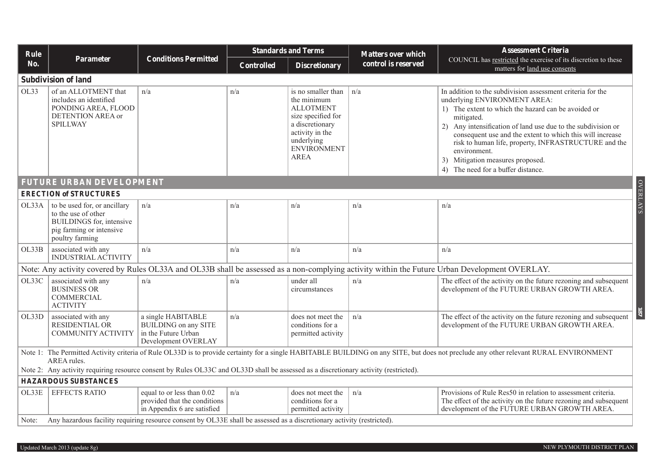| Rule  |                                                                                                                                      |                                                                                                 |                   | <b>Standards and Terms</b>                                                                                                                                    | <b>Matters over which</b> | <b>Assessment Criteria</b>                                                                                                                                                                                                                                                                                                                                                                                                                     |  |  |  |  |
|-------|--------------------------------------------------------------------------------------------------------------------------------------|-------------------------------------------------------------------------------------------------|-------------------|---------------------------------------------------------------------------------------------------------------------------------------------------------------|---------------------------|------------------------------------------------------------------------------------------------------------------------------------------------------------------------------------------------------------------------------------------------------------------------------------------------------------------------------------------------------------------------------------------------------------------------------------------------|--|--|--|--|
| No.   | <b>Parameter</b>                                                                                                                     | <b>Conditions Permitted</b>                                                                     | <b>Controlled</b> | <b>Discretionary</b>                                                                                                                                          | control is reserved       | COUNCIL has restricted the exercise of its discretion to these<br>matters for land use consents                                                                                                                                                                                                                                                                                                                                                |  |  |  |  |
|       | <b>Subdivision of land</b>                                                                                                           |                                                                                                 |                   |                                                                                                                                                               |                           |                                                                                                                                                                                                                                                                                                                                                                                                                                                |  |  |  |  |
| OL33  | of an ALLOTMENT that<br>includes an identified<br>PONDING AREA, FLOOD<br>DETENTION AREA or<br><b>SPILLWAY</b>                        | n/a                                                                                             | n/a               | is no smaller than<br>the minimum<br><b>ALLOTMENT</b><br>size specified for<br>a discretionary<br>activity in the<br>underlying<br>ENVIRONMENT<br><b>AREA</b> | n/a                       | In addition to the subdivision assessment criteria for the<br>underlying ENVIRONMENT AREA:<br>1) The extent to which the hazard can be avoided or<br>mitigated.<br>2) Any intensification of land use due to the subdivision or<br>consequent use and the extent to which this will increase<br>risk to human life, property, INFRASTRUCTURE and the<br>environment.<br>3) Mitigation measures proposed.<br>4) The need for a buffer distance. |  |  |  |  |
|       | <b>FUTURE URBAN DEVELOPMENT</b>                                                                                                      |                                                                                                 |                   |                                                                                                                                                               |                           |                                                                                                                                                                                                                                                                                                                                                                                                                                                |  |  |  |  |
|       | <b>ERECTION of STRUCTURES</b>                                                                                                        |                                                                                                 |                   |                                                                                                                                                               |                           |                                                                                                                                                                                                                                                                                                                                                                                                                                                |  |  |  |  |
| OL33A | to be used for, or ancillary<br>to the use of other<br>BUILDINGS for, intensive<br>pig farming or intensive<br>poultry farming       | n/a                                                                                             | n/a               | n/a                                                                                                                                                           | n/a                       | <b>OVERLAYS</b><br>n/a                                                                                                                                                                                                                                                                                                                                                                                                                         |  |  |  |  |
| OL33B | associated with any<br><b>INDUSTRIAL ACTIVITY</b>                                                                                    | n/a                                                                                             | n/a               | n/a                                                                                                                                                           | n/a                       | n/a                                                                                                                                                                                                                                                                                                                                                                                                                                            |  |  |  |  |
|       |                                                                                                                                      |                                                                                                 |                   |                                                                                                                                                               |                           | Note: Any activity covered by Rules OL33A and OL33B shall be assessed as a non-complying activity within the Future Urban Development OVERLAY.                                                                                                                                                                                                                                                                                                 |  |  |  |  |
| OL33C | associated with any<br><b>BUSINESS OR</b><br><b>COMMERCIAL</b><br><b>ACTIVITY</b>                                                    | n/a                                                                                             | n/a               | under all<br>circumstances                                                                                                                                    | n/a                       | The effect of the activity on the future rezoning and subsequent<br>development of the FUTURE URBAN GROWTH AREA.                                                                                                                                                                                                                                                                                                                               |  |  |  |  |
| OL33D | associated with any<br><b>RESIDENTIAL OR</b><br>COMMUNITY ACTIVITY                                                                   | a single HABITABLE<br><b>BUILDING</b> on any SITE<br>in the Future Urban<br>Development OVERLAY | n/a               | does not meet the<br>conditions for a<br>permitted activity                                                                                                   | n/a                       | $\overline{181}$<br>The effect of the activity on the future rezoning and subsequent<br>development of the FUTURE URBAN GROWTH AREA.                                                                                                                                                                                                                                                                                                           |  |  |  |  |
|       | AREA rules.                                                                                                                          |                                                                                                 |                   |                                                                                                                                                               |                           | Note 1: The Permitted Activity criteria of Rule OL33D is to provide certainty for a single HABITABLE BUILDING on any SITE, but does not preclude any other relevant RURAL ENVIRONMENT                                                                                                                                                                                                                                                          |  |  |  |  |
|       | Note 2: Any activity requiring resource consent by Rules OL33C and OL33D shall be assessed as a discretionary activity (restricted). |                                                                                                 |                   |                                                                                                                                                               |                           |                                                                                                                                                                                                                                                                                                                                                                                                                                                |  |  |  |  |
|       | <b>HAZARDOUS SUBSTANCES</b>                                                                                                          |                                                                                                 |                   |                                                                                                                                                               |                           |                                                                                                                                                                                                                                                                                                                                                                                                                                                |  |  |  |  |
| OL33E | <b>EFFECTS RATIO</b>                                                                                                                 | equal to or less than 0.02<br>provided that the conditions<br>in Appendix 6 are satisfied       | n/a               | does not meet the<br>conditions for a<br>permitted activity                                                                                                   | n/a                       | Provisions of Rule Res50 in relation to assessment criteria.<br>The effect of the activity on the future rezoning and subsequent<br>development of the FUTURE URBAN GROWTH AREA.                                                                                                                                                                                                                                                               |  |  |  |  |
|       | Note: Any hazardous facility requiring resource consent by OL33E shall be assessed as a discretionary activity (restricted).         |                                                                                                 |                   |                                                                                                                                                               |                           |                                                                                                                                                                                                                                                                                                                                                                                                                                                |  |  |  |  |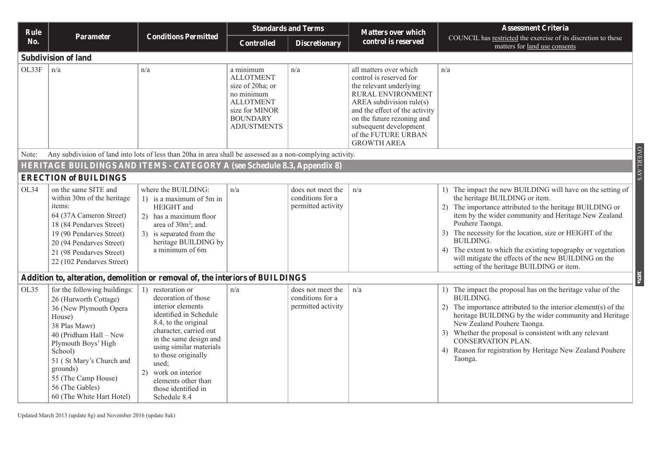| <b>Rule</b> |                                                                                                                                                                                                                                                                                       | <b>Conditions Permitted</b>                                                                                                                                                                                                                                                                                            |                                                                                                                                                | <b>Standards and Terms</b>                                  | <b>Matters over which</b>                                                                                                                                                                                                                                            | <b>Assessment Criteria</b>                                                                                                                                                                                                                                                                                                                                                                                                                                                               |
|-------------|---------------------------------------------------------------------------------------------------------------------------------------------------------------------------------------------------------------------------------------------------------------------------------------|------------------------------------------------------------------------------------------------------------------------------------------------------------------------------------------------------------------------------------------------------------------------------------------------------------------------|------------------------------------------------------------------------------------------------------------------------------------------------|-------------------------------------------------------------|----------------------------------------------------------------------------------------------------------------------------------------------------------------------------------------------------------------------------------------------------------------------|------------------------------------------------------------------------------------------------------------------------------------------------------------------------------------------------------------------------------------------------------------------------------------------------------------------------------------------------------------------------------------------------------------------------------------------------------------------------------------------|
| No.         | Parameter                                                                                                                                                                                                                                                                             |                                                                                                                                                                                                                                                                                                                        | <b>Controlled</b>                                                                                                                              | <b>Discretionary</b>                                        | control is reserved                                                                                                                                                                                                                                                  | COUNCIL has restricted the exercise of its discretion to these<br>matters for land use consents                                                                                                                                                                                                                                                                                                                                                                                          |
|             | <b>Subdivision of land</b>                                                                                                                                                                                                                                                            |                                                                                                                                                                                                                                                                                                                        |                                                                                                                                                |                                                             |                                                                                                                                                                                                                                                                      |                                                                                                                                                                                                                                                                                                                                                                                                                                                                                          |
| OL33F       | n/a                                                                                                                                                                                                                                                                                   | n/a                                                                                                                                                                                                                                                                                                                    | a minimum<br><b>ALLOTMENT</b><br>size of 20ha; or<br>no minimum<br><b>ALLOTMENT</b><br>size for MINOR<br><b>BOUNDARY</b><br><b>ADJUSTMENTS</b> | n/a                                                         | all matters over which<br>control is reserved for<br>the relevant underlying<br>RURAL ENVIRONMENT<br>AREA subdivision rule(s)<br>and the effect of the activity<br>on the future rezoning and<br>subsequent development<br>of the FUTURE URBAN<br><b>GROWTH AREA</b> | n/a                                                                                                                                                                                                                                                                                                                                                                                                                                                                                      |
| Note:       |                                                                                                                                                                                                                                                                                       | Any subdivision of land into lots of less than 20ha in area shall be assessed as a non-complying activity.                                                                                                                                                                                                             |                                                                                                                                                |                                                             |                                                                                                                                                                                                                                                                      |                                                                                                                                                                                                                                                                                                                                                                                                                                                                                          |
|             |                                                                                                                                                                                                                                                                                       | <b>HERITAGE BUILDINGS AND ITEMS - CATEGORY A (see Schedule 8.3, Appendix 8)</b>                                                                                                                                                                                                                                        |                                                                                                                                                |                                                             |                                                                                                                                                                                                                                                                      | <b>OVERLAYS</b>                                                                                                                                                                                                                                                                                                                                                                                                                                                                          |
|             | <b>ERECTION of BUILDINGS</b>                                                                                                                                                                                                                                                          |                                                                                                                                                                                                                                                                                                                        |                                                                                                                                                |                                                             |                                                                                                                                                                                                                                                                      |                                                                                                                                                                                                                                                                                                                                                                                                                                                                                          |
| OL34        | on the same SITE and<br>within 30m of the heritage<br>items:<br>64 (37A Cameron Street)<br>18 (84 Pendarves Street)<br>19 (90 Pendarves Street)<br>20 (94 Pendarves Street)<br>21 (98 Pendarves Street)<br>22 (102 Pendarves Street)                                                  | where the BUILDING:<br>1) is a maximum of 5m in<br>HEIGHT and<br>2) has a maximum floor<br>area of 30m <sup>2</sup> ; and.<br>3) is separated from the<br>heritage BUILDING by<br>a minimum of 6m                                                                                                                      | n/a                                                                                                                                            | does not meet the<br>conditions for a<br>permitted activity | n/a                                                                                                                                                                                                                                                                  | 1) The impact the new BUILDING will have on the setting of<br>the heritage BUILDING or item.<br>2) The importance attributed to the heritage BUILDING or<br>item by the wider community and Heritage New Zealand<br>Pouhere Taonga.<br>3) The necessity for the location, size or HEIGHT of the<br><b>BUILDING.</b><br>4) The extent to which the existing topography or vegetation<br>will mitigate the effects of the new BUILDING on the<br>setting of the heritage BUILDING or item. |
|             |                                                                                                                                                                                                                                                                                       | Addition to, alteration, demolition or removal of, the interiors of BUILDINGS                                                                                                                                                                                                                                          |                                                                                                                                                |                                                             |                                                                                                                                                                                                                                                                      | 187a                                                                                                                                                                                                                                                                                                                                                                                                                                                                                     |
| OL35        | for the following buildings:<br>26 (Hurworth Cottage)<br>36 (New Plymouth Opera<br>House)<br>38 Plas Mawr)<br>40 (Pridham Hall – New<br>Plymouth Boys' High<br>School)<br>51 (St Mary's Church and<br>grounds)<br>55 (The Camp House)<br>56 (The Gables)<br>60 (The White Hart Hotel) | 1) restoration or<br>decoration of those<br>interior elements<br>identified in Schedule<br>8.4, to the original<br>character, carried out<br>in the same design and<br>using similar materials<br>to those originally<br>used;<br>work on interior<br>2)<br>elements other than<br>those identified in<br>Schedule 8.4 | n/a                                                                                                                                            | does not meet the<br>conditions for a<br>permitted activity | n/a                                                                                                                                                                                                                                                                  | 1) The impact the proposal has on the heritage value of the<br><b>BUILDING.</b><br>2) The importance attributed to the interior element(s) of the<br>heritage BUILDING by the wider community and Heritage<br>New Zealand Pouhere Taonga.<br>3) Whether the proposal is consistent with any relevant<br><b>CONSERVATION PLAN.</b><br>4) Reason for registration by Heritage New Zealand Pouhere<br>Taonga.                                                                               |

Updated March 2013 (update 8g) and November 2016 (update 8ak)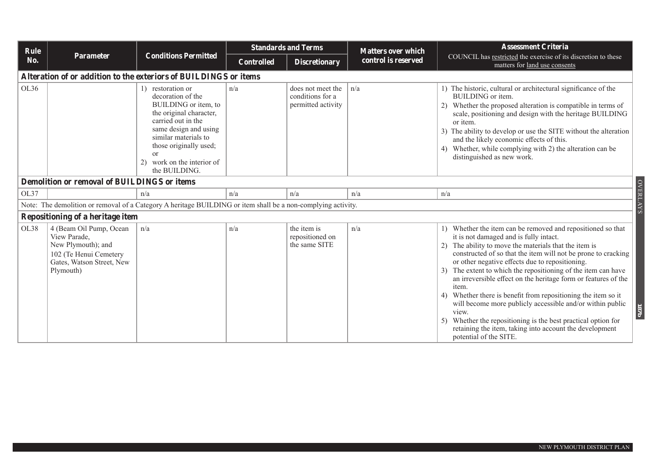|      | Rule                                                                                                                              |                                                                                                                                                                                                                                                         |                   | <b>Standards and Terms</b>                                  | <b>Matters over which</b> | <b>Assessment Criteria</b>                                                                                                                                                                                                                                                                                                                                                                                                                                                                                                                                                                                                                                                                                                       |
|------|-----------------------------------------------------------------------------------------------------------------------------------|---------------------------------------------------------------------------------------------------------------------------------------------------------------------------------------------------------------------------------------------------------|-------------------|-------------------------------------------------------------|---------------------------|----------------------------------------------------------------------------------------------------------------------------------------------------------------------------------------------------------------------------------------------------------------------------------------------------------------------------------------------------------------------------------------------------------------------------------------------------------------------------------------------------------------------------------------------------------------------------------------------------------------------------------------------------------------------------------------------------------------------------------|
| No.  | <b>Parameter</b>                                                                                                                  | <b>Conditions Permitted</b>                                                                                                                                                                                                                             | <b>Controlled</b> | <b>Discretionary</b>                                        | control is reserved       | COUNCIL has restricted the exercise of its discretion to these<br>matters for land use consents                                                                                                                                                                                                                                                                                                                                                                                                                                                                                                                                                                                                                                  |
|      | Alteration of or addition to the exteriors of BUILDINGS or items                                                                  |                                                                                                                                                                                                                                                         |                   |                                                             |                           |                                                                                                                                                                                                                                                                                                                                                                                                                                                                                                                                                                                                                                                                                                                                  |
| OL36 |                                                                                                                                   | 1) restoration or<br>decoration of the<br>BUILDING or item, to<br>the original character,<br>carried out in the<br>same design and using<br>similar materials to<br>those originally used;<br><sub>or</sub><br>work on the interior of<br>the BUILDING. | n/a               | does not meet the<br>conditions for a<br>permitted activity | n/a                       | 1) The historic, cultural or architectural significance of the<br>BUILDING or item.<br>2) Whether the proposed alteration is compatible in terms of<br>scale, positioning and design with the heritage BUILDING<br>or item.<br>The ability to develop or use the SITE without the alteration<br>and the likely economic effects of this.<br>Whether, while complying with 2) the alteration can be<br>distinguished as new work.                                                                                                                                                                                                                                                                                                 |
|      | <b>Demolition or removal of BUILDINGS or items</b>                                                                                |                                                                                                                                                                                                                                                         |                   |                                                             |                           |                                                                                                                                                                                                                                                                                                                                                                                                                                                                                                                                                                                                                                                                                                                                  |
| OL37 |                                                                                                                                   | n/a                                                                                                                                                                                                                                                     | n/a               | n/a                                                         | n/a                       | n/a                                                                                                                                                                                                                                                                                                                                                                                                                                                                                                                                                                                                                                                                                                                              |
|      | Note: The demolition or removal of a Category A heritage BUILDING or item shall be a non-complying activity.                      |                                                                                                                                                                                                                                                         |                   |                                                             |                           | <b>OVERLAYS</b>                                                                                                                                                                                                                                                                                                                                                                                                                                                                                                                                                                                                                                                                                                                  |
|      | Repositioning of a heritage item                                                                                                  |                                                                                                                                                                                                                                                         |                   |                                                             |                           |                                                                                                                                                                                                                                                                                                                                                                                                                                                                                                                                                                                                                                                                                                                                  |
| OL38 | 4 (Beam Oil Pump, Ocean<br>View Parade,<br>New Plymouth); and<br>102 (Te Henui Cemetery<br>Gates, Watson Street, New<br>Plymouth) | n/a                                                                                                                                                                                                                                                     | n/a               | the item is<br>repositioned on<br>the same SITE             | n/a                       | 1) Whether the item can be removed and repositioned so that<br>it is not damaged and is fully intact.<br>The ability to move the materials that the item is<br>constructed of so that the item will not be prone to cracking<br>or other negative effects due to repositioning.<br>The extent to which the repositioning of the item can have<br>an irreversible effect on the heritage form or features of the<br>item.<br>4) Whether there is benefit from repositioning the item so it<br>will become more publicly accessible and/or within public<br>1876<br>view.<br>Whether the repositioning is the best practical option for<br>5)<br>retaining the item, taking into account the development<br>potential of the SITE. |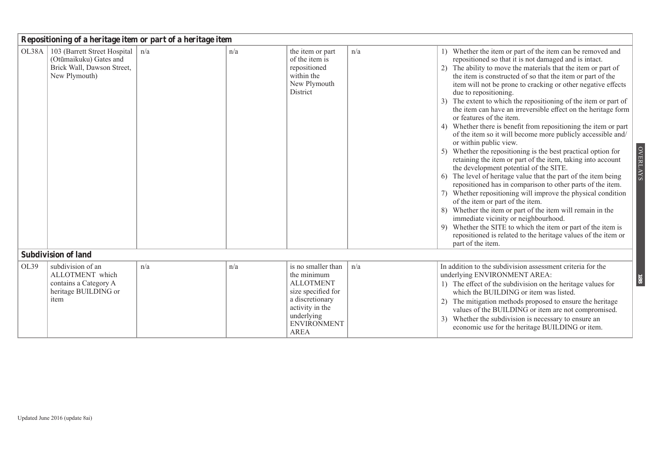|      | Repositioning of a heritage item or part of a heritage item                                                         |     |     |                                                                                                                                                                      |     |                                                                                                                                                                                                                                                                                                                                                                                                                                                                                                                                                                                                                                                                                                                                                                                                                                                                                                                                                                                                                                                                                                                                                                                                                                                                                                                                                                      |  |  |  |  |
|------|---------------------------------------------------------------------------------------------------------------------|-----|-----|----------------------------------------------------------------------------------------------------------------------------------------------------------------------|-----|----------------------------------------------------------------------------------------------------------------------------------------------------------------------------------------------------------------------------------------------------------------------------------------------------------------------------------------------------------------------------------------------------------------------------------------------------------------------------------------------------------------------------------------------------------------------------------------------------------------------------------------------------------------------------------------------------------------------------------------------------------------------------------------------------------------------------------------------------------------------------------------------------------------------------------------------------------------------------------------------------------------------------------------------------------------------------------------------------------------------------------------------------------------------------------------------------------------------------------------------------------------------------------------------------------------------------------------------------------------------|--|--|--|--|
|      | OL38A   103 (Barrett Street Hospital   n/a<br>(Otūmaikuku) Gates and<br>Brick Wall, Dawson Street,<br>New Plymouth) |     | n/a | the item or part<br>of the item is<br>repositioned<br>within the<br>New Plymouth<br>District                                                                         | n/a | 1) Whether the item or part of the item can be removed and<br>repositioned so that it is not damaged and is intact.<br>2) The ability to move the materials that the item or part of<br>the item is constructed of so that the item or part of the<br>item will not be prone to cracking or other negative effects<br>due to repositioning.<br>3) The extent to which the repositioning of the item or part of<br>the item can have an irreversible effect on the heritage form<br>or features of the item.<br>4) Whether there is benefit from repositioning the item or part<br>of the item so it will become more publicly accessible and/<br>or within public view.<br><b>OVERLAYS</b><br>5) Whether the repositioning is the best practical option for<br>retaining the item or part of the item, taking into account<br>the development potential of the SITE.<br>6) The level of heritage value that the part of the item being<br>repositioned has in comparison to other parts of the item.<br>7) Whether repositioning will improve the physical condition<br>of the item or part of the item.<br>8) Whether the item or part of the item will remain in the<br>immediate vicinity or neighbourhood.<br>9) Whether the SITE to which the item or part of the item is<br>repositioned is related to the heritage values of the item or<br>part of the item. |  |  |  |  |
|      | <b>Subdivision of land</b>                                                                                          |     |     |                                                                                                                                                                      |     |                                                                                                                                                                                                                                                                                                                                                                                                                                                                                                                                                                                                                                                                                                                                                                                                                                                                                                                                                                                                                                                                                                                                                                                                                                                                                                                                                                      |  |  |  |  |
| OL39 | subdivision of an<br>ALLOTMENT which<br>contains a Category A<br>heritage BUILDING or<br>item                       | n/a | n/a | is no smaller than<br>the minimum<br><b>ALLOTMENT</b><br>size specified for<br>a discretionary<br>activity in the<br>underlying<br><b>ENVIRONMENT</b><br><b>AREA</b> | n/a | In addition to the subdivision assessment criteria for the<br>underlying ENVIRONMENT AREA:<br><b>881</b><br>1) The effect of the subdivision on the heritage values for<br>which the BUILDING or item was listed.<br>2) The mitigation methods proposed to ensure the heritage<br>values of the BUILDING or item are not compromised.<br>3) Whether the subdivision is necessary to ensure an<br>economic use for the heritage BUILDING or item.                                                                                                                                                                                                                                                                                                                                                                                                                                                                                                                                                                                                                                                                                                                                                                                                                                                                                                                     |  |  |  |  |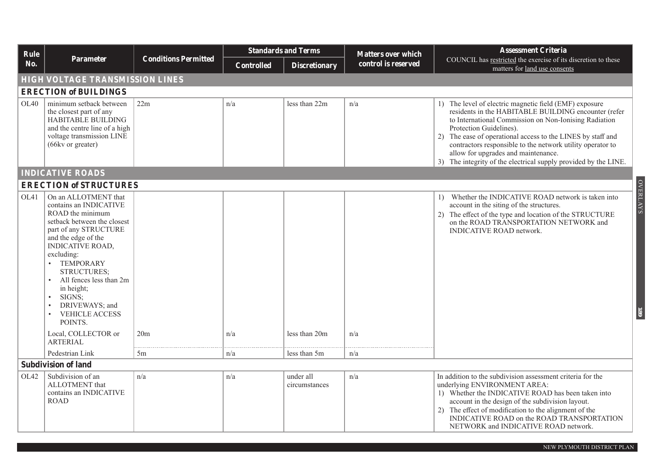| Rule |                                                                                                                                                                                                                                                                                                                                                                  |                             |                   | <b>Standards and Terms</b> | <b>Matters over which</b> | <b>Assessment Criteria</b>                                                                                                                                                                                                                                                                                                                                                                                                                |  |  |  |  |
|------|------------------------------------------------------------------------------------------------------------------------------------------------------------------------------------------------------------------------------------------------------------------------------------------------------------------------------------------------------------------|-----------------------------|-------------------|----------------------------|---------------------------|-------------------------------------------------------------------------------------------------------------------------------------------------------------------------------------------------------------------------------------------------------------------------------------------------------------------------------------------------------------------------------------------------------------------------------------------|--|--|--|--|
| No.  | Parameter                                                                                                                                                                                                                                                                                                                                                        | <b>Conditions Permitted</b> | <b>Controlled</b> | <b>Discretionary</b>       | control is reserved       | COUNCIL has restricted the exercise of its discretion to these<br>matters for land use consents                                                                                                                                                                                                                                                                                                                                           |  |  |  |  |
|      | <b>HIGH VOLTAGE TRANSMISSION LINES</b>                                                                                                                                                                                                                                                                                                                           |                             |                   |                            |                           |                                                                                                                                                                                                                                                                                                                                                                                                                                           |  |  |  |  |
|      | <b>ERECTION of BUILDINGS</b>                                                                                                                                                                                                                                                                                                                                     |                             |                   |                            |                           |                                                                                                                                                                                                                                                                                                                                                                                                                                           |  |  |  |  |
| OL40 | minimum setback between<br>the closest part of any<br>HABITABLE BUILDING<br>and the centre line of a high<br>voltage transmission LINE<br>(66kv or greater)                                                                                                                                                                                                      | 22m                         | n/a               | less than 22m              | n/a                       | 1) The level of electric magnetic field (EMF) exposure<br>residents in the HABITABLE BUILDING encounter (refer<br>to International Commission on Non-Ionising Radiation<br>Protection Guidelines).<br>2) The ease of operational access to the LINES by staff and<br>contractors responsible to the network utility operator to<br>allow for upgrades and maintenance.<br>3) The integrity of the electrical supply provided by the LINE. |  |  |  |  |
|      | <b>INDICATIVE ROADS</b>                                                                                                                                                                                                                                                                                                                                          |                             |                   |                            |                           |                                                                                                                                                                                                                                                                                                                                                                                                                                           |  |  |  |  |
|      | <b>ERECTION of STRUCTURES</b>                                                                                                                                                                                                                                                                                                                                    |                             |                   |                            |                           |                                                                                                                                                                                                                                                                                                                                                                                                                                           |  |  |  |  |
| OL41 | On an ALLOTMENT that<br>contains an INDICATIVE<br>ROAD the minimum<br>setback between the closest<br>part of any STRUCTURE<br>and the edge of the<br><b>INDICATIVE ROAD,</b><br>excluding:<br><b>TEMPORARY</b><br>$\bullet$<br>STRUCTURES;<br>All fences less than 2m<br>in height;<br>SIGNS;<br>DRIVEWAYS; and<br><b>VEHICLE ACCESS</b><br>$\bullet$<br>POINTS. |                             |                   |                            |                           | <b>OVERLAYS</b><br>Whether the INDICATIVE ROAD network is taken into<br>$\mathbf{D}$<br>account in the siting of the structures.<br>2) The effect of the type and location of the STRUCTURE<br>on the ROAD TRANSPORTATION NETWORK and<br><b>INDICATIVE ROAD network.</b><br>68                                                                                                                                                            |  |  |  |  |
|      | Local, COLLECTOR or<br><b>ARTERIAL</b>                                                                                                                                                                                                                                                                                                                           | 20m                         | n/a               | less than 20m              | n/a                       |                                                                                                                                                                                                                                                                                                                                                                                                                                           |  |  |  |  |
|      | Pedestrian Link                                                                                                                                                                                                                                                                                                                                                  | 5m                          | n/a               | less than 5m               | n/a                       |                                                                                                                                                                                                                                                                                                                                                                                                                                           |  |  |  |  |
|      | <b>Subdivision of land</b>                                                                                                                                                                                                                                                                                                                                       |                             |                   |                            |                           |                                                                                                                                                                                                                                                                                                                                                                                                                                           |  |  |  |  |
| OL42 | Subdivision of an<br>ALLOTMENT that<br>contains an INDICATIVE<br><b>ROAD</b>                                                                                                                                                                                                                                                                                     | n/a                         | n/a               | under all<br>circumstances | n/a                       | In addition to the subdivision assessment criteria for the<br>underlying ENVIRONMENT AREA:<br>1) Whether the INDICATIVE ROAD has been taken into<br>account in the design of the subdivision layout.<br>2) The effect of modification to the alignment of the<br>INDICATIVE ROAD on the ROAD TRANSPORTATION<br>NETWORK and INDICATIVE ROAD network.                                                                                       |  |  |  |  |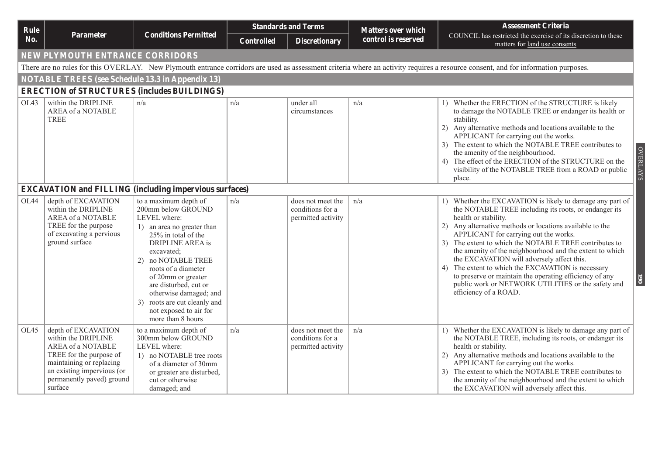| Rule |                                                                                                                                                                                              |                                                                                                                                                                                                                                                                                                                                                                | <b>Standards and Terms</b> |                                                             | <b>Matters over which</b> | <b>Assessment Criteria</b>                                                                                                                                                                                                                                                                                                                                                                                                                                                                                                                                                                                                                      |
|------|----------------------------------------------------------------------------------------------------------------------------------------------------------------------------------------------|----------------------------------------------------------------------------------------------------------------------------------------------------------------------------------------------------------------------------------------------------------------------------------------------------------------------------------------------------------------|----------------------------|-------------------------------------------------------------|---------------------------|-------------------------------------------------------------------------------------------------------------------------------------------------------------------------------------------------------------------------------------------------------------------------------------------------------------------------------------------------------------------------------------------------------------------------------------------------------------------------------------------------------------------------------------------------------------------------------------------------------------------------------------------------|
| No.  | Parameter                                                                                                                                                                                    | <b>Conditions Permitted</b>                                                                                                                                                                                                                                                                                                                                    | <b>Controlled</b>          | <b>Discretionary</b>                                        | control is reserved       | COUNCIL has restricted the exercise of its discretion to these<br>matters for land use consents                                                                                                                                                                                                                                                                                                                                                                                                                                                                                                                                                 |
|      | NEW PLYMOUTH ENTRANCE CORRIDORS                                                                                                                                                              |                                                                                                                                                                                                                                                                                                                                                                |                            |                                                             |                           |                                                                                                                                                                                                                                                                                                                                                                                                                                                                                                                                                                                                                                                 |
|      |                                                                                                                                                                                              |                                                                                                                                                                                                                                                                                                                                                                |                            |                                                             |                           | There are no rules for this OVERLAY. New Plymouth entrance corridors are used as assessment criteria where an activity requires a resource consent, and for information purposes.                                                                                                                                                                                                                                                                                                                                                                                                                                                               |
|      | <b>NOTABLE TREES</b> (see Schedule 13.3 in Appendix 13)                                                                                                                                      |                                                                                                                                                                                                                                                                                                                                                                |                            |                                                             |                           |                                                                                                                                                                                                                                                                                                                                                                                                                                                                                                                                                                                                                                                 |
|      |                                                                                                                                                                                              | <b>ERECTION of STRUCTURES (includes BUILDINGS)</b>                                                                                                                                                                                                                                                                                                             |                            |                                                             |                           |                                                                                                                                                                                                                                                                                                                                                                                                                                                                                                                                                                                                                                                 |
| OL43 | within the DRIPLINE<br>AREA of a NOTABLE<br><b>TREE</b>                                                                                                                                      | n/a                                                                                                                                                                                                                                                                                                                                                            | n/a                        | under all<br>circumstances                                  | n/a                       | 1) Whether the ERECTION of the STRUCTURE is likely<br>to damage the NOTABLE TREE or endanger its health or<br>stability.<br>2) Any alternative methods and locations available to the<br>APPLICANT for carrying out the works.<br>3) The extent to which the NOTABLE TREE contributes to<br><b>OVERLAYS</b><br>the amenity of the neighbourhood.<br>4) The effect of the ERECTION of the STRUCTURE on the<br>visibility of the NOTABLE TREE from a ROAD or public<br>place.                                                                                                                                                                     |
|      |                                                                                                                                                                                              | <b>EXCAVATION and FILLING (including impervious surfaces)</b>                                                                                                                                                                                                                                                                                                  |                            |                                                             |                           |                                                                                                                                                                                                                                                                                                                                                                                                                                                                                                                                                                                                                                                 |
| OL44 | depth of EXCAVATION<br>within the DRIPLINE<br>AREA of a NOTABLE<br>TREE for the purpose<br>of excavating a pervious<br>ground surface                                                        | to a maximum depth of<br>200mm below GROUND<br>LEVEL where:<br>1) an area no greater than<br>25% in total of the<br>DRIPLINE AREA is<br>excavated;<br>no NOTABLE TREE<br>(2)<br>roots of a diameter<br>of 20mm or greater<br>are disturbed, cut or<br>otherwise damaged; and<br>roots are cut cleanly and<br>3)<br>not exposed to air for<br>more than 8 hours | n/a                        | does not meet the<br>conditions for a<br>permitted activity | n/a                       | 1) Whether the EXCAVATION is likely to damage any part of<br>the NOTABLE TREE including its roots, or endanger its<br>health or stability.<br>2) Any alternative methods or locations available to the<br>APPLICANT for carrying out the works.<br>3) The extent to which the NOTABLE TREE contributes to<br>the amenity of the neighbourhood and the extent to which<br>the EXCAVATION will adversely affect this.<br>4) The extent to which the EXCAVATION is necessary<br>to preserve or maintain the operating efficiency of any<br>$\overline{\phantom{0}}$<br>public work or NETWORK UTILITIES or the safety and<br>efficiency of a ROAD. |
| OL45 | depth of EXCAVATION<br>within the DRIPLINE<br>AREA of a NOTABLE<br>TREE for the purpose of<br>maintaining or replacing<br>an existing impervious (or<br>permanently paved) ground<br>surface | to a maximum depth of<br>300mm below GROUND<br>LEVEL where:<br>1) no NOTABLE tree roots<br>of a diameter of 30mm<br>or greater are disturbed,<br>cut or otherwise<br>damaged; and                                                                                                                                                                              | n/a                        | does not meet the<br>conditions for a<br>permitted activity | n/a                       | 1) Whether the EXCAVATION is likely to damage any part of<br>the NOTABLE TREE, including its roots, or endanger its<br>health or stability.<br>2) Any alternative methods and locations available to the<br>APPLICANT for carrying out the works.<br>3) The extent to which the NOTABLE TREE contributes to<br>the amenity of the neighbourhood and the extent to which<br>the EXCAVATION will adversely affect this.                                                                                                                                                                                                                           |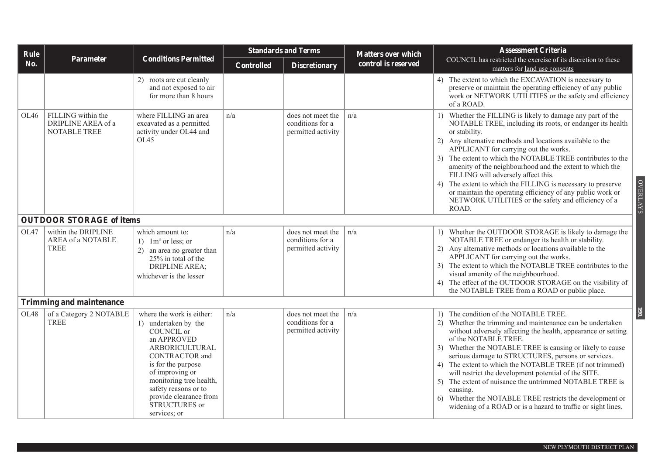| Rule |                                                                 |                                                                                                                                                                                                                                                                                  | <b>Standards and Terms</b> |                                                             | <b>Matters over which</b> | <b>Assessment Criteria</b>                                                                                                                                                                                                                                                                                                                                                                                                                                                                                                                                                                                                                   |
|------|-----------------------------------------------------------------|----------------------------------------------------------------------------------------------------------------------------------------------------------------------------------------------------------------------------------------------------------------------------------|----------------------------|-------------------------------------------------------------|---------------------------|----------------------------------------------------------------------------------------------------------------------------------------------------------------------------------------------------------------------------------------------------------------------------------------------------------------------------------------------------------------------------------------------------------------------------------------------------------------------------------------------------------------------------------------------------------------------------------------------------------------------------------------------|
| No.  | Parameter                                                       | <b>Conditions Permitted</b>                                                                                                                                                                                                                                                      | <b>Controlled</b>          | <b>Discretionary</b>                                        | control is reserved       | COUNCIL has restricted the exercise of its discretion to these<br>matters for land use consents                                                                                                                                                                                                                                                                                                                                                                                                                                                                                                                                              |
|      |                                                                 | 2) roots are cut cleanly<br>and not exposed to air<br>for more than 8 hours                                                                                                                                                                                                      |                            |                                                             |                           | 4) The extent to which the EXCAVATION is necessary to<br>preserve or maintain the operating efficiency of any public<br>work or NETWORK UTILITIES or the safety and efficiency<br>of a ROAD.                                                                                                                                                                                                                                                                                                                                                                                                                                                 |
| OL46 | FILLING within the<br>DRIPLINE AREA of a<br><b>NOTABLE TREE</b> | where FILLING an area<br>excavated as a permitted<br>activity under OL44 and<br>OL45                                                                                                                                                                                             | n/a                        | does not meet the<br>conditions for a<br>permitted activity | n/a                       | 1) Whether the FILLING is likely to damage any part of the<br>NOTABLE TREE, including its roots, or endanger its health<br>or stability.<br>2) Any alternative methods and locations available to the<br>APPLICANT for carrying out the works.<br>3) The extent to which the NOTABLE TREE contributes to the<br>amenity of the neighbourhood and the extent to which the<br>FILLING will adversely affect this.<br><b>OVERLAYS</b><br>4) The extent to which the FILLING is necessary to preserve<br>or maintain the operating efficiency of any public work or<br>NETWORK UTILITIES or the safety and efficiency of a<br>ROAD.              |
|      | <b>OUTDOOR STORAGE of items</b>                                 |                                                                                                                                                                                                                                                                                  |                            |                                                             |                           |                                                                                                                                                                                                                                                                                                                                                                                                                                                                                                                                                                                                                                              |
| OL47 | within the DRIPLINE<br>AREA of a NOTABLE<br>TREE                | which amount to:<br>1) $1m3$ or less; or<br>2) an area no greater than<br>25% in total of the<br><b>DRIPLINE AREA:</b><br>whichever is the lesser                                                                                                                                | n/a                        | does not meet the<br>conditions for a<br>permitted activity | n/a                       | 1) Whether the OUTDOOR STORAGE is likely to damage the<br>NOTABLE TREE or endanger its health or stability.<br>2) Any alternative methods or locations available to the<br>APPLICANT for carrying out the works.<br>3) The extent to which the NOTABLE TREE contributes to the<br>visual amenity of the neighbourhood.<br>4) The effect of the OUTDOOR STORAGE on the visibility of<br>the NOTABLE TREE from a ROAD or public place.                                                                                                                                                                                                         |
|      | Trimming and maintenance                                        |                                                                                                                                                                                                                                                                                  |                            |                                                             |                           |                                                                                                                                                                                                                                                                                                                                                                                                                                                                                                                                                                                                                                              |
| OL48 | of a Category 2 NOTABLE<br>TREE                                 | where the work is either:<br>1) undertaken by the<br>COUNCIL or<br>an APPROVED<br>ARBORICULTURAL<br><b>CONTRACTOR</b> and<br>is for the purpose<br>of improving or<br>monitoring tree health,<br>safety reasons or to<br>provide clearance from<br>STRUCTURES or<br>services; or | n/a                        | does not meet the<br>conditions for a<br>permitted activity | n/a                       | 161<br>1) The condition of the NOTABLE TREE.<br>2) Whether the trimming and maintenance can be undertaken<br>without adversely affecting the health, appearance or setting<br>of the NOTABLE TREE.<br>3) Whether the NOTABLE TREE is causing or likely to cause<br>serious damage to STRUCTURES, persons or services.<br>4) The extent to which the NOTABLE TREE (if not trimmed)<br>will restrict the development potential of the SITE.<br>5) The extent of nuisance the untrimmed NOTABLE TREE is<br>causing.<br>6) Whether the NOTABLE TREE restricts the development or<br>widening of a ROAD or is a hazard to traffic or sight lines. |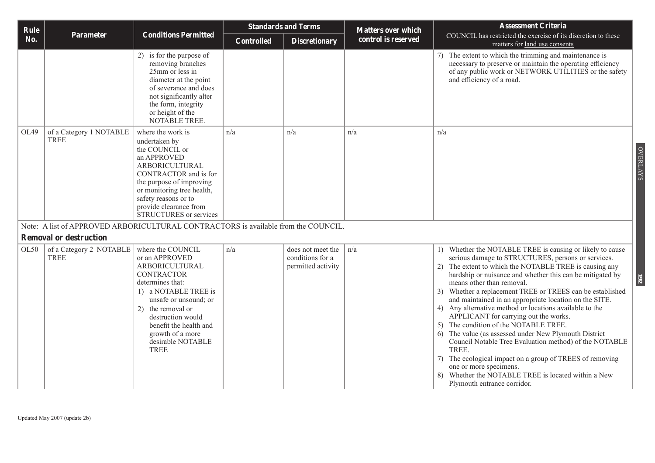| Rule |                                        |                                                                                                                                                                                                                                                                      | <b>Standards and Terms</b> |                                                             | <b>Matters over which</b> | <b>Assessment Criteria</b>                                                                                                                                                                                                                                                                                                                                                                                                                                                                                                                                                                                                                                                                                                                                                                                                                                        |  |
|------|----------------------------------------|----------------------------------------------------------------------------------------------------------------------------------------------------------------------------------------------------------------------------------------------------------------------|----------------------------|-------------------------------------------------------------|---------------------------|-------------------------------------------------------------------------------------------------------------------------------------------------------------------------------------------------------------------------------------------------------------------------------------------------------------------------------------------------------------------------------------------------------------------------------------------------------------------------------------------------------------------------------------------------------------------------------------------------------------------------------------------------------------------------------------------------------------------------------------------------------------------------------------------------------------------------------------------------------------------|--|
| No.  | Parameter                              | <b>Conditions Permitted</b>                                                                                                                                                                                                                                          | <b>Controlled</b>          | <b>Discretionary</b>                                        | control is reserved       | COUNCIL has restricted the exercise of its discretion to these<br>matters for land use consents                                                                                                                                                                                                                                                                                                                                                                                                                                                                                                                                                                                                                                                                                                                                                                   |  |
|      |                                        | 2) is for the purpose of<br>removing branches<br>25mm or less in<br>diameter at the point<br>of severance and does<br>not significantly alter<br>the form, integrity<br>or height of the<br>NOTABLE TREE.                                                            |                            |                                                             |                           | 7) The extent to which the trimming and maintenance is<br>necessary to preserve or maintain the operating efficiency<br>of any public work or NETWORK UTILITIES or the safety<br>and efficiency of a road.                                                                                                                                                                                                                                                                                                                                                                                                                                                                                                                                                                                                                                                        |  |
| OL49 | of a Category 1 NOTABLE<br><b>TREE</b> | where the work is<br>undertaken by<br>the COUNCIL or<br>an APPROVED<br>ARBORICULTURAL<br>CONTRACTOR and is for<br>the purpose of improving<br>or monitoring tree health,<br>safety reasons or to<br>provide clearance from<br><b>STRUCTURES</b> or services          | n/a                        | n/a                                                         | n/a                       | n/a<br><b>OVERLAYS</b>                                                                                                                                                                                                                                                                                                                                                                                                                                                                                                                                                                                                                                                                                                                                                                                                                                            |  |
|      |                                        | Note: A list of APPROVED ARBORICULTURAL CONTRACTORS is available from the COUNCIL.                                                                                                                                                                                   |                            |                                                             |                           |                                                                                                                                                                                                                                                                                                                                                                                                                                                                                                                                                                                                                                                                                                                                                                                                                                                                   |  |
|      | <b>Removal or destruction</b>          |                                                                                                                                                                                                                                                                      |                            |                                                             |                           |                                                                                                                                                                                                                                                                                                                                                                                                                                                                                                                                                                                                                                                                                                                                                                                                                                                                   |  |
| OL50 | of a Category 2 NOTABLE<br>TREE        | where the COUNCIL<br>or an APPROVED<br>ARBORICULTURAL<br><b>CONTRACTOR</b><br>determines that:<br>1) a NOTABLE TREE is<br>unsafe or unsound; or<br>2) the removal or<br>destruction would<br>benefit the health and<br>growth of a more<br>desirable NOTABLE<br>TREE | n/a                        | does not meet the<br>conditions for a<br>permitted activity | n/a                       | 1) Whether the NOTABLE TREE is causing or likely to cause<br>serious damage to STRUCTURES, persons or services.<br>2) The extent to which the NOTABLE TREE is causing any<br>hardship or nuisance and whether this can be mitigated by<br>$\overline{5}$<br>means other than removal.<br>3) Whether a replacement TREE or TREES can be established<br>and maintained in an appropriate location on the SITE.<br>4) Any alternative method or locations available to the<br>APPLICANT for carrying out the works.<br>5) The condition of the NOTABLE TREE.<br>The value (as assessed under New Plymouth District<br>Council Notable Tree Evaluation method) of the NOTABLE<br>TREE.<br>The ecological impact on a group of TREES of removing<br>7)<br>one or more specimens.<br>8) Whether the NOTABLE TREE is located within a New<br>Plymouth entrance corridor. |  |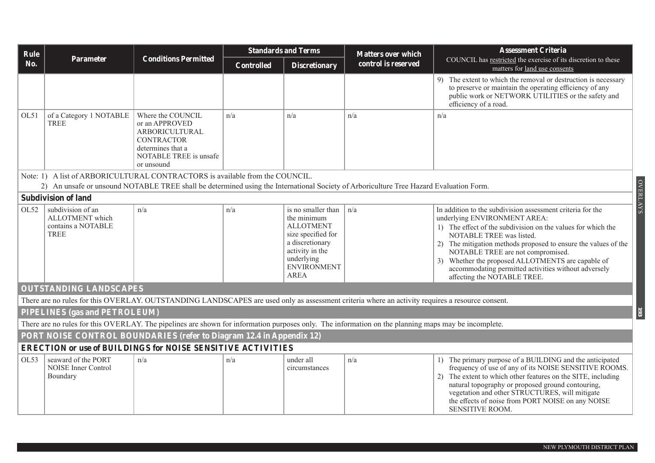| Rule |                                                                              |                                                                                                                                                     |                   | <b>Standards and Terms</b>                                                                                                                                    | <b>Matters over which</b> | <b>Assessment Criteria</b>                                                                                                                                                                                                                                                                                                                                                                                                                |  |  |  |
|------|------------------------------------------------------------------------------|-----------------------------------------------------------------------------------------------------------------------------------------------------|-------------------|---------------------------------------------------------------------------------------------------------------------------------------------------------------|---------------------------|-------------------------------------------------------------------------------------------------------------------------------------------------------------------------------------------------------------------------------------------------------------------------------------------------------------------------------------------------------------------------------------------------------------------------------------------|--|--|--|
| No.  | Parameter                                                                    | <b>Conditions Permitted</b>                                                                                                                         | <b>Controlled</b> | <b>Discretionary</b>                                                                                                                                          | control is reserved       | COUNCIL has restricted the exercise of its discretion to these<br>matters for land use consents                                                                                                                                                                                                                                                                                                                                           |  |  |  |
|      |                                                                              |                                                                                                                                                     |                   |                                                                                                                                                               |                           | 9) The extent to which the removal or destruction is necessary<br>to preserve or maintain the operating efficiency of any<br>public work or NETWORK UTILITIES or the safety and<br>efficiency of a road.                                                                                                                                                                                                                                  |  |  |  |
| OL51 | of a Category 1 NOTABLE<br><b>TREE</b>                                       | Where the COUNCIL<br>or an APPROVED<br>ARBORICULTURAL<br><b>CONTRACTOR</b><br>determines that a<br>NOTABLE TREE is unsafe<br>or unsound             | n/a               | n/a                                                                                                                                                           | n/a                       | n/a                                                                                                                                                                                                                                                                                                                                                                                                                                       |  |  |  |
|      | Note: 1) A list of ARBORICULTURAL CONTRACTORS is available from the COUNCIL. |                                                                                                                                                     |                   |                                                                                                                                                               |                           |                                                                                                                                                                                                                                                                                                                                                                                                                                           |  |  |  |
|      |                                                                              | 2) An unsafe or unsound NOTABLE TREE shall be determined using the International Society of Arboriculture Tree Hazard Evaluation Form.              |                   |                                                                                                                                                               |                           | <b>OVERLAYS</b>                                                                                                                                                                                                                                                                                                                                                                                                                           |  |  |  |
|      | <b>Subdivision of land</b>                                                   |                                                                                                                                                     |                   |                                                                                                                                                               |                           |                                                                                                                                                                                                                                                                                                                                                                                                                                           |  |  |  |
| OL52 | subdivision of an<br>ALLOTMENT which<br>contains a NOTABLE<br><b>TREE</b>    | n/a                                                                                                                                                 | n/a               | is no smaller than<br>the minimum<br><b>ALLOTMENT</b><br>size specified for<br>a discretionary<br>activity in the<br>underlying<br><b>ENVIRONMENT</b><br>AREA | $\ln/a$                   | In addition to the subdivision assessment criteria for the<br>underlying ENVIRONMENT AREA:<br>1) The effect of the subdivision on the values for which the<br>NOTABLE TREE was listed.<br>2) The mitigation methods proposed to ensure the values of the<br>NOTABLE TREE are not compromised.<br>3) Whether the proposed ALLOTMENTS are capable of<br>accommodating permitted activities without adversely<br>affecting the NOTABLE TREE. |  |  |  |
|      | <b>OUTSTANDING LANDSCAPES</b>                                                |                                                                                                                                                     |                   |                                                                                                                                                               |                           |                                                                                                                                                                                                                                                                                                                                                                                                                                           |  |  |  |
|      |                                                                              | There are no rules for this OVERLAY. OUTSTANDING LANDSCAPES are used only as assessment criteria where an activity requires a resource consent.     |                   |                                                                                                                                                               |                           |                                                                                                                                                                                                                                                                                                                                                                                                                                           |  |  |  |
|      | PIPELINES (gas and PETROLEUM)                                                |                                                                                                                                                     |                   |                                                                                                                                                               |                           | 193                                                                                                                                                                                                                                                                                                                                                                                                                                       |  |  |  |
|      |                                                                              | There are no rules for this OVERLAY. The pipelines are shown for information purposes only. The information on the planning maps may be incomplete. |                   |                                                                                                                                                               |                           |                                                                                                                                                                                                                                                                                                                                                                                                                                           |  |  |  |
|      |                                                                              | PORT NOISE CONTROL BOUNDARIES (refer to Diagram 12.4 in Appendix 12)                                                                                |                   |                                                                                                                                                               |                           |                                                                                                                                                                                                                                                                                                                                                                                                                                           |  |  |  |
|      |                                                                              | <b>ERECTION or use of BUILDINGS for NOISE SENSITIVE ACTIVITIES</b>                                                                                  |                   |                                                                                                                                                               |                           |                                                                                                                                                                                                                                                                                                                                                                                                                                           |  |  |  |
| OL53 | seaward of the PORT<br><b>NOISE</b> Inner Control<br>Boundary                | n/a                                                                                                                                                 | n/a               | under all<br>circumstances                                                                                                                                    | n/a                       | 1) The primary purpose of a BUILDING and the anticipated<br>frequency of use of any of its NOISE SENSITIVE ROOMS.<br>2) The extent to which other features on the SITE, including<br>natural topography or proposed ground contouring,<br>vegetation and other STRUCTURES, will mitigate<br>the effects of noise from PORT NOISE on any NOISE<br>SENSITIVE ROOM.                                                                          |  |  |  |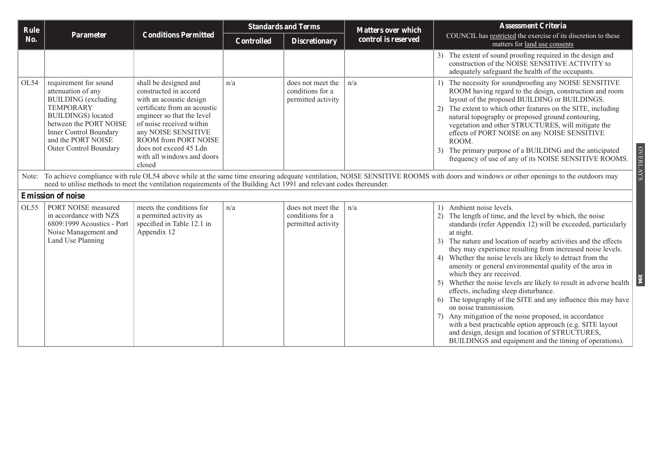| Rule |                                                                                                                                                                                                                                 |                                                                                                                                                                                                                                                                                      | <b>Standards and Terms</b> |                                                             | <b>Matters over which</b> | <b>Assessment Criteria</b>                                                                                                                                                                                                                                                                                                                                                                                                                                                                                                                                                                                                                                                                                                                                                                                                                                                                              |  |
|------|---------------------------------------------------------------------------------------------------------------------------------------------------------------------------------------------------------------------------------|--------------------------------------------------------------------------------------------------------------------------------------------------------------------------------------------------------------------------------------------------------------------------------------|----------------------------|-------------------------------------------------------------|---------------------------|---------------------------------------------------------------------------------------------------------------------------------------------------------------------------------------------------------------------------------------------------------------------------------------------------------------------------------------------------------------------------------------------------------------------------------------------------------------------------------------------------------------------------------------------------------------------------------------------------------------------------------------------------------------------------------------------------------------------------------------------------------------------------------------------------------------------------------------------------------------------------------------------------------|--|
| No.  | Parameter                                                                                                                                                                                                                       | <b>Conditions Permitted</b>                                                                                                                                                                                                                                                          | <b>Controlled</b>          | <b>Discretionary</b>                                        | control is reserved       | COUNCIL has restricted the exercise of its discretion to these<br>matters for land use consents                                                                                                                                                                                                                                                                                                                                                                                                                                                                                                                                                                                                                                                                                                                                                                                                         |  |
|      |                                                                                                                                                                                                                                 |                                                                                                                                                                                                                                                                                      |                            |                                                             |                           | 3) The extent of sound proofing required in the design and<br>construction of the NOISE SENSITIVE ACTIVITY to<br>adequately safeguard the health of the occupants.                                                                                                                                                                                                                                                                                                                                                                                                                                                                                                                                                                                                                                                                                                                                      |  |
| OL54 | requirement for sound<br>attenuation of any<br><b>BUILDING</b> (excluding<br><b>TEMPORARY</b><br><b>BUILDINGS</b> ) located<br>between the PORT NOISE<br>Inner Control Boundary<br>and the PORT NOISE<br>Outer Control Boundary | shall be designed and<br>constructed in accord<br>with an acoustic design<br>certificate from an acoustic<br>engineer so that the level<br>of noise received within<br>any NOISE SENSITIVE<br>ROOM from PORT NOISE<br>does not exceed 45 Ldn<br>with all windows and doors<br>closed | n/a                        | does not meet the<br>conditions for a<br>permitted activity | n/a                       | 1) The necessity for soundproofing any NOISE SENSITIVE<br>ROOM having regard to the design, construction and room<br>layout of the proposed BUILDING or BUILDINGS.<br>2) The extent to which other features on the SITE, including<br>natural topography or proposed ground contouring,<br>vegetation and other STRUCTURES, will mitigate the<br>effects of PORT NOISE on any NOISE SENSITIVE<br>ROOM.<br><b>OVERLAYS</b><br>The primary purpose of a BUILDING and the anticipated<br>frequency of use of any of its NOISE SENSITIVE ROOMS.                                                                                                                                                                                                                                                                                                                                                             |  |
|      |                                                                                                                                                                                                                                 | need to utilise methods to meet the ventilation requirements of the Building Act 1991 and relevant codes thereunder.                                                                                                                                                                 |                            |                                                             |                           | Note: To achieve compliance with rule OL54 above while at the same time ensuring adequate ventilation, NOISE SENSITIVE ROOMS with doors and windows or other openings to the outdoors may                                                                                                                                                                                                                                                                                                                                                                                                                                                                                                                                                                                                                                                                                                               |  |
|      | <b>Emission of noise</b>                                                                                                                                                                                                        |                                                                                                                                                                                                                                                                                      |                            |                                                             |                           |                                                                                                                                                                                                                                                                                                                                                                                                                                                                                                                                                                                                                                                                                                                                                                                                                                                                                                         |  |
| OL55 | PORT NOISE measured<br>in accordance with NZS<br>6809:1999 Acoustics - Port<br>Noise Management and<br>Land Use Planning                                                                                                        | meets the conditions for<br>a permitted activity as<br>specified in Table 12.1 in<br>Appendix 12                                                                                                                                                                                     | n/a                        | does not meet the<br>conditions for a<br>permitted activity | $\ln/a$                   | 1) Ambient noise levels.<br>2) The length of time, and the level by which, the noise<br>standards (refer Appendix 12) will be exceeded, particularly<br>at night.<br>3) The nature and location of nearby activities and the effects<br>they may experience resulting from increased noise levels.<br>Whether the noise levels are likely to detract from the<br>4)<br>amenity or general environmental quality of the area in<br>which they are received.<br>5) Whether the noise levels are likely to result in adverse health<br>effects, including sleep disturbance.<br>6) The topography of the SITE and any influence this may have<br>on noise transmission.<br>7) Any mitigation of the noise proposed, in accordance<br>with a best practicable option approach (e.g. SITE layout<br>and design, design and location of STRUCTURES,<br>BUILDINGS and equipment and the timing of operations). |  |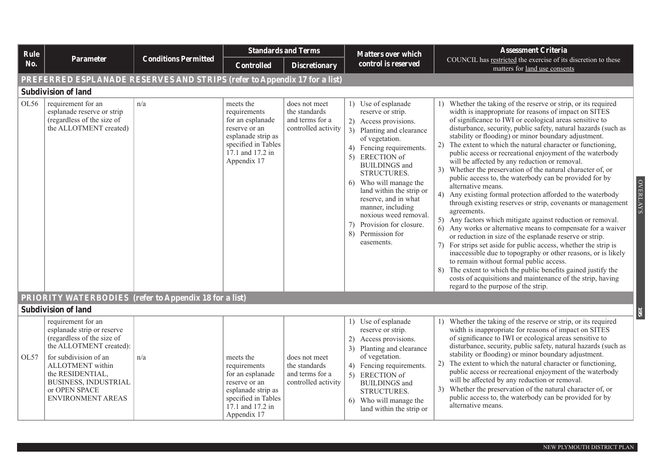| Rule |                                                                                                                                                                                                                                          |                             |                                                                                                                                                | <b>Standards and Terms</b>                                               | <b>Matters over which</b>                                                                                                                                                                                                                                                                                                                                                                                            | <b>Assessment Criteria</b>                                                                                                                                                                                                                                                                                                                                                                                                                                                                                                                                                                                                                                                                                                                                                                                                                                                                                                                                                                                                                                                                                                                                                                                                                                                                                                                                 |
|------|------------------------------------------------------------------------------------------------------------------------------------------------------------------------------------------------------------------------------------------|-----------------------------|------------------------------------------------------------------------------------------------------------------------------------------------|--------------------------------------------------------------------------|----------------------------------------------------------------------------------------------------------------------------------------------------------------------------------------------------------------------------------------------------------------------------------------------------------------------------------------------------------------------------------------------------------------------|------------------------------------------------------------------------------------------------------------------------------------------------------------------------------------------------------------------------------------------------------------------------------------------------------------------------------------------------------------------------------------------------------------------------------------------------------------------------------------------------------------------------------------------------------------------------------------------------------------------------------------------------------------------------------------------------------------------------------------------------------------------------------------------------------------------------------------------------------------------------------------------------------------------------------------------------------------------------------------------------------------------------------------------------------------------------------------------------------------------------------------------------------------------------------------------------------------------------------------------------------------------------------------------------------------------------------------------------------------|
| No.  | Parameter                                                                                                                                                                                                                                | <b>Conditions Permitted</b> | <b>Controlled</b>                                                                                                                              | <b>Discretionary</b>                                                     | control is reserved                                                                                                                                                                                                                                                                                                                                                                                                  | COUNCIL has restricted the exercise of its discretion to these<br>matters for land use consents                                                                                                                                                                                                                                                                                                                                                                                                                                                                                                                                                                                                                                                                                                                                                                                                                                                                                                                                                                                                                                                                                                                                                                                                                                                            |
|      | PREFERRED ESPLANADE RESERVES AND STRIPS (refer to Appendix 17 for a list)                                                                                                                                                                |                             |                                                                                                                                                |                                                                          |                                                                                                                                                                                                                                                                                                                                                                                                                      |                                                                                                                                                                                                                                                                                                                                                                                                                                                                                                                                                                                                                                                                                                                                                                                                                                                                                                                                                                                                                                                                                                                                                                                                                                                                                                                                                            |
|      | <b>Subdivision of land</b>                                                                                                                                                                                                               |                             |                                                                                                                                                |                                                                          |                                                                                                                                                                                                                                                                                                                                                                                                                      |                                                                                                                                                                                                                                                                                                                                                                                                                                                                                                                                                                                                                                                                                                                                                                                                                                                                                                                                                                                                                                                                                                                                                                                                                                                                                                                                                            |
| OL56 | requirement for an<br>esplanade reserve or strip<br>(regardless of the size of<br>the ALLOTMENT created)                                                                                                                                 | n/a                         | meets the<br>requirements<br>for an esplanade<br>reserve or an<br>esplanade strip as<br>specified in Tables<br>17.1 and 17.2 in<br>Appendix 17 | does not meet<br>the standards<br>and terms for a<br>controlled activity | 1) Use of esplanade<br>reserve or strip.<br>2) Access provisions.<br>3) Planting and clearance<br>of vegetation.<br>Fencing requirements.<br>4)<br><b>ERECTION</b> of<br>5)<br><b>BUILDINGS</b> and<br>STRUCTURES.<br>6) Who will manage the<br>land within the strip or<br>reserve, and in what<br>manner, including<br>noxious weed removal.<br>Provision for closure.<br>7)<br>8)<br>Permission for<br>easements. | 1) Whether the taking of the reserve or strip, or its required<br>width is inappropriate for reasons of impact on SITES<br>of significance to IWI or ecological areas sensitive to<br>disturbance, security, public safety, natural hazards (such as<br>stability or flooding) or minor boundary adjustment.<br>2) The extent to which the natural character or functioning,<br>public access or recreational enjoyment of the waterbody<br>will be affected by any reduction or removal.<br>3) Whether the preservation of the natural character of, or<br>public access to, the waterbody can be provided for by<br><b>OVERLAYS</b><br>alternative means.<br>4) Any existing formal protection afforded to the waterbody<br>through existing reserves or strip, covenants or management<br>agreements.<br>5) Any factors which mitigate against reduction or removal.<br>6) Any works or alternative means to compensate for a waiver<br>or reduction in size of the esplanade reserve or strip.<br>7) For strips set aside for public access, whether the strip is<br>inaccessible due to topography or other reasons, or is likely<br>to remain without formal public access.<br>The extent to which the public benefits gained justify the<br>8)<br>costs of acquisitions and maintenance of the strip, having<br>regard to the purpose of the strip. |
|      | <b>PRIORITY WATERBODIES</b> (refer to Appendix 18 for a list)                                                                                                                                                                            |                             |                                                                                                                                                |                                                                          |                                                                                                                                                                                                                                                                                                                                                                                                                      |                                                                                                                                                                                                                                                                                                                                                                                                                                                                                                                                                                                                                                                                                                                                                                                                                                                                                                                                                                                                                                                                                                                                                                                                                                                                                                                                                            |
|      | <b>Subdivision of land</b>                                                                                                                                                                                                               |                             |                                                                                                                                                |                                                                          |                                                                                                                                                                                                                                                                                                                                                                                                                      | 561                                                                                                                                                                                                                                                                                                                                                                                                                                                                                                                                                                                                                                                                                                                                                                                                                                                                                                                                                                                                                                                                                                                                                                                                                                                                                                                                                        |
| OL57 | requirement for an<br>esplanade strip or reserve<br>(regardless of the size of<br>the ALLOTMENT created):<br>for subdivision of an<br>ALLOTMENT within<br>the RESIDENTIAL,<br>BUSINESS, INDUSTRIAL<br>or OPEN SPACE<br>ENVIRONMENT AREAS | n/a                         | meets the<br>requirements<br>for an esplanade<br>reserve or an<br>esplanade strip as<br>specified in Tables<br>17.1 and 17.2 in                | does not meet<br>the standards<br>and terms for a<br>controlled activity | 1) Use of esplanade<br>reserve or strip.<br>Access provisions.<br>2)<br>3) Planting and clearance<br>of vegetation.<br>4) Fencing requirements.<br>5) ERECTION of<br><b>BUILDINGS</b> and<br>STRUCTURES.<br>Who will manage the<br>6<br>land within the strip or                                                                                                                                                     | 1) Whether the taking of the reserve or strip, or its required<br>width is inappropriate for reasons of impact on SITES<br>of significance to IWI or ecological areas sensitive to<br>disturbance, security, public safety, natural hazards (such as<br>stability or flooding) or minor boundary adjustment.<br>2) The extent to which the natural character or functioning,<br>public access or recreational enjoyment of the waterbody<br>will be affected by any reduction or removal.<br>3) Whether the preservation of the natural character of, or<br>public access to, the waterbody can be provided for by<br>alternative means.                                                                                                                                                                                                                                                                                                                                                                                                                                                                                                                                                                                                                                                                                                                   |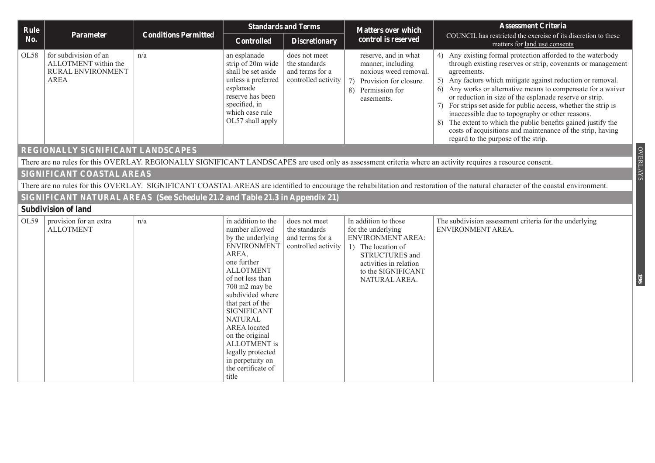| Rule |                                                                                   |                                                                             |                                                                                                                                                                                                                                                                                                                                                                                           | <b>Standards and Terms</b>                                               | <b>Matters over which</b>                                                                                                                                                       | <b>Assessment Criteria</b>                                                                                                                                                                                                                                                                                                                                                                                                                                                                                                                                                                                                          |
|------|-----------------------------------------------------------------------------------|-----------------------------------------------------------------------------|-------------------------------------------------------------------------------------------------------------------------------------------------------------------------------------------------------------------------------------------------------------------------------------------------------------------------------------------------------------------------------------------|--------------------------------------------------------------------------|---------------------------------------------------------------------------------------------------------------------------------------------------------------------------------|-------------------------------------------------------------------------------------------------------------------------------------------------------------------------------------------------------------------------------------------------------------------------------------------------------------------------------------------------------------------------------------------------------------------------------------------------------------------------------------------------------------------------------------------------------------------------------------------------------------------------------------|
| No.  | Parameter                                                                         | <b>Conditions Permitted</b>                                                 | <b>Controlled</b>                                                                                                                                                                                                                                                                                                                                                                         | <b>Discretionary</b>                                                     | control is reserved                                                                                                                                                             | COUNCIL has restricted the exercise of its discretion to these<br>matters for land use consents                                                                                                                                                                                                                                                                                                                                                                                                                                                                                                                                     |
| OL58 | for subdivision of an<br>ALLOTMENT within the<br>RURAL ENVIRONMENT<br><b>AREA</b> | n/a                                                                         | an esplanade<br>strip of 20m wide<br>shall be set aside<br>unless a preferred<br>esplanade<br>reserve has been<br>specified, in<br>which case rule<br>OL57 shall apply                                                                                                                                                                                                                    | does not meet<br>the standards<br>and terms for a<br>controlled activity | reserve, and in what<br>manner, including<br>noxious weed removal.<br>7)<br>Provision for closure.<br>8) Permission for<br>easements.                                           | 4) Any existing formal protection afforded to the waterbody<br>through existing reserves or strip, covenants or management<br>agreements.<br>5) Any factors which mitigate against reduction or removal.<br>6) Any works or alternative means to compensate for a waiver<br>or reduction in size of the esplanade reserve or strip.<br>7) For strips set aside for public access, whether the strip is<br>inaccessible due to topography or other reasons.<br>The extent to which the public benefits gained justify the<br>8)<br>costs of acquisitions and maintenance of the strip, having<br>regard to the purpose of the strip. |
|      | REGIONALLY SIGNIFICANT LANDSCAPES                                                 |                                                                             |                                                                                                                                                                                                                                                                                                                                                                                           |                                                                          |                                                                                                                                                                                 | <b>OVERLAYS</b>                                                                                                                                                                                                                                                                                                                                                                                                                                                                                                                                                                                                                     |
|      |                                                                                   |                                                                             |                                                                                                                                                                                                                                                                                                                                                                                           |                                                                          |                                                                                                                                                                                 | There are no rules for this OVERLAY. REGIONALLY SIGNIFICANT LANDSCAPES are used only as assessment criteria where an activity requires a resource consent.                                                                                                                                                                                                                                                                                                                                                                                                                                                                          |
|      | SIGNIFICANT COASTAL AREAS                                                         |                                                                             |                                                                                                                                                                                                                                                                                                                                                                                           |                                                                          |                                                                                                                                                                                 |                                                                                                                                                                                                                                                                                                                                                                                                                                                                                                                                                                                                                                     |
|      |                                                                                   |                                                                             |                                                                                                                                                                                                                                                                                                                                                                                           |                                                                          |                                                                                                                                                                                 | There are no rules for this OVERLAY. SIGNIFICANT COASTAL AREAS are identified to encourage the rehabilitation and restoration of the natural character of the coastal environment.                                                                                                                                                                                                                                                                                                                                                                                                                                                  |
|      |                                                                                   | SIGNIFICANT NATURAL AREAS (See Schedule 21.2 and Table 21.3 in Appendix 21) |                                                                                                                                                                                                                                                                                                                                                                                           |                                                                          |                                                                                                                                                                                 |                                                                                                                                                                                                                                                                                                                                                                                                                                                                                                                                                                                                                                     |
|      | <b>Subdivision of land</b>                                                        |                                                                             |                                                                                                                                                                                                                                                                                                                                                                                           |                                                                          |                                                                                                                                                                                 |                                                                                                                                                                                                                                                                                                                                                                                                                                                                                                                                                                                                                                     |
| OL59 | provision for an extra<br><b>ALLOTMENT</b>                                        | n/a                                                                         | in addition to the<br>number allowed<br>by the underlying<br><b>ENVIRONMENT</b><br>AREA,<br>one further<br><b>ALLOTMENT</b><br>of not less than<br>700 m2 may be<br>subdivided where<br>that part of the<br><b>SIGNIFICANT</b><br><b>NATURAL</b><br><b>AREA</b> located<br>on the original<br><b>ALLOTMENT</b> is<br>legally protected<br>in perpetuity on<br>the certificate of<br>title | does not meet<br>the standards<br>and terms for a<br>controlled activity | In addition to those<br>for the underlying<br><b>ENVIRONMENT AREA:</b><br>1) The location of<br>STRUCTURES and<br>activities in relation<br>to the SIGNIFICANT<br>NATURAL AREA. | The subdivision assessment criteria for the underlying<br>ENVIRONMENT AREA.<br>961                                                                                                                                                                                                                                                                                                                                                                                                                                                                                                                                                  |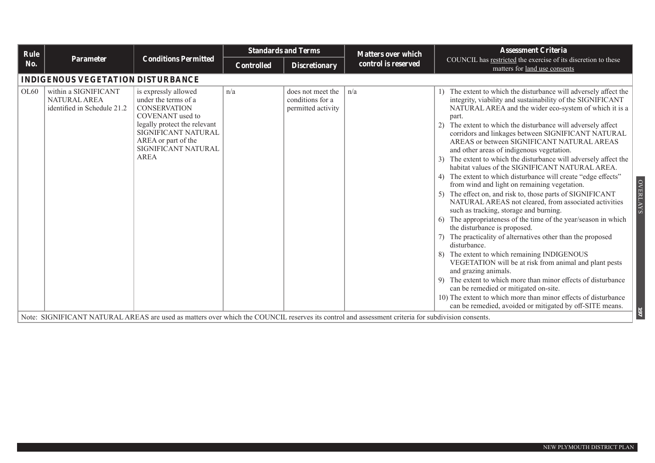| Rule |                                                                            |                                                                                                                                                                                                             | <b>Standards and Terms</b> |                                                             | <b>Matters over which</b> | <b>Assessment Criteria</b>                                                                                                                                                                                                                                                                                                                                                                                                                                                                                                                                                                                                                                                                                                                                                                                                                                                                                                                                                                                                                                                                                                                                                                                                                                                                                                                                                   |  |  |  |  |
|------|----------------------------------------------------------------------------|-------------------------------------------------------------------------------------------------------------------------------------------------------------------------------------------------------------|----------------------------|-------------------------------------------------------------|---------------------------|------------------------------------------------------------------------------------------------------------------------------------------------------------------------------------------------------------------------------------------------------------------------------------------------------------------------------------------------------------------------------------------------------------------------------------------------------------------------------------------------------------------------------------------------------------------------------------------------------------------------------------------------------------------------------------------------------------------------------------------------------------------------------------------------------------------------------------------------------------------------------------------------------------------------------------------------------------------------------------------------------------------------------------------------------------------------------------------------------------------------------------------------------------------------------------------------------------------------------------------------------------------------------------------------------------------------------------------------------------------------------|--|--|--|--|
| No.  | <b>Parameter</b>                                                           | <b>Conditions Permitted</b>                                                                                                                                                                                 | <b>Controlled</b>          | <b>Discretionary</b>                                        | control is reserved       | COUNCIL has restricted the exercise of its discretion to these<br>matters for land use consents                                                                                                                                                                                                                                                                                                                                                                                                                                                                                                                                                                                                                                                                                                                                                                                                                                                                                                                                                                                                                                                                                                                                                                                                                                                                              |  |  |  |  |
|      | <b>INDIGENOUS VEGETATION DISTURBANCE</b>                                   |                                                                                                                                                                                                             |                            |                                                             |                           |                                                                                                                                                                                                                                                                                                                                                                                                                                                                                                                                                                                                                                                                                                                                                                                                                                                                                                                                                                                                                                                                                                                                                                                                                                                                                                                                                                              |  |  |  |  |
| OL60 | within a SIGNIFICANT<br><b>NATURAL AREA</b><br>identified in Schedule 21.2 | is expressly allowed<br>under the terms of a<br><b>CONSERVATION</b><br>COVENANT used to<br>legally protect the relevant<br>SIGNIFICANT NATURAL<br>AREA or part of the<br>SIGNIFICANT NATURAL<br><b>AREA</b> | n/a                        | does not meet the<br>conditions for a<br>permitted activity | n/a                       | The extent to which the disturbance will adversely affect the<br>integrity, viability and sustainability of the SIGNIFICANT<br>NATURAL AREA and the wider eco-system of which it is a<br>part.<br>The extent to which the disturbance will adversely affect<br>corridors and linkages between SIGNIFICANT NATURAL<br>AREAS or between SIGNIFICANT NATURAL AREAS<br>and other areas of indigenous vegetation.<br>The extent to which the disturbance will adversely affect the<br>habitat values of the SIGNIFICANT NATURAL AREA.<br>The extent to which disturbance will create "edge effects"<br><b>OVERLAYS</b><br>from wind and light on remaining vegetation.<br>The effect on, and risk to, those parts of SIGNIFICANT<br>NATURAL AREAS not cleared, from associated activities<br>such as tracking, storage and burning.<br>The appropriateness of the time of the year/season in which<br>the disturbance is proposed.<br>The practicality of alternatives other than the proposed<br>disturbance.<br>The extent to which remaining INDIGENOUS<br>VEGETATION will be at risk from animal and plant pests<br>and grazing animals.<br>The extent to which more than minor effects of disturbance<br>can be remedied or mitigated on-site.<br>10) The extent to which more than minor effects of disturbance<br>can be remedied, avoided or mitigated by off-SITE means. |  |  |  |  |
|      |                                                                            | Note: SIGNIFICANT NATURAL AREAS are used as matters over which the COUNCIL reserves its control and assessment criteria for subdivision consents.                                                           |                            |                                                             |                           |                                                                                                                                                                                                                                                                                                                                                                                                                                                                                                                                                                                                                                                                                                                                                                                                                                                                                                                                                                                                                                                                                                                                                                                                                                                                                                                                                                              |  |  |  |  |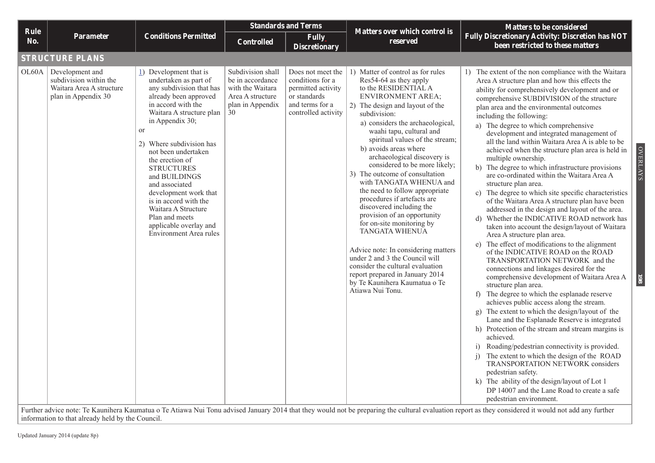|                               |                                                                                              |                                                                                                                                                                                                                                                                                                                                                                                                                                                                     | <b>Standards and Terms</b>                                                                              |                                                                                                                       |                                                                                                                                                                                                                                                                                                                                                                                                                                                                                                                                                                                                                                                                                                                                                                                                                    | <b>Matters to be considered</b>                                                                                                                                                                                                                                                                                                                                                                                                                                                                                                                                                                                                                                                                                                                                                                                                                                                                                                                                                                                                                                                                                                                                                                                                                                                                                                                                                                                                                                                                                                                                                                                                                                                                                                                                                    |  |  |  |  |  |
|-------------------------------|----------------------------------------------------------------------------------------------|---------------------------------------------------------------------------------------------------------------------------------------------------------------------------------------------------------------------------------------------------------------------------------------------------------------------------------------------------------------------------------------------------------------------------------------------------------------------|---------------------------------------------------------------------------------------------------------|-----------------------------------------------------------------------------------------------------------------------|--------------------------------------------------------------------------------------------------------------------------------------------------------------------------------------------------------------------------------------------------------------------------------------------------------------------------------------------------------------------------------------------------------------------------------------------------------------------------------------------------------------------------------------------------------------------------------------------------------------------------------------------------------------------------------------------------------------------------------------------------------------------------------------------------------------------|------------------------------------------------------------------------------------------------------------------------------------------------------------------------------------------------------------------------------------------------------------------------------------------------------------------------------------------------------------------------------------------------------------------------------------------------------------------------------------------------------------------------------------------------------------------------------------------------------------------------------------------------------------------------------------------------------------------------------------------------------------------------------------------------------------------------------------------------------------------------------------------------------------------------------------------------------------------------------------------------------------------------------------------------------------------------------------------------------------------------------------------------------------------------------------------------------------------------------------------------------------------------------------------------------------------------------------------------------------------------------------------------------------------------------------------------------------------------------------------------------------------------------------------------------------------------------------------------------------------------------------------------------------------------------------------------------------------------------------------------------------------------------------|--|--|--|--|--|
| Rule<br>No.                   | <b>Parameter</b>                                                                             | <b>Conditions Permitted</b>                                                                                                                                                                                                                                                                                                                                                                                                                                         | <b>Controlled</b>                                                                                       | <b>Fully</b><br><b>Discretionary</b>                                                                                  | <b>Matters over which control is</b><br>reserved                                                                                                                                                                                                                                                                                                                                                                                                                                                                                                                                                                                                                                                                                                                                                                   | <b>Fully Discretionary Activity: Discretion has NOT</b><br>been restricted to these matters                                                                                                                                                                                                                                                                                                                                                                                                                                                                                                                                                                                                                                                                                                                                                                                                                                                                                                                                                                                                                                                                                                                                                                                                                                                                                                                                                                                                                                                                                                                                                                                                                                                                                        |  |  |  |  |  |
|                               | <b>STRUCTURE PLANS</b>                                                                       |                                                                                                                                                                                                                                                                                                                                                                                                                                                                     |                                                                                                         |                                                                                                                       |                                                                                                                                                                                                                                                                                                                                                                                                                                                                                                                                                                                                                                                                                                                                                                                                                    |                                                                                                                                                                                                                                                                                                                                                                                                                                                                                                                                                                                                                                                                                                                                                                                                                                                                                                                                                                                                                                                                                                                                                                                                                                                                                                                                                                                                                                                                                                                                                                                                                                                                                                                                                                                    |  |  |  |  |  |
| OL60A                         | Development and<br>subdivision within the<br>Waitara Area A structure<br>plan in Appendix 30 | 1) Development that is<br>undertaken as part of<br>any subdivision that has<br>already been approved<br>in accord with the<br>Waitara A structure plan<br>in Appendix 30;<br>or<br>2) Where subdivision has<br>not been undertaken<br>the erection of<br><b>STRUCTURES</b><br>and BUILDINGS<br>and associated<br>development work that<br>is in accord with the<br>Waitara A Structure<br>Plan and meets<br>applicable overlay and<br><b>Environment Area rules</b> | Subdivision shall<br>be in accordance<br>with the Waitara<br>Area A structure<br>plan in Appendix<br>30 | Does not meet the<br>conditions for a<br>permitted activity<br>or standards<br>and terms for a<br>controlled activity | 1) Matter of control as for rules<br>Res54-64 as they apply<br>to the RESIDENTIAL A<br><b>ENVIRONMENT AREA;</b><br>2) The design and layout of the<br>subdivision:<br>a) considers the archaeological,<br>waahi tapu, cultural and<br>spiritual values of the stream;<br>b) avoids areas where<br>archaeological discovery is<br>considered to be more likely;<br>3) The outcome of consultation<br>with TANGATA WHENUA and<br>the need to follow appropriate<br>procedures if artefacts are<br>discovered including the<br>provision of an opportunity<br>for on-site monitoring by<br><b>TANGATA WHENUA</b><br>Advice note: In considering matters<br>under 2 and 3 the Council will<br>consider the cultural evaluation<br>report prepared in January 2014<br>by Te Kaunihera Kaumatua o Te<br>Atiawa Nui Tonu. | 1) The extent of the non compliance with the Waitara<br>Area A structure plan and how this effects the<br>ability for comprehensively development and or<br>comprehensive SUBDIVISION of the structure<br>plan area and the environmental outcomes<br>including the following:<br>a) The degree to which comprehensive<br>development and integrated management of<br>all the land within Waitara Area A is able to be<br><b>OVERLAYS</b><br>achieved when the structure plan area is held in<br>multiple ownership.<br>b) The degree to which infrastructure provisions<br>are co-ordinated within the Waitara Area A<br>structure plan area.<br>c) The degree to which site specific characteristics<br>of the Waitara Area A structure plan have been<br>addressed in the design and layout of the area.<br>d) Whether the INDICATIVE ROAD network has<br>taken into account the design/layout of Waitara<br>Area A structure plan area.<br>e) The effect of modifications to the alignment<br>of the INDICATIVE ROAD on the ROAD<br>TRANSPORTATION NETWORK and the<br>connections and linkages desired for the<br>comprehensive development of Waitara Area A<br><b>198</b><br>structure plan area.<br>f) The degree to which the esplanade reserve<br>achieves public access along the stream.<br>g) The extent to which the design/layout of the<br>Lane and the Esplanade Reserve is integrated<br>h) Protection of the stream and stream margins is<br>achieved.<br>Roading/pedestrian connectivity is provided.<br>i)<br>The extent to which the design of the ROAD<br>$\overline{1}$<br>TRANSPORTATION NETWORK considers<br>pedestrian safety.<br>k) The ability of the design/layout of Lot 1<br>DP 14007 and the Lane Road to create a safe<br>pedestrian environment. |  |  |  |  |  |
| $10^{10}$ $10^{10}$ $10^{10}$ | $\sqrt{m}$ $\pi$ $\sqrt{1}$ $\pi$                                                            | $\mathbf{M}$ and $\mathbf{M}$ and $\mathbf{M}$ and $\mathbf{M}$<br><b>CONTRACTOR</b>                                                                                                                                                                                                                                                                                                                                                                                |                                                                                                         | $0.014 \times 10^{-1}$<br>$11.1$ $11.1$                                                                               | the contract of the contract of the con-                                                                                                                                                                                                                                                                                                                                                                                                                                                                                                                                                                                                                                                                                                                                                                           | <b>Contract Contract</b><br>$\mathcal{A}$ and $\mathcal{A}$ are the set of the set of the set of the set of the set of the set of the set of the set of the set of the set of the set of the set of the set of the set of the set of the set of the set of the set                                                                                                                                                                                                                                                                                                                                                                                                                                                                                                                                                                                                                                                                                                                                                                                                                                                                                                                                                                                                                                                                                                                                                                                                                                                                                                                                                                                                                                                                                                                 |  |  |  |  |  |

Further advice note: Te Kaunihera Kaumatua o Te Atiawa Nui Tonu advised January 2014 that they would not be preparing the cultural evaluation report as they considered it would not add any further information to that already held by the Council.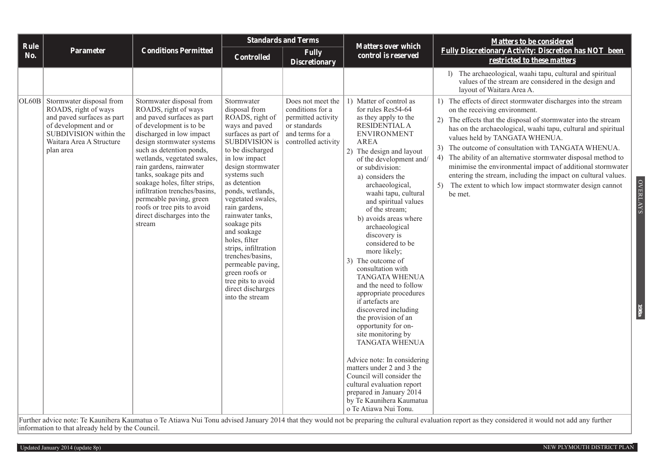| Rule  |                                                                                                                                                                            |                                                                                                                                                                                                                                                                                                                                                                                                                                                         | <b>Standards and Terms</b>                                                                                                                                                                                                                                                                                                                                                                                                                                                         |                                                                                                                       | <b>Matters over which</b>                                                                                                                                                                                                                                                                                                                                                                                                                                                                                                                                                                                                                                                                                                                                                                                                                                                             | <b>Matters to be considered</b>                                                                                                                                                                                                                                                                                                                                                                                                                                                                                                                                                                             |  |
|-------|----------------------------------------------------------------------------------------------------------------------------------------------------------------------------|---------------------------------------------------------------------------------------------------------------------------------------------------------------------------------------------------------------------------------------------------------------------------------------------------------------------------------------------------------------------------------------------------------------------------------------------------------|------------------------------------------------------------------------------------------------------------------------------------------------------------------------------------------------------------------------------------------------------------------------------------------------------------------------------------------------------------------------------------------------------------------------------------------------------------------------------------|-----------------------------------------------------------------------------------------------------------------------|---------------------------------------------------------------------------------------------------------------------------------------------------------------------------------------------------------------------------------------------------------------------------------------------------------------------------------------------------------------------------------------------------------------------------------------------------------------------------------------------------------------------------------------------------------------------------------------------------------------------------------------------------------------------------------------------------------------------------------------------------------------------------------------------------------------------------------------------------------------------------------------|-------------------------------------------------------------------------------------------------------------------------------------------------------------------------------------------------------------------------------------------------------------------------------------------------------------------------------------------------------------------------------------------------------------------------------------------------------------------------------------------------------------------------------------------------------------------------------------------------------------|--|
| No.   | <b>Parameter</b>                                                                                                                                                           | <b>Conditions Permitted</b>                                                                                                                                                                                                                                                                                                                                                                                                                             | <b>Controlled</b>                                                                                                                                                                                                                                                                                                                                                                                                                                                                  | <b>Fully</b><br><b>Discretionary</b>                                                                                  | control is reserved                                                                                                                                                                                                                                                                                                                                                                                                                                                                                                                                                                                                                                                                                                                                                                                                                                                                   | <b>Fully Discretionary Activity: Discretion has NOT been</b><br>restricted to these matters                                                                                                                                                                                                                                                                                                                                                                                                                                                                                                                 |  |
|       |                                                                                                                                                                            |                                                                                                                                                                                                                                                                                                                                                                                                                                                         |                                                                                                                                                                                                                                                                                                                                                                                                                                                                                    |                                                                                                                       |                                                                                                                                                                                                                                                                                                                                                                                                                                                                                                                                                                                                                                                                                                                                                                                                                                                                                       | 1) The archaeological, waahi tapu, cultural and spiritual<br>values of the stream are considered in the design and<br>layout of Waitara Area A.                                                                                                                                                                                                                                                                                                                                                                                                                                                             |  |
| OL60B | Stormwater disposal from<br>ROADS, right of ways<br>and paved surfaces as part<br>of development and or<br>SUBDIVISION within the<br>Waitara Area A Structure<br>plan area | Stormwater disposal from<br>ROADS, right of ways<br>and paved surfaces as part<br>of development is to be<br>discharged in low impact<br>design stormwater systems<br>such as detention ponds,<br>wetlands, vegetated swales,<br>rain gardens, rainwater<br>tanks, soakage pits and<br>soakage holes, filter strips,<br>infiltration trenches/basins,<br>permeable paving, green<br>roofs or tree pits to avoid<br>direct discharges into the<br>stream | Stormwater<br>disposal from<br>ROADS, right of<br>ways and paved<br>surfaces as part of<br>SUBDIVISION is<br>to be discharged<br>in low impact<br>design stormwater<br>systems such<br>as detention<br>ponds, wetlands,<br>vegetated swales,<br>rain gardens,<br>rainwater tanks,<br>soakage pits<br>and soakage<br>holes, filter<br>strips, infiltration<br>trenches/basins,<br>permeable paving,<br>green roofs or<br>tree pits to avoid<br>direct discharges<br>into the stream | Does not meet the<br>conditions for a<br>permitted activity<br>or standards<br>and terms for a<br>controlled activity | 1) Matter of control as<br>for rules Res54-64<br>as they apply to the<br>RESIDENTIAL A<br><b>ENVIRONMENT</b><br><b>AREA</b><br>2) The design and layout<br>of the development and/<br>or subdivision:<br>a) considers the<br>archaeological,<br>waahi tapu, cultural<br>and spiritual values<br>of the stream;<br>b) avoids areas where<br>archaeological<br>discovery is<br>considered to be<br>more likely;<br>3) The outcome of<br>consultation with<br><b>TANGATA WHENUA</b><br>and the need to follow<br>appropriate procedures<br>if artefacts are<br>discovered including<br>the provision of an<br>opportunity for on-<br>site monitoring by<br><b>TANGATA WHENUA</b><br>Advice note: In considering<br>matters under 2 and 3 the<br>Council will consider the<br>cultural evaluation report<br>prepared in January 2014<br>by Te Kaunihera Kaumatua<br>o Te Atiawa Nui Tonu. | 1) The effects of direct stormwater discharges into the stream<br>on the receiving environment.<br>The effects that the disposal of stormwater into the stream<br>2)<br>has on the archaeological, waahi tapu, cultural and spiritual<br>values held by TANGATA WHENUA.<br>The outcome of consultation with TANGATA WHENUA.<br>The ability of an alternative stormwater disposal method to<br>4)<br>minimise the environmental impact of additional stormwater<br>entering the stream, including the impact on cultural values.<br>The extent to which low impact stormwater design cannot<br>5)<br>be met. |  |

Further advice note: Te Kaunihera Kaumatua o Te Atiawa Nui Tonu advised January 2014 that they would not be preparing the cultural evaluation report as they considered it would not add any further information to that already held by the Council.

OVERLAYS

OVERLAYS

**198a**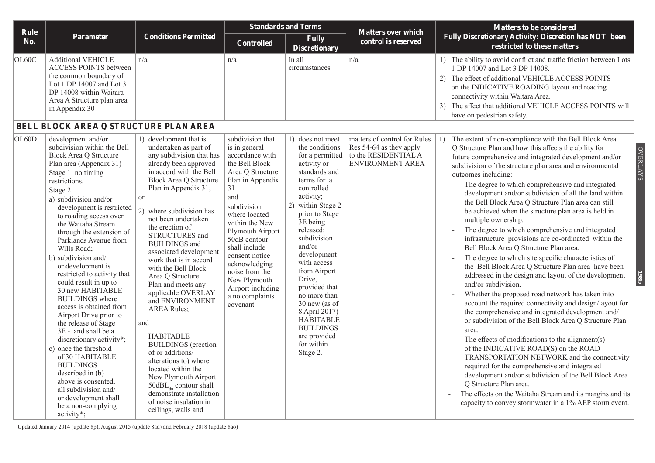| Rule       |                                                                                                                                                                                                                                                                                                                                                                                                                                                                                                                                                                                                                                                                                                                                                                                                                             |                                                                                                                                                                                                                                                                                                                                                                                                                                                                                                                                                                                                                                                                                                                                                                                       | <b>Standards and Terms</b>                                                                                                                                                                                                                                                                                                                                  |                                                                                                                                                                                                                                                                                                                                                                                                                                       | <b>Matters over which</b>                                                                           | <b>Matters to be considered</b>                                                                                                                                                                                                                                                                                                                                                                                                                                                                                                                                                                                                                                                                                                                                                                                                                                                                                                                                                                                                                                                                                                                                                                                                                                                                                                                                                                                                                                                                                                              |
|------------|-----------------------------------------------------------------------------------------------------------------------------------------------------------------------------------------------------------------------------------------------------------------------------------------------------------------------------------------------------------------------------------------------------------------------------------------------------------------------------------------------------------------------------------------------------------------------------------------------------------------------------------------------------------------------------------------------------------------------------------------------------------------------------------------------------------------------------|---------------------------------------------------------------------------------------------------------------------------------------------------------------------------------------------------------------------------------------------------------------------------------------------------------------------------------------------------------------------------------------------------------------------------------------------------------------------------------------------------------------------------------------------------------------------------------------------------------------------------------------------------------------------------------------------------------------------------------------------------------------------------------------|-------------------------------------------------------------------------------------------------------------------------------------------------------------------------------------------------------------------------------------------------------------------------------------------------------------------------------------------------------------|---------------------------------------------------------------------------------------------------------------------------------------------------------------------------------------------------------------------------------------------------------------------------------------------------------------------------------------------------------------------------------------------------------------------------------------|-----------------------------------------------------------------------------------------------------|----------------------------------------------------------------------------------------------------------------------------------------------------------------------------------------------------------------------------------------------------------------------------------------------------------------------------------------------------------------------------------------------------------------------------------------------------------------------------------------------------------------------------------------------------------------------------------------------------------------------------------------------------------------------------------------------------------------------------------------------------------------------------------------------------------------------------------------------------------------------------------------------------------------------------------------------------------------------------------------------------------------------------------------------------------------------------------------------------------------------------------------------------------------------------------------------------------------------------------------------------------------------------------------------------------------------------------------------------------------------------------------------------------------------------------------------------------------------------------------------------------------------------------------------|
| <b>No.</b> | <b>Parameter</b>                                                                                                                                                                                                                                                                                                                                                                                                                                                                                                                                                                                                                                                                                                                                                                                                            | <b>Conditions Permitted</b>                                                                                                                                                                                                                                                                                                                                                                                                                                                                                                                                                                                                                                                                                                                                                           | <b>Controlled</b>                                                                                                                                                                                                                                                                                                                                           | <b>Fully</b><br><b>Discretionary</b>                                                                                                                                                                                                                                                                                                                                                                                                  | control is reserved                                                                                 | Fully Discretionary Activity: Discretion has NOT been<br>restricted to these matters                                                                                                                                                                                                                                                                                                                                                                                                                                                                                                                                                                                                                                                                                                                                                                                                                                                                                                                                                                                                                                                                                                                                                                                                                                                                                                                                                                                                                                                         |
| OL60C      | <b>Additional VEHICLE</b><br><b>ACCESS POINTS between</b><br>the common boundary of<br>Lot 1 DP 14007 and Lot 3<br>DP 14008 within Waitara<br>Area A Structure plan area<br>in Appendix 30<br>BELL BLOCK AREA Q STRUCTURE PLAN AREA                                                                                                                                                                                                                                                                                                                                                                                                                                                                                                                                                                                         | n/a                                                                                                                                                                                                                                                                                                                                                                                                                                                                                                                                                                                                                                                                                                                                                                                   | n/a                                                                                                                                                                                                                                                                                                                                                         | In all<br>circumstances                                                                                                                                                                                                                                                                                                                                                                                                               | n/a                                                                                                 | 1) The ability to avoid conflict and traffic friction between Lots<br>1 DP 14007 and Lot 3 DP 14008.<br>The effect of additional VEHICLE ACCESS POINTS<br>(2)<br>on the INDICATIVE ROADING layout and roading<br>connectivity within Waitara Area.<br>3) The affect that additional VEHICLE ACCESS POINTS will<br>have on pedestrian safety.                                                                                                                                                                                                                                                                                                                                                                                                                                                                                                                                                                                                                                                                                                                                                                                                                                                                                                                                                                                                                                                                                                                                                                                                 |
| OL60D      | development and/or<br>subdivision within the Bell<br><b>Block Area Q Structure</b><br>Plan area (Appendix 31)<br>Stage 1: no timing<br>restrictions.<br>Stage 2:<br>a) subdivision and/or<br>development is restricted<br>to roading access over<br>the Waitaha Stream<br>through the extension of<br>Parklands Avenue from<br>Wills Road;<br>b) subdivision and/<br>or development is<br>restricted to activity that<br>could result in up to<br>30 new HABITABLE<br><b>BUILDINGS</b> where<br>access is obtained from<br>Airport Drive prior to<br>the release of Stage<br>3E - and shall be a<br>discretionary activity*;<br>c) once the threshold<br>of 30 HABITABLE<br><b>BUILDINGS</b><br>described in (b)<br>above is consented,<br>all subdivision and/<br>or development shall<br>be a non-complying<br>activity*; | 1) development that is<br>undertaken as part of<br>any subdivision that has<br>already been approved<br>in accord with the Bell<br><b>Block Area Q Structure</b><br>Plan in Appendix 31;<br><b>or</b><br>2) where subdivision has<br>not been undertaken<br>the erection of<br>STRUCTURES and<br><b>BUILDINGS</b> and<br>associated development<br>work that is in accord<br>with the Bell Block<br>Area Q Structure<br>Plan and meets any<br>applicable OVERLAY<br>and ENVIRONMENT<br><b>AREA Rules:</b><br>and<br><b>HABITABLE</b><br><b>BUILDINGS</b> (erection<br>of or additions/<br>alterations to) where<br>located within the<br>New Plymouth Airport<br>$50$ d $BL$ <sub>dn</sub> contour shall<br>demonstrate installation<br>of noise insulation in<br>ceilings, walls and | subdivision that<br>is in general<br>accordance with<br>the Bell Block<br>Area Q Structure<br>Plan in Appendix<br>31<br>and<br>subdivision<br>where located<br>within the New<br>Plymouth Airport<br>50dB contour<br>shall include<br>consent notice<br>acknowledging<br>noise from the<br>New Plymouth<br>Airport including<br>a no complaints<br>covenant | 1) does not meet<br>the conditions<br>for a permitted<br>activity or<br>standards and<br>terms for a<br>controlled<br>activity;<br>2) within Stage 2<br>prior to Stage<br>3E being<br>released:<br>subdivision<br>and/or<br>development<br>with access<br>from Airport<br>Drive,<br>provided that<br>no more than<br>30 new (as of<br>8 April 2017)<br><b>HABITABLE</b><br><b>BUILDINGS</b><br>are provided<br>for within<br>Stage 2. | matters of control for Rules<br>Res 54-64 as they apply<br>to the RESIDENTIAL A<br>ENVIRONMENT AREA | The extent of non-compliance with the Bell Block Area<br>Q Structure Plan and how this affects the ability for<br><b>OVERLAYS</b><br>future comprehensive and integrated development and/or<br>subdivision of the structure plan area and environmental<br>outcomes including:<br>The degree to which comprehensive and integrated<br>development and/or subdivision of all the land within<br>the Bell Block Area Q Structure Plan area can still<br>be achieved when the structure plan area is held in<br>multiple ownership.<br>The degree to which comprehensive and integrated<br>infrastructure provisions are co-ordinated within the<br>Bell Block Area Q Structure Plan area.<br>The degree to which site specific characteristics of<br>the Bell Block Area Q Structure Plan area have been<br>1980<br>addressed in the design and layout of the development<br>and/or subdivision.<br>Whether the proposed road network has taken into<br>account the required connectivity and design/layout for<br>the comprehensive and integrated development and/<br>or subdivision of the Bell Block Area Q Structure Plan<br>area.<br>The effects of modifications to the alignment(s)<br>of the INDICATIVE ROAD(S) on the ROAD<br>TRANSPORTATION NETWORK and the connectivity<br>required for the comprehensive and integrated<br>development and/or subdivision of the Bell Block Area<br>Q Structure Plan area.<br>The effects on the Waitaha Stream and its margins and its<br>capacity to convey stormwater in a 1% AEP storm event. |

Updated January 2014 (update 8p), August 2015 (update 8ad) and February 2018 (update 8ao)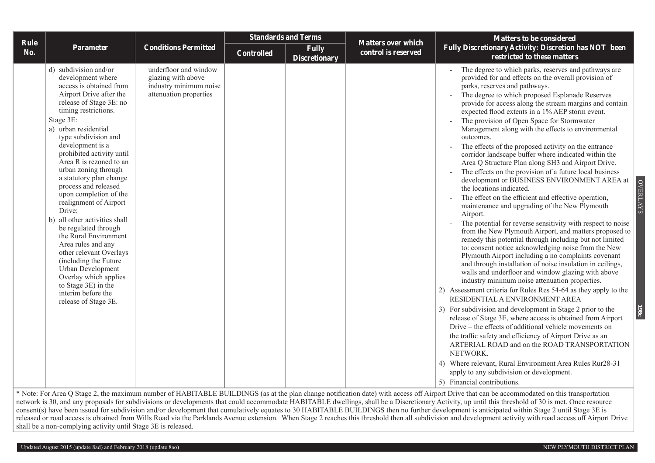|                    |                                                                                                                                                                                                                                                                                                                                                                                                                                                                                                                                                                                                                                                                                                                      |                                                                                                 |                   | <b>Standards and Terms</b>           |                                                  | Matters to be considered                                                                                                                                                                                                                                                                                                                                                                                                                                                                                                                                                                                                                                                                                                                                                                                                                                                                                                                                                                                                                                                                                                                                                                                                                                                                                                                                                                                                                                                                                                                                                                                                                                                                                                                                                                                                                                                                                    |
|--------------------|----------------------------------------------------------------------------------------------------------------------------------------------------------------------------------------------------------------------------------------------------------------------------------------------------------------------------------------------------------------------------------------------------------------------------------------------------------------------------------------------------------------------------------------------------------------------------------------------------------------------------------------------------------------------------------------------------------------------|-------------------------------------------------------------------------------------------------|-------------------|--------------------------------------|--------------------------------------------------|-------------------------------------------------------------------------------------------------------------------------------------------------------------------------------------------------------------------------------------------------------------------------------------------------------------------------------------------------------------------------------------------------------------------------------------------------------------------------------------------------------------------------------------------------------------------------------------------------------------------------------------------------------------------------------------------------------------------------------------------------------------------------------------------------------------------------------------------------------------------------------------------------------------------------------------------------------------------------------------------------------------------------------------------------------------------------------------------------------------------------------------------------------------------------------------------------------------------------------------------------------------------------------------------------------------------------------------------------------------------------------------------------------------------------------------------------------------------------------------------------------------------------------------------------------------------------------------------------------------------------------------------------------------------------------------------------------------------------------------------------------------------------------------------------------------------------------------------------------------------------------------------------------------|
| <b>Rule</b><br>No. | Parameter                                                                                                                                                                                                                                                                                                                                                                                                                                                                                                                                                                                                                                                                                                            | <b>Conditions Permitted</b>                                                                     | <b>Controlled</b> | <b>Fully</b><br><b>Discretionary</b> | <b>Matters over which</b><br>control is reserved | Fully Discretionary Activity: Discretion has NOT been<br>restricted to these matters                                                                                                                                                                                                                                                                                                                                                                                                                                                                                                                                                                                                                                                                                                                                                                                                                                                                                                                                                                                                                                                                                                                                                                                                                                                                                                                                                                                                                                                                                                                                                                                                                                                                                                                                                                                                                        |
|                    | d) subdivision and/or<br>development where<br>access is obtained from<br>Airport Drive after the<br>release of Stage 3E: no<br>timing restrictions.<br>Stage 3E:<br>a) urban residential<br>type subdivision and<br>development is a<br>prohibited activity until<br>Area R is rezoned to an<br>urban zoning through<br>a statutory plan change<br>process and released<br>upon completion of the<br>realignment of Airport<br>Drive;<br>b) all other activities shall<br>be regulated through<br>the Rural Environment<br>Area rules and any<br>other relevant Overlays<br>(including the Future<br>Urban Development<br>Overlay which applies<br>to Stage 3E) in the<br>interim before the<br>release of Stage 3E. | underfloor and window<br>glazing with above<br>industry minimum noise<br>attenuation properties |                   |                                      |                                                  | The degree to which parks, reserves and pathways are<br>provided for and effects on the overall provision of<br>parks, reserves and pathways.<br>The degree to which proposed Esplanade Reserves<br>provide for access along the stream margins and contain<br>expected flood extents in a 1% AEP storm event.<br>The provision of Open Space for Stormwater<br>Management along with the effects to environmental<br>outcomes.<br>The effects of the proposed activity on the entrance<br>$\sim$<br>corridor landscape buffer where indicated within the<br>Area Q Structure Plan along SH3 and Airport Drive.<br>The effects on the provision of a future local business<br>development or BUSINESS ENVIRONMENT AREA at<br>the locations indicated.<br>The effect on the efficient and effective operation,<br>maintenance and upgrading of the New Plymouth<br>Airport.<br>The potential for reverse sensitivity with respect to noise<br>from the New Plymouth Airport, and matters proposed to<br>remedy this potential through including but not limited<br>to: consent notice acknowledging noise from the New<br>Plymouth Airport including a no complaints covenant<br>and through installation of noise insulation in ceilings,<br>walls and underfloor and window glazing with above<br>industry minimum noise attenuation properties.<br>2) Assessment criteria for Rules Res 54-64 as they apply to the<br>RESIDENTIAL A ENVIRONMENT AREA<br>3) For subdivision and development in Stage 2 prior to the<br>release of Stage 3E, where access is obtained from Airport<br>Drive – the effects of additional vehicle movements on<br>the traffic safety and efficiency of Airport Drive as an<br>ARTERIAL ROAD and on the ROAD TRANSPORTATION<br>NETWORK.<br>4) Where relevant, Rural Environment Area Rules Rur28-31<br>apply to any subdivision or development.<br>5) Financial contributions. |

\* Note: For Area Q Stage 2, the maximum number of HABITABLE BUILDINGS (as at the plan change notification date) with access off Airport Drive that can be accommodated on this transportation network is 30, and any proposals for subdivisions or developments that could accommodate HABITABLE dwellings, shall be a Discretionary Activity, up until this threshold of 30 is met. Once resource consent(s) have been issued for subdivision and/or development that cumulatively equates to 30 HABITABLE BUILDINGS then no further development is anticipated within Stage 2 until Stage 3E is released or road access is obtained from Wills Road via the Parklands Avenue extension. When Stage 2 reaches this threshold then all subdivision and development activity with road access off Airport Drive shall be a non-complying activity until Stage 3E is released.

OVERLAYS

**OVERLAYS** 

**198c**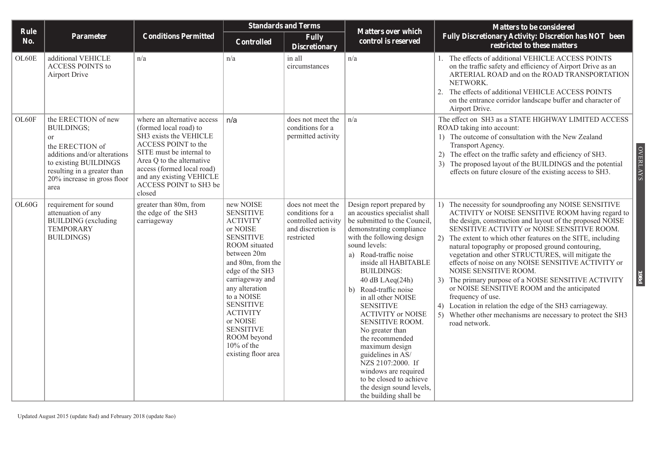|             |                                                                                                                                                                                                  |                                                                                                                                                                                                                                                               |                                                                                                                                                                                                                                                                                                                                        | <b>Standards and Terms</b>                                                                      |                                                                                                                                                                                                                                                                                                                                                                                                                                                                                                                                                                                                | <b>Matters to be considered</b>                                                                                                                                                                                                                                                                                                                                                                                                                                                                                                                                                                                                                                                                                                                                               |
|-------------|--------------------------------------------------------------------------------------------------------------------------------------------------------------------------------------------------|---------------------------------------------------------------------------------------------------------------------------------------------------------------------------------------------------------------------------------------------------------------|----------------------------------------------------------------------------------------------------------------------------------------------------------------------------------------------------------------------------------------------------------------------------------------------------------------------------------------|-------------------------------------------------------------------------------------------------|------------------------------------------------------------------------------------------------------------------------------------------------------------------------------------------------------------------------------------------------------------------------------------------------------------------------------------------------------------------------------------------------------------------------------------------------------------------------------------------------------------------------------------------------------------------------------------------------|-------------------------------------------------------------------------------------------------------------------------------------------------------------------------------------------------------------------------------------------------------------------------------------------------------------------------------------------------------------------------------------------------------------------------------------------------------------------------------------------------------------------------------------------------------------------------------------------------------------------------------------------------------------------------------------------------------------------------------------------------------------------------------|
| Rule<br>No. | Parameter                                                                                                                                                                                        | <b>Conditions Permitted</b>                                                                                                                                                                                                                                   | <b>Controlled</b>                                                                                                                                                                                                                                                                                                                      | <b>Fully</b><br><b>Discretionary</b>                                                            | <b>Matters over which</b><br>control is reserved                                                                                                                                                                                                                                                                                                                                                                                                                                                                                                                                               | Fully Discretionary Activity: Discretion has NOT been<br>restricted to these matters                                                                                                                                                                                                                                                                                                                                                                                                                                                                                                                                                                                                                                                                                          |
| OL60E       | additional VEHICLE<br><b>ACCESS POINTS to</b><br>Airport Drive                                                                                                                                   | n/a                                                                                                                                                                                                                                                           | n/a                                                                                                                                                                                                                                                                                                                                    | in all<br>circumstances                                                                         | n/a                                                                                                                                                                                                                                                                                                                                                                                                                                                                                                                                                                                            | 1. The effects of additional VEHICLE ACCESS POINTS<br>on the traffic safety and efficiency of Airport Drive as an<br>ARTERIAL ROAD and on the ROAD TRANSPORTATION<br>NETWORK.<br>2.<br>The effects of additional VEHICLE ACCESS POINTS<br>on the entrance corridor landscape buffer and character of<br>Airport Drive.                                                                                                                                                                                                                                                                                                                                                                                                                                                        |
| OL60F       | the ERECTION of new<br><b>BUILDINGS;</b><br>or<br>the ERECTION of<br>additions and/or alterations<br>to existing BUILDINGS<br>resulting in a greater than<br>20% increase in gross floor<br>area | where an alternative access<br>(formed local road) to<br>SH3 exists the VEHICLE<br>ACCESS POINT to the<br>SITE must be internal to<br>Area Q to the alternative<br>access (formed local road)<br>and any existing VEHICLE<br>ACCESS POINT to SH3 be<br>closed | n/a                                                                                                                                                                                                                                                                                                                                    | does not meet the<br>conditions for a<br>permitted activity                                     | n/a                                                                                                                                                                                                                                                                                                                                                                                                                                                                                                                                                                                            | The effect on SH3 as a STATE HIGHWAY LIMITED ACCESS<br>ROAD taking into account:<br>1) The outcome of consultation with the New Zealand<br>Transport Agency.<br><b>OVERLAYS</b><br>2) The effect on the traffic safety and efficiency of SH3.<br>3) The proposed layout of the BUILDINGS and the potential<br>effects on future closure of the existing access to SH3.                                                                                                                                                                                                                                                                                                                                                                                                        |
| OL60G       | requirement for sound<br>attenuation of any<br><b>BUILDING</b> (excluding<br><b>TEMPORARY</b><br><b>BUILDINGS</b> )                                                                              | greater than 80m, from<br>the edge of the SH3<br>carriageway                                                                                                                                                                                                  | new NOISE<br><b>SENSITIVE</b><br><b>ACTIVITY</b><br>or NOISE<br><b>SENSITIVE</b><br>ROOM situated<br>between 20m<br>and 80m, from the<br>edge of the SH3<br>carriageway and<br>any alteration<br>to a NOISE<br><b>SENSITIVE</b><br><b>ACTIVITY</b><br>or NOISE<br><b>SENSITIVE</b><br>ROOM beyond<br>10% of the<br>existing floor area | does not meet the<br>conditions for a<br>controlled activity<br>and discretion is<br>restricted | Design report prepared by<br>an acoustics specialist shall<br>be submitted to the Council,<br>demonstrating compliance<br>with the following design<br>sound levels:<br>a) Road-traffic noise<br>inside all HABITABLE<br><b>BUILDINGS:</b><br>$40$ dB LAeq $(24h)$<br>b) Road-traffic noise<br>in all other NOISE<br><b>SENSITIVE</b><br><b>ACTIVITY or NOISE</b><br>SENSITIVE ROOM.<br>No greater than<br>the recommended<br>maximum design<br>guidelines in AS/<br>NZS 2107:2000. If<br>windows are required<br>to be closed to achieve<br>the design sound levels,<br>the building shall be | 1) The necessity for soundproofing any NOISE SENSITIVE<br>ACTIVITY or NOISE SENSITIVE ROOM having regard to<br>the design, construction and layout of the proposed NOISE<br>SENSITIVE ACTIVITY or NOISE SENSITIVE ROOM.<br>2)<br>The extent to which other features on the SITE, including<br>natural topography or proposed ground contouring,<br>vegetation and other STRUCTURES, will mitigate the<br>effects of noise on any NOISE SENSITIVE ACTIVITY or<br>NOISE SENSITIVE ROOM.<br><b>P861</b><br>3) The primary purpose of a NOISE SENSITIVE ACTIVITY<br>or NOISE SENSITIVE ROOM and the anticipated<br>frequency of use.<br>4) Location in relation the edge of the SH3 carriageway.<br>5) Whether other mechanisms are necessary to protect the SH3<br>road network. |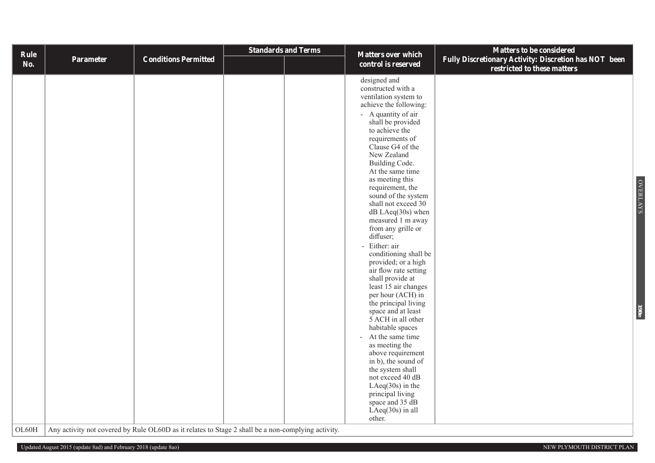| Rule       |           |                                                                                                    | <b>Standards and Terms</b> | <b>Matters over which</b>                                                                                                                                                                                                                                                                                                                                                                                                                                                                                                                                                                                                                                                                                                                                                                                                                                                                           | Matters to be considered                                                             |
|------------|-----------|----------------------------------------------------------------------------------------------------|----------------------------|-----------------------------------------------------------------------------------------------------------------------------------------------------------------------------------------------------------------------------------------------------------------------------------------------------------------------------------------------------------------------------------------------------------------------------------------------------------------------------------------------------------------------------------------------------------------------------------------------------------------------------------------------------------------------------------------------------------------------------------------------------------------------------------------------------------------------------------------------------------------------------------------------------|--------------------------------------------------------------------------------------|
| <b>No.</b> | Parameter | <b>Conditions Permitted</b>                                                                        |                            | control is reserved                                                                                                                                                                                                                                                                                                                                                                                                                                                                                                                                                                                                                                                                                                                                                                                                                                                                                 | Fully Discretionary Activity: Discretion has NOT been<br>restricted to these matters |
| OL60H      |           | Any activity not covered by Rule OL60D as it relates to Stage 2 shall be a non-complying activity. |                            | designed and<br>constructed with a<br>ventilation system to<br>achieve the following:<br>- A quantity of air<br>shall be provided<br>to achieve the<br>requirements of<br>Clause G4 of the<br>New Zealand<br>Building Code.<br>At the same time<br>as meeting this<br>requirement, the<br>sound of the system<br>shall not exceed 30<br>$dB$ LAeq $(30s)$ when<br>measured 1 m away<br>from any grille or<br>diffuser;<br>- Either: air<br>conditioning shall be<br>provided; or a high<br>air flow rate setting<br>shall provide at<br>least 15 air changes<br>per hour (ACH) in<br>the principal living<br>space and at least<br>5 ACH in all other<br>habitable spaces<br>- At the same time<br>as meeting the<br>above requirement<br>in b), the sound of<br>the system shall<br>not exceed 40 dB<br>LAeq $(30s)$ in the<br>principal living<br>space and 35 dB<br>$LAeq(30s)$ in all<br>other. | OVERLAYS<br>198 <sub>e</sub>                                                         |
|            |           |                                                                                                    |                            |                                                                                                                                                                                                                                                                                                                                                                                                                                                                                                                                                                                                                                                                                                                                                                                                                                                                                                     |                                                                                      |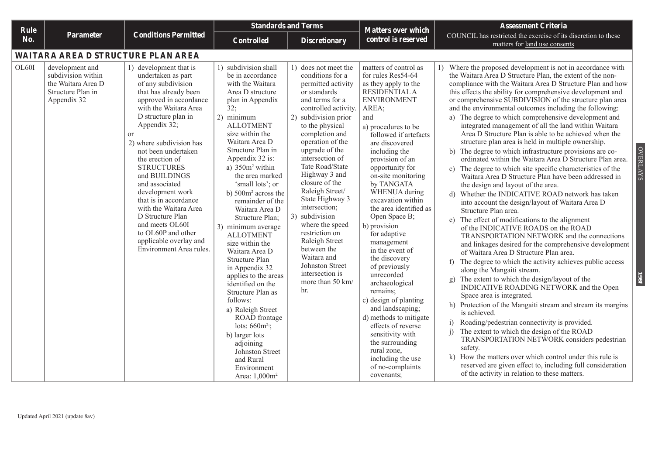| <b>Rule</b> |                                                                                                 |                                                                                                                                                                                                                                                                                                                                                                                                                                                                                                                              |                                                                                                                                                                                                                                                                                                                                                                                                                                                                                                                                                                                                                                                                                                                                                           | <b>Standards and Terms</b>                                                                                                                                                                                                                                                                                                                                                                                                                                                                                                                      | <b>Matters over which</b>                                                                                                                                                                                                                                                                                                                                                                                                                                                                                                                                                                                                                                                                                                         | <b>Assessment Criteria</b>                                                                                                                                                                                                                                                                                                                                                                                                                                                                                                                                                                                                                                                                                                                                                                                                                                                                                                                                                                                                                                                                                                                                                                                                                                                                                                                                                                                                                                                                                                                                                                                                                                                                                                                                                                                                                                                                                                                                                         |  |
|-------------|-------------------------------------------------------------------------------------------------|------------------------------------------------------------------------------------------------------------------------------------------------------------------------------------------------------------------------------------------------------------------------------------------------------------------------------------------------------------------------------------------------------------------------------------------------------------------------------------------------------------------------------|-----------------------------------------------------------------------------------------------------------------------------------------------------------------------------------------------------------------------------------------------------------------------------------------------------------------------------------------------------------------------------------------------------------------------------------------------------------------------------------------------------------------------------------------------------------------------------------------------------------------------------------------------------------------------------------------------------------------------------------------------------------|-------------------------------------------------------------------------------------------------------------------------------------------------------------------------------------------------------------------------------------------------------------------------------------------------------------------------------------------------------------------------------------------------------------------------------------------------------------------------------------------------------------------------------------------------|-----------------------------------------------------------------------------------------------------------------------------------------------------------------------------------------------------------------------------------------------------------------------------------------------------------------------------------------------------------------------------------------------------------------------------------------------------------------------------------------------------------------------------------------------------------------------------------------------------------------------------------------------------------------------------------------------------------------------------------|------------------------------------------------------------------------------------------------------------------------------------------------------------------------------------------------------------------------------------------------------------------------------------------------------------------------------------------------------------------------------------------------------------------------------------------------------------------------------------------------------------------------------------------------------------------------------------------------------------------------------------------------------------------------------------------------------------------------------------------------------------------------------------------------------------------------------------------------------------------------------------------------------------------------------------------------------------------------------------------------------------------------------------------------------------------------------------------------------------------------------------------------------------------------------------------------------------------------------------------------------------------------------------------------------------------------------------------------------------------------------------------------------------------------------------------------------------------------------------------------------------------------------------------------------------------------------------------------------------------------------------------------------------------------------------------------------------------------------------------------------------------------------------------------------------------------------------------------------------------------------------------------------------------------------------------------------------------------------------|--|
| No.         | Parameter                                                                                       | <b>Conditions Permitted</b>                                                                                                                                                                                                                                                                                                                                                                                                                                                                                                  | <b>Controlled</b>                                                                                                                                                                                                                                                                                                                                                                                                                                                                                                                                                                                                                                                                                                                                         | <b>Discretionary</b>                                                                                                                                                                                                                                                                                                                                                                                                                                                                                                                            | control is reserved                                                                                                                                                                                                                                                                                                                                                                                                                                                                                                                                                                                                                                                                                                               | COUNCIL has restricted the exercise of its discretion to these<br>matters for land use consents                                                                                                                                                                                                                                                                                                                                                                                                                                                                                                                                                                                                                                                                                                                                                                                                                                                                                                                                                                                                                                                                                                                                                                                                                                                                                                                                                                                                                                                                                                                                                                                                                                                                                                                                                                                                                                                                                    |  |
|             | WAITARA AREA D STRUCTURE PLAN AREA                                                              |                                                                                                                                                                                                                                                                                                                                                                                                                                                                                                                              |                                                                                                                                                                                                                                                                                                                                                                                                                                                                                                                                                                                                                                                                                                                                                           |                                                                                                                                                                                                                                                                                                                                                                                                                                                                                                                                                 |                                                                                                                                                                                                                                                                                                                                                                                                                                                                                                                                                                                                                                                                                                                                   |                                                                                                                                                                                                                                                                                                                                                                                                                                                                                                                                                                                                                                                                                                                                                                                                                                                                                                                                                                                                                                                                                                                                                                                                                                                                                                                                                                                                                                                                                                                                                                                                                                                                                                                                                                                                                                                                                                                                                                                    |  |
| OL60I       | development and<br>subdivision within<br>the Waitara Area D<br>Structure Plan in<br>Appendix 32 | 1) development that is<br>undertaken as part<br>of any subdivision<br>that has already been<br>approved in accordance<br>with the Waitara Area<br>D structure plan in<br>Appendix 32;<br><sub>or</sub><br>2) where subdivision has<br>not been undertaken<br>the erection of<br><b>STRUCTURES</b><br>and BUILDINGS<br>and associated<br>development work<br>that is in accordance<br>with the Waitara Area<br>D Structure Plan<br>and meets OL60I<br>to OL60P and other<br>applicable overlay and<br>Environment Area rules. | 1) subdivision shall<br>be in accordance<br>with the Waitara<br>Area D structure<br>plan in Appendix<br>32;<br>2) minimum<br><b>ALLOTMENT</b><br>size within the<br>Waitara Area D<br>Structure Plan in<br>Appendix 32 is:<br>a) $350m^2$ within<br>the area marked<br>'small lots'; or<br>b) 500m <sup>2</sup> across the<br>remainder of the<br>Waitara Area D<br>Structure Plan;<br>3) minimum average<br><b>ALLOTMENT</b><br>size within the<br>Waitara Area D<br>Structure Plan<br>in Appendix 32<br>applies to the areas<br>identified on the<br>Structure Plan as<br>follows:<br>a) Raleigh Street<br>ROAD frontage<br>lots: $660m^2$ ;<br>b) larger lots<br>adjoining<br>Johnston Street<br>and Rural<br>Environment<br>Area: 1,000m <sup>2</sup> | 1) does not meet the<br>conditions for a<br>permitted activity<br>or standards<br>and terms for a<br>controlled activity.<br>2) subdivision prior<br>to the physical<br>completion and<br>operation of the<br>upgrade of the<br>intersection of<br>Tate Road/State<br>Highway 3 and<br>closure of the<br>Raleigh Street/<br>State Highway 3<br>intersection;<br>3) subdivision<br>where the speed<br>restriction on<br>Raleigh Street<br>between the<br>Waitara and<br>Johnston Street<br>intersection is<br>more than $50 \text{ km/s}$<br>hr. | matters of control as<br>for rules Res54-64<br>as they apply to the<br>RESIDENTIAL A<br><b>ENVIRONMENT</b><br>AREA;<br>and<br>a) procedures to be<br>followed if artefacts<br>are discovered<br>including the<br>provision of an<br>opportunity for<br>on-site monitoring<br>by TANGATA<br>WHENUA during<br>excavation within<br>the area identified as<br>Open Space B;<br>b) provision<br>for adaptive<br>management<br>in the event of<br>the discovery<br>of previously<br>unrecorded<br>archaeological<br>remains;<br>c) design of planting<br>and landscaping;<br>d) methods to mitigate<br>effects of reverse<br>sensitivity with<br>the surrounding<br>rural zone,<br>including the use<br>of no-complaints<br>covenants; | 1) Where the proposed development is not in accordance with<br>the Waitara Area D Structure Plan, the extent of the non-<br>compliance with the Waitara Area D Structure Plan and how<br>this effects the ability for comprehensive development and<br>or comprehensive SUBDIVISION of the structure plan area<br>and the environmental outcomes including the following:<br>a) The degree to which comprehensive development and<br>integrated management of all the land within Waitara<br>Area D Structure Plan is able to be achieved when the<br>structure plan area is held in multiple ownership.<br><b>OVERLAYS</b><br>b) The degree to which infrastructure provisions are co-<br>ordinated within the Waitara Area D Structure Plan area.<br>c) The degree to which site specific characteristics of the<br>Waitara Area D Structure Plan have been addressed in<br>the design and layout of the area.<br>d) Whether the INDICATIVE ROAD network has taken<br>into account the design/layout of Waitara Area D<br>Structure Plan area.<br>e) The effect of modifications to the alignment<br>of the INDICATIVE ROADS on the ROAD<br>TRANSPORTATION NETWORK and the connections<br>and linkages desired for the comprehensive development<br>of Waitara Area D Structure Plan area.<br>f) The degree to which the activity achieves public access<br>along the Mangaiti stream.<br>1981<br>The extent to which the design/layout of the<br>$\mathbf{g}$ )<br>INDICATIVE ROADING NETWORK and the Open<br>Space area is integrated.<br>h) Protection of the Mangaiti stream and stream its margins<br>is achieved.<br>Roading/pedestrian connectivity is provided.<br>i)<br>The extent to which the design of the ROAD<br>$\mathbf{i}$<br>TRANSPORTATION NETWORK considers pedestrian<br>safety.<br>k) How the matters over which control under this rule is<br>reserved are given effect to, including full consideration<br>of the activity in relation to these matters. |  |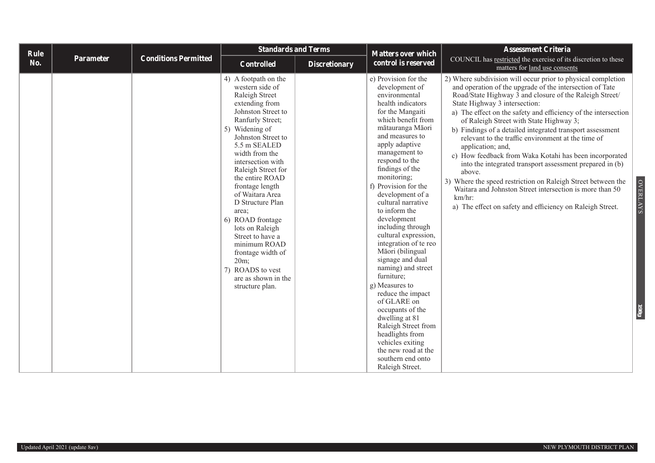| <b>Rule</b> |           |                             | <b>Standards and Terms</b>                                                                                                                                                                                                                                                                                                                                                                                                                                                                                |                      | <b>Matters over which</b>                                                                                                                                                                                                                                                                                                                                                                                                                                                                                                                                                                                                                                                                                                         | <b>Assessment Criteria</b>                                                                                                                                                                                                                                                                                                                                                                                                                                                                                                                                                                                                                                                                                                                                                                                                             |
|-------------|-----------|-----------------------------|-----------------------------------------------------------------------------------------------------------------------------------------------------------------------------------------------------------------------------------------------------------------------------------------------------------------------------------------------------------------------------------------------------------------------------------------------------------------------------------------------------------|----------------------|-----------------------------------------------------------------------------------------------------------------------------------------------------------------------------------------------------------------------------------------------------------------------------------------------------------------------------------------------------------------------------------------------------------------------------------------------------------------------------------------------------------------------------------------------------------------------------------------------------------------------------------------------------------------------------------------------------------------------------------|----------------------------------------------------------------------------------------------------------------------------------------------------------------------------------------------------------------------------------------------------------------------------------------------------------------------------------------------------------------------------------------------------------------------------------------------------------------------------------------------------------------------------------------------------------------------------------------------------------------------------------------------------------------------------------------------------------------------------------------------------------------------------------------------------------------------------------------|
| No.         | Parameter | <b>Conditions Permitted</b> | <b>Controlled</b>                                                                                                                                                                                                                                                                                                                                                                                                                                                                                         | <b>Discretionary</b> | control is reserved                                                                                                                                                                                                                                                                                                                                                                                                                                                                                                                                                                                                                                                                                                               | COUNCIL has restricted the exercise of its discretion to these<br>matters for land use consents                                                                                                                                                                                                                                                                                                                                                                                                                                                                                                                                                                                                                                                                                                                                        |
|             |           |                             | 4) A footpath on the<br>western side of<br>Raleigh Street<br>extending from<br>Johnston Street to<br>Ranfurly Street;<br>5) Widening of<br>Johnston Street to<br>5.5 m SEALED<br>width from the<br>intersection with<br>Raleigh Street for<br>the entire ROAD<br>frontage length<br>of Waitara Area<br>D Structure Plan<br>area;<br>6) ROAD frontage<br>lots on Raleigh<br>Street to have a<br>minimum ROAD<br>frontage width of<br>$20m$ ;<br>7) ROADS to vest<br>are as shown in the<br>structure plan. |                      | e) Provision for the<br>development of<br>environmental<br>health indicators<br>for the Mangaiti<br>which benefit from<br>mātauranga Māori<br>and measures to<br>apply adaptive<br>management to<br>respond to the<br>findings of the<br>monitoring;<br>f) Provision for the<br>development of a<br>cultural narrative<br>to inform the<br>development<br>including through<br>cultural expression,<br>integration of te reo<br>Māori (bilingual<br>signage and dual<br>naming) and street<br>furniture;<br>g) Measures to<br>reduce the impact<br>of GLARE on<br>occupants of the<br>dwelling at 81<br>Raleigh Street from<br>headlights from<br>vehicles exiting<br>the new road at the<br>southern end onto<br>Raleigh Street. | 2) Where subdivision will occur prior to physical completion<br>and operation of the upgrade of the intersection of Tate<br>Road/State Highway 3 and closure of the Raleigh Street/<br>State Highway 3 intersection:<br>a) The effect on the safety and efficiency of the intersection<br>of Raleigh Street with State Highway 3;<br>b) Findings of a detailed integrated transport assessment<br>relevant to the traffic environment at the time of<br>application; and,<br>c) How feedback from Waka Kotahi has been incorporated<br>into the integrated transport assessment prepared in (b)<br>above.<br>3) Where the speed restriction on Raleigh Street between the<br><b>OVERLAYS</b><br>Waitara and Johnston Street intersection is more than 50<br>km/hr<br>a) The effect on safety and efficiency on Raleigh Street.<br>198g |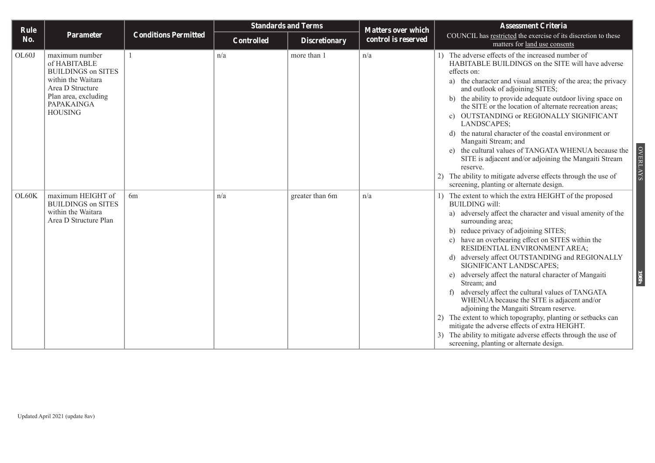| Rule  |                                                                                                                                                               |                             | <b>Standards and Terms</b> |                      | <b>Matters over which</b> | <b>Assessment Criteria</b>                                                                                                                                                                                                                                                                                                                                                                                                                                                                                                                                                                                                                                                                                                                                                                                                                  |
|-------|---------------------------------------------------------------------------------------------------------------------------------------------------------------|-----------------------------|----------------------------|----------------------|---------------------------|---------------------------------------------------------------------------------------------------------------------------------------------------------------------------------------------------------------------------------------------------------------------------------------------------------------------------------------------------------------------------------------------------------------------------------------------------------------------------------------------------------------------------------------------------------------------------------------------------------------------------------------------------------------------------------------------------------------------------------------------------------------------------------------------------------------------------------------------|
| No.   | Parameter                                                                                                                                                     | <b>Conditions Permitted</b> | Controlled                 | <b>Discretionary</b> | control is reserved       | COUNCIL has restricted the exercise of its discretion to these<br>matters for land use consents                                                                                                                                                                                                                                                                                                                                                                                                                                                                                                                                                                                                                                                                                                                                             |
| OL60J | maximum number<br>of HABITABLE<br><b>BUILDINGS on SITES</b><br>within the Waitara<br>Area D Structure<br>Plan area, excluding<br>PAPAKAINGA<br><b>HOUSING</b> |                             | n/a                        | more than 1          | n/a                       | 1) The adverse effects of the increased number of<br>HABITABLE BUILDINGS on the SITE will have adverse<br>effects on:<br>a) the character and visual amenity of the area; the privacy<br>and outlook of adjoining SITES;<br>b) the ability to provide adequate outdoor living space on<br>the SITE or the location of alternate recreation areas;<br>c) OUTSTANDING or REGIONALLY SIGNIFICANT<br>LANDSCAPES;<br>d) the natural character of the coastal environment or<br>Mangaiti Stream; and<br><b>OVERLAYS</b><br>e) the cultural values of TANGATA WHENUA because the<br>SITE is adjacent and/or adjoining the Mangaiti Stream<br>reserve.<br>2) The ability to mitigate adverse effects through the use of<br>screening, planting or alternate design.                                                                                 |
| OL60K | maximum HEIGHT of<br><b>BUILDINGS on SITES</b><br>within the Waitara<br>Area D Structure Plan                                                                 | 6 <sub>m</sub>              | n/a                        | greater than 6m      | n/a                       | 1) The extent to which the extra HEIGHT of the proposed<br><b>BUILDING</b> will:<br>a) adversely affect the character and visual amenity of the<br>surrounding area;<br>b) reduce privacy of adjoining SITES;<br>c) have an overbearing effect on SITES within the<br>RESIDENTIAL ENVIRONMENT AREA;<br>d) adversely affect OUTSTANDING and REGIONALLY<br>SIGNIFICANT LANDSCAPES;<br>adversely affect the natural character of Mangaiti<br>198 <sub>h</sub><br>Stream; and<br>adversely affect the cultural values of TANGATA<br>WHENUA because the SITE is adjacent and/or<br>adjoining the Mangaiti Stream reserve.<br>The extent to which topography, planting or setbacks can<br>mitigate the adverse effects of extra HEIGHT.<br>The ability to mitigate adverse effects through the use of<br>screening, planting or alternate design. |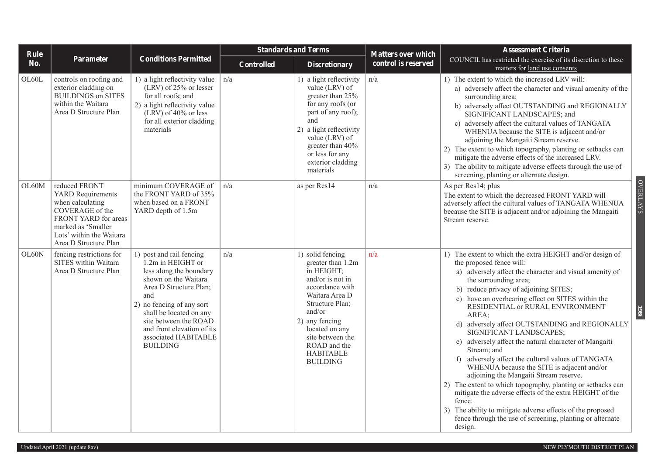| Rule  |                                                                                                                                                                                     |                                                                                                                                                                                                                                                                                             | <b>Standards and Terms</b> |                                                                                                                                                                                                                                                          | <b>Matters over which</b> | <b>Assessment Criteria</b>                                                                                                                                                                                                                                                                                                                                                                                                                                                                                                                                                                                                                                                                                                                                                                                                                                                                                 |
|-------|-------------------------------------------------------------------------------------------------------------------------------------------------------------------------------------|---------------------------------------------------------------------------------------------------------------------------------------------------------------------------------------------------------------------------------------------------------------------------------------------|----------------------------|----------------------------------------------------------------------------------------------------------------------------------------------------------------------------------------------------------------------------------------------------------|---------------------------|------------------------------------------------------------------------------------------------------------------------------------------------------------------------------------------------------------------------------------------------------------------------------------------------------------------------------------------------------------------------------------------------------------------------------------------------------------------------------------------------------------------------------------------------------------------------------------------------------------------------------------------------------------------------------------------------------------------------------------------------------------------------------------------------------------------------------------------------------------------------------------------------------------|
| No.   | <b>Parameter</b>                                                                                                                                                                    | <b>Conditions Permitted</b>                                                                                                                                                                                                                                                                 | <b>Controlled</b>          | <b>Discretionary</b>                                                                                                                                                                                                                                     | control is reserved       | COUNCIL has restricted the exercise of its discretion to these<br>matters for land use consents                                                                                                                                                                                                                                                                                                                                                                                                                                                                                                                                                                                                                                                                                                                                                                                                            |
| OL60L | controls on roofing and<br>exterior cladding on<br><b>BUILDINGS on SITES</b><br>within the Waitara<br>Area D Structure Plan                                                         | 1) a light reflectivity value<br>(LRV) of 25% or lesser<br>for all roofs; and<br>2) a light reflectivity value<br>$(LRV)$ of 40% or less<br>for all exterior cladding<br>materials                                                                                                          | n/a                        | 1) a light reflectivity<br>value (LRV) of<br>greater than 25%<br>for any roofs (or<br>part of any roof);<br>and<br>2) a light reflectivity<br>value (LRV) of<br>greater than 40%<br>or less for any<br>exterior cladding<br>materials                    | n/a                       | 1) The extent to which the increased LRV will:<br>a) adversely affect the character and visual amenity of the<br>surrounding area;<br>b) adversely affect OUTSTANDING and REGIONALLY<br>SIGNIFICANT LANDSCAPES; and<br>c) adversely affect the cultural values of TANGATA<br>WHENUA because the SITE is adjacent and/or<br>adjoining the Mangaiti Stream reserve.<br>2) The extent to which topography, planting or setbacks can<br>mitigate the adverse effects of the increased LRV.<br>3) The ability to mitigate adverse effects through the use of<br>screening, planting or alternate design.                                                                                                                                                                                                                                                                                                        |
| OL60M | reduced FRONT<br><b>YARD</b> Requirements<br>when calculating<br>COVERAGE of the<br>FRONT YARD for areas<br>marked as 'Smaller<br>Lots' within the Waitara<br>Area D Structure Plan | minimum COVERAGE of<br>the FRONT YARD of 35%<br>when based on a FRONT<br>YARD depth of 1.5m                                                                                                                                                                                                 | n/a                        | as per Res14                                                                                                                                                                                                                                             | n/a                       | <b>OVERLAYS</b><br>As per Res14; plus<br>The extent to which the decreased FRONT YARD will<br>adversely affect the cultural values of TANGATA WHENUA<br>because the SITE is adjacent and/or adjoining the Mangaiti<br>Stream reserve.                                                                                                                                                                                                                                                                                                                                                                                                                                                                                                                                                                                                                                                                      |
| OL60N | fencing restrictions for<br>SITES within Waitara<br>Area D Structure Plan                                                                                                           | 1) post and rail fencing<br>1.2m in HEIGHT or<br>less along the boundary<br>shown on the Waitara<br>Area D Structure Plan;<br>and<br>2) no fencing of any sort<br>shall be located on any<br>site between the ROAD<br>and front elevation of its<br>associated HABITABLE<br><b>BUILDING</b> | n/a                        | 1) solid fencing<br>greater than 1.2m<br>in HEIGHT;<br>and/or is not in<br>accordance with<br>Waitara Area D<br>Structure Plan:<br>and/or<br>2) any fencing<br>located on any<br>site between the<br>ROAD and the<br><b>HABITABLE</b><br><b>BUILDING</b> | n/a                       | 1) The extent to which the extra HEIGHT and/or design of<br>the proposed fence will:<br>a) adversely affect the character and visual amenity of<br>the surrounding area;<br>b) reduce privacy of adjoining SITES;<br>c) have an overbearing effect on SITES within the<br>RESIDENTIAL or RURAL ENVIRONMENT<br>198i<br>AREA:<br>d) adversely affect OUTSTANDING and REGIONALLY<br>SIGNIFICANT LANDSCAPES;<br>e) adversely affect the natural character of Mangaiti<br>Stream; and<br>adversely affect the cultural values of TANGATA<br>f<br>WHENUA because the SITE is adjacent and/or<br>adjoining the Mangaiti Stream reserve.<br>2) The extent to which topography, planting or setbacks can<br>mitigate the adverse effects of the extra HEIGHT of the<br>fence.<br>3) The ability to mitigate adverse effects of the proposed<br>fence through the use of screening, planting or alternate<br>design. |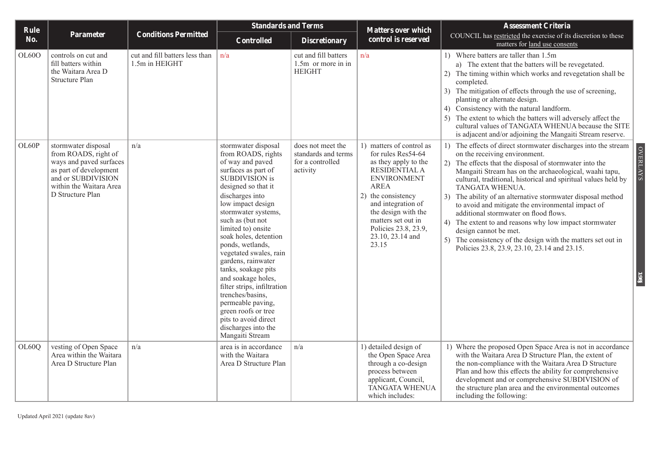| Rule  |                                                                                                                                                                       |                                                  | <b>Standards and Terms</b>                                                                                                                                                                                                                                                                                                                                                                                                                                                                                                                               |                                                                          | <b>Matters over which</b>                                                                                                                                                                                                                                                  | <b>Assessment Criteria</b>                                                                                                                                                                                                                                                                                                                                                                                                                                                                                                                                                                                                                                                                           |
|-------|-----------------------------------------------------------------------------------------------------------------------------------------------------------------------|--------------------------------------------------|----------------------------------------------------------------------------------------------------------------------------------------------------------------------------------------------------------------------------------------------------------------------------------------------------------------------------------------------------------------------------------------------------------------------------------------------------------------------------------------------------------------------------------------------------------|--------------------------------------------------------------------------|----------------------------------------------------------------------------------------------------------------------------------------------------------------------------------------------------------------------------------------------------------------------------|------------------------------------------------------------------------------------------------------------------------------------------------------------------------------------------------------------------------------------------------------------------------------------------------------------------------------------------------------------------------------------------------------------------------------------------------------------------------------------------------------------------------------------------------------------------------------------------------------------------------------------------------------------------------------------------------------|
| No.   | Parameter                                                                                                                                                             | <b>Conditions Permitted</b>                      | <b>Controlled</b>                                                                                                                                                                                                                                                                                                                                                                                                                                                                                                                                        | <b>Discretionary</b>                                                     | control is reserved                                                                                                                                                                                                                                                        | COUNCIL has restricted the exercise of its discretion to these<br>matters for land use consents                                                                                                                                                                                                                                                                                                                                                                                                                                                                                                                                                                                                      |
| OL60O | controls on cut and<br>fill batters within<br>the Waitara Area D<br>Structure Plan                                                                                    | cut and fill batters less than<br>1.5m in HEIGHT | n/a                                                                                                                                                                                                                                                                                                                                                                                                                                                                                                                                                      | cut and fill batters<br>1.5m or more in in<br><b>HEIGHT</b>              | n/a                                                                                                                                                                                                                                                                        | 1) Where batters are taller than 1.5m<br>a) The extent that the batters will be revegetated.<br>2) The timing within which works and revegetation shall be<br>completed.<br>3) The mitigation of effects through the use of screening,<br>planting or alternate design.<br>4) Consistency with the natural landform.<br>5) The extent to which the batters will adversely affect the<br>cultural values of TANGATA WHENUA because the SITE<br>is adjacent and/or adjoining the Mangaiti Stream reserve.                                                                                                                                                                                              |
| OL60P | stormwater disposal<br>from ROADS, right of<br>ways and paved surfaces<br>as part of development<br>and or SUBDIVISION<br>within the Waitara Area<br>D Structure Plan | n/a                                              | stormwater disposal<br>from ROADS, rights<br>of way and paved<br>surfaces as part of<br><b>SUBDIVISION</b> is<br>designed so that it<br>discharges into<br>low impact design<br>stormwater systems,<br>such as (but not<br>limited to) onsite<br>soak holes, detention<br>ponds, wetlands,<br>vegetated swales, rain<br>gardens, rainwater<br>tanks, soakage pits<br>and soakage holes,<br>filter strips, infiltration<br>trenches/basins,<br>permeable paving,<br>green roofs or tree<br>pits to avoid direct<br>discharges into the<br>Mangaiti Stream | does not meet the<br>standards and terms<br>for a controlled<br>activity | 1) matters of control as<br>for rules Res54-64<br>as they apply to the<br>RESIDENTIAL A<br><b>ENVIRONMENT</b><br><b>AREA</b><br>2) the consistency<br>and integration of<br>the design with the<br>matters set out in<br>Policies 23.8, 23.9,<br>23.10, 23.14 and<br>23.15 | 1) The effects of direct stormwater discharges into the stream<br><b>OVERLAYS</b><br>on the receiving environment.<br>2) The effects that the disposal of stormwater into the<br>Mangaiti Stream has on the archaeological, waahi tapu,<br>cultural, traditional, historical and spiritual values held by<br>TANGATA WHENUA.<br>3) The ability of an alternative stormwater disposal method<br>to avoid and mitigate the environmental impact of<br>additional stormwater on flood flows.<br>4) The extent to and reasons why low impact stormwater<br>design cannot be met.<br>5) The consistency of the design with the matters set out in<br>Policies 23.8, 23.9, 23.10, 23.14 and 23.15.<br>198j |
| OL60Q | vesting of Open Space<br>Area within the Waitara<br>Area D Structure Plan                                                                                             | n/a                                              | area is in accordance<br>with the Waitara<br>Area D Structure Plan                                                                                                                                                                                                                                                                                                                                                                                                                                                                                       | n/a                                                                      | 1) detailed design of<br>the Open Space Area<br>through a co-design<br>process between<br>applicant, Council,<br>TANGATA WHENUA<br>which includes:                                                                                                                         | 1) Where the proposed Open Space Area is not in accordance<br>with the Waitara Area D Structure Plan, the extent of<br>the non-compliance with the Waitara Area D Structure<br>Plan and how this effects the ability for comprehensive<br>development and or comprehensive SUBDIVISION of<br>the structure plan area and the environmental outcomes<br>including the following:                                                                                                                                                                                                                                                                                                                      |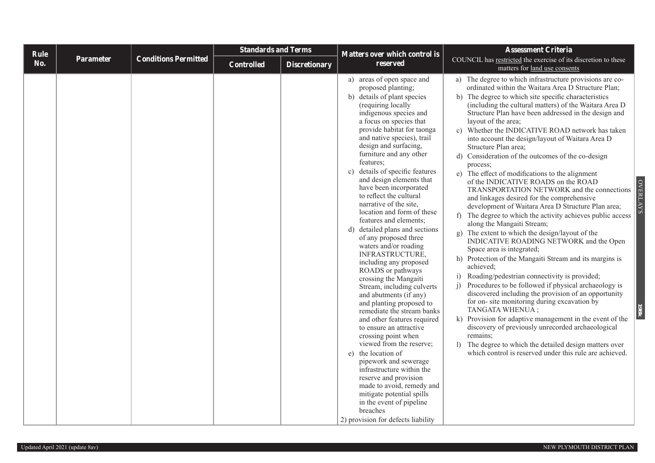| Rule |           |                             | <b>Standards and Terms</b> |                      | <b>Matters over which control is</b>                                                                                                                                                                                                                                                                                                                                                                                                                                                                                                                                                                                                                                                                                                                                                                                                                                                                                                                                                                                                                                                                                                                                    | <b>Assessment Criteria</b>                                                                                                                                                                                                                                                                                                                                                                                                                                                                                                                                                                                                                                                                                                                                                                                                                                                                                                                                                                                                                                                                                                                                                                                                                                                                                                                                                                                                                                                                                                                                                        |
|------|-----------|-----------------------------|----------------------------|----------------------|-------------------------------------------------------------------------------------------------------------------------------------------------------------------------------------------------------------------------------------------------------------------------------------------------------------------------------------------------------------------------------------------------------------------------------------------------------------------------------------------------------------------------------------------------------------------------------------------------------------------------------------------------------------------------------------------------------------------------------------------------------------------------------------------------------------------------------------------------------------------------------------------------------------------------------------------------------------------------------------------------------------------------------------------------------------------------------------------------------------------------------------------------------------------------|-----------------------------------------------------------------------------------------------------------------------------------------------------------------------------------------------------------------------------------------------------------------------------------------------------------------------------------------------------------------------------------------------------------------------------------------------------------------------------------------------------------------------------------------------------------------------------------------------------------------------------------------------------------------------------------------------------------------------------------------------------------------------------------------------------------------------------------------------------------------------------------------------------------------------------------------------------------------------------------------------------------------------------------------------------------------------------------------------------------------------------------------------------------------------------------------------------------------------------------------------------------------------------------------------------------------------------------------------------------------------------------------------------------------------------------------------------------------------------------------------------------------------------------------------------------------------------------|
| No.  | Parameter | <b>Conditions Permitted</b> | <b>Controlled</b>          | <b>Discretionary</b> | reserved                                                                                                                                                                                                                                                                                                                                                                                                                                                                                                                                                                                                                                                                                                                                                                                                                                                                                                                                                                                                                                                                                                                                                                | COUNCIL has restricted the exercise of its discretion to these<br>matters for land use consents                                                                                                                                                                                                                                                                                                                                                                                                                                                                                                                                                                                                                                                                                                                                                                                                                                                                                                                                                                                                                                                                                                                                                                                                                                                                                                                                                                                                                                                                                   |
|      |           |                             |                            |                      | a) areas of open space and<br>proposed planting;<br>b) details of plant species<br>(requiring locally<br>indigenous species and<br>a focus on species that<br>provide habitat for taonga<br>and native species), trail<br>design and surfacing,<br>furniture and any other<br>features;<br>details of specific features<br>$\mathbf{c}$ )<br>and design elements that<br>have been incorporated<br>to reflect the cultural<br>narrative of the site,<br>location and form of these<br>features and elements;<br>d) detailed plans and sections<br>of any proposed three<br>waters and/or roading<br>INFRASTRUCTURE,<br>including any proposed<br>ROADS or pathways<br>crossing the Mangaiti<br>Stream, including culverts<br>and abutments (if any)<br>and planting proposed to<br>remediate the stream banks<br>and other features required<br>to ensure an attractive<br>crossing point when<br>viewed from the reserve;<br>e) the location of<br>pipework and sewerage<br>infrastructure within the<br>reserve and provision<br>made to avoid, remedy and<br>mitigate potential spills<br>in the event of pipeline<br>breaches<br>2) provision for defects liability | a) The degree to which infrastructure provisions are co-<br>ordinated within the Waitara Area D Structure Plan;<br>b) The degree to which site specific characteristics<br>(including the cultural matters) of the Waitara Area D<br>Structure Plan have been addressed in the design and<br>layout of the area;<br>c) Whether the INDICATIVE ROAD network has taken<br>into account the design/layout of Waitara Area D<br>Structure Plan area;<br>d) Consideration of the outcomes of the co-design<br>process;<br>e) The effect of modifications to the alignment<br>of the INDICATIVE ROADS on the ROAD<br><b>OVERLAYS</b><br>TRANSPORTATION NETWORK and the connections<br>and linkages desired for the comprehensive<br>development of Waitara Area D Structure Plan area;<br>f) The degree to which the activity achieves public access<br>along the Mangaiti Stream;<br>g) The extent to which the design/layout of the<br>INDICATIVE ROADING NETWORK and the Open<br>Space area is integrated;<br>h) Protection of the Mangaiti Stream and its margins is<br>achieved;<br>Roading/pedestrian connectivity is provided;<br>i)<br>Procedures to be followed if physical archaeology is<br>i)<br>discovered including the provision of an opportunity<br>for on- site monitoring during excavation by<br>TANGATA WHENUA;<br>k) Provision for adaptive management in the event of the<br>discovery of previously unrecorded archaeological<br>remains;<br>1) The degree to which the detailed design matters over<br>which control is reserved under this rule are achieved. |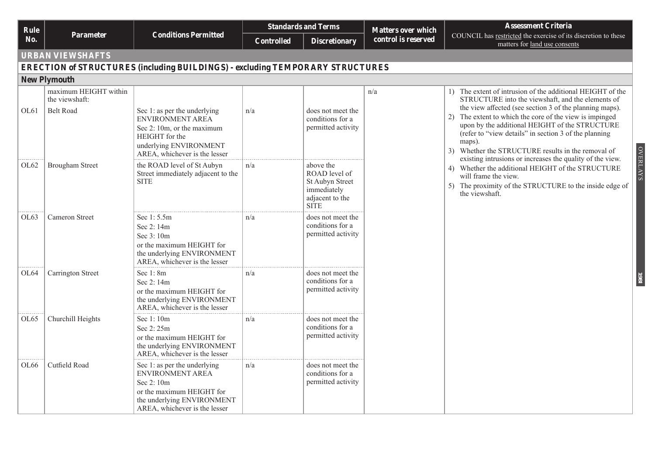|                    |                                                             |                                                                                                                                                             |                   | <b>Standards and Terms</b>                                                                            |                                                  | <b>Assessment Criteria</b>                                                                                                                                                                                                                                                                                                                                                                                             |
|--------------------|-------------------------------------------------------------|-------------------------------------------------------------------------------------------------------------------------------------------------------------|-------------------|-------------------------------------------------------------------------------------------------------|--------------------------------------------------|------------------------------------------------------------------------------------------------------------------------------------------------------------------------------------------------------------------------------------------------------------------------------------------------------------------------------------------------------------------------------------------------------------------------|
| <b>Rule</b><br>No. | <b>Parameter</b>                                            | <b>Conditions Permitted</b>                                                                                                                                 | <b>Controlled</b> | <b>Discretionary</b>                                                                                  | <b>Matters over which</b><br>control is reserved | COUNCIL has restricted the exercise of its discretion to these<br>matters for land use consents                                                                                                                                                                                                                                                                                                                        |
|                    | <b>URBAN VIEWSHAFTS</b>                                     |                                                                                                                                                             |                   |                                                                                                       |                                                  |                                                                                                                                                                                                                                                                                                                                                                                                                        |
|                    |                                                             | <b>ERECTION of STRUCTURES (including BUILDINGS) - excluding TEMPORARY STRUCTURES</b>                                                                        |                   |                                                                                                       |                                                  |                                                                                                                                                                                                                                                                                                                                                                                                                        |
|                    | <b>New Plymouth</b>                                         |                                                                                                                                                             |                   |                                                                                                       |                                                  |                                                                                                                                                                                                                                                                                                                                                                                                                        |
| OL <sub>61</sub>   | maximum HEIGHT within<br>the viewshaft:<br><b>Belt Road</b> | Sec 1: as per the underlying<br>ENVIRONMENT AREA<br>Sec 2: 10m, or the maximum<br>HEIGHT for the<br>underlying ENVIRONMENT<br>AREA, whichever is the lesser | n/a               | does not meet the<br>conditions for a<br>permitted activity                                           | n/a                                              | 1) The extent of intrusion of the additional HEIGHT of the<br>STRUCTURE into the viewshaft, and the elements of<br>the view affected (see section 3 of the planning maps).<br>The extent to which the core of the view is impinged<br>2)<br>upon by the additional HEIGHT of the STRUCTURE<br>(refer to "view details" in section 3 of the planning<br>maps).<br>Whether the STRUCTURE results in the removal of<br>3) |
| OL <sub>62</sub>   | <b>Brougham Street</b>                                      | the ROAD level of St Aubyn<br>Street immediately adjacent to the<br><b>SITE</b>                                                                             | n/a               | above the<br>ROAD level of<br><b>St Aubyn Street</b><br>immediately<br>adjacent to the<br><b>SITE</b> |                                                  | <b>OVERLAYS</b><br>existing intrusions or increases the quality of the view.<br>4) Whether the additional HEIGHT of the STRUCTURE<br>will frame the view.<br>5) The proximity of the STRUCTURE to the inside edge of<br>the viewshaft.                                                                                                                                                                                 |
| OL <sub>63</sub>   | <b>Cameron Street</b>                                       | Sec 1:5.5m<br>Sec 2:14m<br>Sec 3:10m<br>or the maximum HEIGHT for<br>the underlying ENVIRONMENT<br>AREA, whichever is the lesser                            | n/a               | does not meet the<br>conditions for a<br>permitted activity                                           |                                                  |                                                                                                                                                                                                                                                                                                                                                                                                                        |
| OL64               | Carrington Street                                           | Sec 1:8m<br>Sec 2:14m<br>or the maximum HEIGHT for<br>the underlying ENVIRONMENT<br>AREA, whichever is the lesser                                           | n/a               | does not meet the<br>conditions for a<br>permitted activity                                           |                                                  | 1981                                                                                                                                                                                                                                                                                                                                                                                                                   |
| OL <sub>65</sub>   | Churchill Heights                                           | Sec 1:10m<br>Sec 2:25m<br>or the maximum HEIGHT for<br>the underlying ENVIRONMENT<br>AREA, whichever is the lesser                                          | n/a               | does not meet the<br>conditions for a<br>permitted activity                                           |                                                  |                                                                                                                                                                                                                                                                                                                                                                                                                        |
| OL <sub>66</sub>   | Cutfield Road                                               | Sec 1: as per the underlying<br>ENVIRONMENT AREA<br>Sec 2:10m<br>or the maximum HEIGHT for<br>the underlying ENVIRONMENT<br>AREA, whichever is the lesser   | n/a               | does not meet the<br>conditions for a<br>permitted activity                                           |                                                  |                                                                                                                                                                                                                                                                                                                                                                                                                        |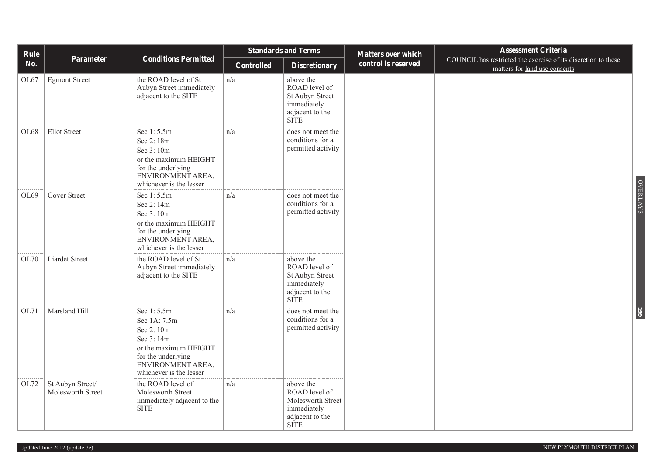| Rule       |                                       |                                                                                                                                                     | <b>Standards and Terms</b> |                                                                                                  | <b>Matters over which</b> | <b>Assessment Criteria</b>                                                                      |                 |
|------------|---------------------------------------|-----------------------------------------------------------------------------------------------------------------------------------------------------|----------------------------|--------------------------------------------------------------------------------------------------|---------------------------|-------------------------------------------------------------------------------------------------|-----------------|
| <b>No.</b> | Parameter                             | <b>Conditions Permitted</b>                                                                                                                         | Controlled                 | <b>Discretionary</b>                                                                             | control is reserved       | COUNCIL has restricted the exercise of its discretion to these<br>matters for land use consents |                 |
| OL67       | <b>Egmont Street</b>                  | the ROAD level of St<br>Aubyn Street immediately<br>adjacent to the SITE                                                                            | n/a                        | above the<br>ROAD level of<br>St Aubyn Street<br>immediately<br>adjacent to the<br><b>SITE</b>   |                           |                                                                                                 |                 |
| OL68       | <b>Eliot Street</b>                   | Sec 1:5.5m<br>Sec 2:18m<br>Sec 3:10m<br>or the maximum HEIGHT<br>for the underlying<br>ENVIRONMENT AREA,<br>whichever is the lesser                 | n/a                        | does not meet the<br>conditions for a<br>permitted activity                                      |                           |                                                                                                 |                 |
| OL69       | Gover Street                          | Sec 1:5.5m<br>Sec 2:14m<br>Sec 3:10m<br>or the maximum HEIGHT<br>for the underlying<br>ENVIRONMENT AREA,<br>whichever is the lesser                 | n/a                        | does not meet the<br>conditions for a<br>permitted activity                                      |                           |                                                                                                 | <b>OVERLAYS</b> |
| OL70       | Liardet Street                        | the ROAD level of St<br>Aubyn Street immediately<br>adjacent to the SITE                                                                            | n/a                        | above the<br>ROAD level of<br>St Aubyn Street<br>immediately<br>adjacent to the<br><b>SITE</b>   |                           |                                                                                                 |                 |
| OL71       | Marsland Hill                         | Sec 1:5.5m<br>Sec 1A: 7.5m<br>Sec 2:10m<br>Sec 3:14m<br>or the maximum HEIGHT<br>for the underlying<br>ENVIRONMENT AREA,<br>whichever is the lesser | n/a                        | does not meet the<br>conditions for a<br>permitted activity                                      |                           |                                                                                                 | 661             |
| OL72       | St Aubyn Street/<br>Molesworth Street | the ROAD level of<br>Molesworth Street<br>immediately adjacent to the<br>$\operatorname{SITE}$                                                      | n/a                        | above the<br>ROAD level of<br>Molesworth Street<br>immediately<br>adjacent to the<br><b>SITE</b> |                           |                                                                                                 |                 |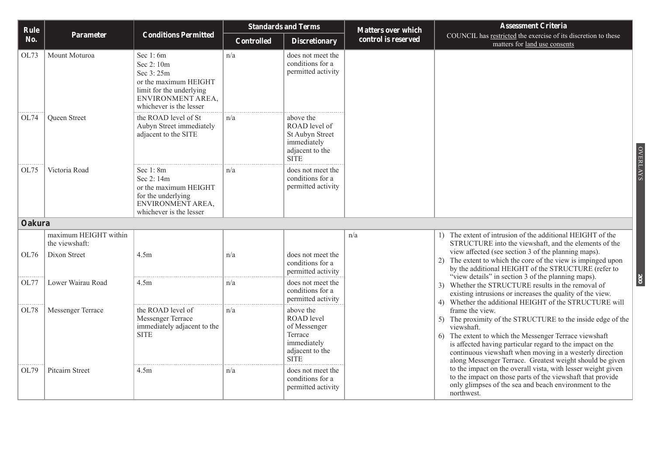| Rule   |                                                         |                                                                                                                                           | <b>Standards and Terms</b> |                                                                                                     | <b>Matters over which</b> | <b>Assessment Criteria</b>                                                                                                                                                                                                                                                                                                                                                                                                                                                                                                                                                                                                            |  |
|--------|---------------------------------------------------------|-------------------------------------------------------------------------------------------------------------------------------------------|----------------------------|-----------------------------------------------------------------------------------------------------|---------------------------|---------------------------------------------------------------------------------------------------------------------------------------------------------------------------------------------------------------------------------------------------------------------------------------------------------------------------------------------------------------------------------------------------------------------------------------------------------------------------------------------------------------------------------------------------------------------------------------------------------------------------------------|--|
| No.    | <b>Parameter</b>                                        | <b>Conditions Permitted</b>                                                                                                               | Controlled                 | <b>Discretionary</b>                                                                                | control is reserved       | COUNCIL has restricted the exercise of its discretion to these<br>matters for land use consents                                                                                                                                                                                                                                                                                                                                                                                                                                                                                                                                       |  |
| OL73   | Mount Moturoa                                           | Sec $1:6m$<br>Sec 2:10m<br>Sec 3:25m<br>or the maximum HEIGHT<br>limit for the underlying<br>ENVIRONMENT AREA.<br>whichever is the lesser | n/a                        | does not meet the<br>conditions for a<br>permitted activity                                         |                           |                                                                                                                                                                                                                                                                                                                                                                                                                                                                                                                                                                                                                                       |  |
| OL74   | <b>Oueen Street</b>                                     | the ROAD level of St<br>Aubyn Street immediately<br>adjacent to the SITE                                                                  | n/a                        | above the<br>ROAD level of<br>St Aubyn Street<br>immediately<br>adjacent to the<br><b>SITE</b>      |                           |                                                                                                                                                                                                                                                                                                                                                                                                                                                                                                                                                                                                                                       |  |
| OL75   | Victoria Road                                           | Sec $1:8m$<br>Sec 2:14m<br>or the maximum HEIGHT<br>for the underlying<br>ENVIRONMENT AREA,<br>whichever is the lesser                    | n/a                        | does not meet the<br>conditions for a<br>permitted activity                                         |                           |                                                                                                                                                                                                                                                                                                                                                                                                                                                                                                                                                                                                                                       |  |
| Oakura |                                                         |                                                                                                                                           |                            |                                                                                                     |                           |                                                                                                                                                                                                                                                                                                                                                                                                                                                                                                                                                                                                                                       |  |
| OL76   | maximum HEIGHT within<br>the viewshaft:<br>Dixon Street | 4.5m                                                                                                                                      | n/a                        | does not meet the<br>conditions for a                                                               | n/a                       | 1) The extent of intrusion of the additional HEIGHT of the<br>STRUCTURE into the viewshaft, and the elements of the<br>view affected (see section 3 of the planning maps).<br>2) The extent to which the core of the view is impinged upon                                                                                                                                                                                                                                                                                                                                                                                            |  |
| OL77   | Lower Wairau Road                                       | 4.5m                                                                                                                                      | n/a                        | permitted activity<br>does not meet the<br>conditions for a<br>permitted activity                   | 5)                        | by the additional HEIGHT of the STRUCTURE (refer to<br>"view details" in section 3 of the planning maps).<br>3) Whether the STRUCTURE results in the removal of<br>existing intrusions or increases the quality of the view.<br>4) Whether the additional HEIGHT of the STRUCTURE will<br>frame the view.<br>The proximity of the STRUCTURE to the inside edge of the<br>viewshaft.<br>The extent to which the Messenger Terrace viewshaft<br>6)<br>is affected having particular regard to the impact on the<br>continuous viewshaft when moving in a westerly direction<br>along Messenger Terrace. Greatest weight should be given |  |
| OL78   | Messenger Terrace                                       | the ROAD level of<br>Messenger Terrace<br>immediately adjacent to the<br><b>SITE</b>                                                      | n/a                        | above the<br>ROAD level<br>of Messenger<br>Terrace<br>immediately<br>adjacent to the<br><b>SITE</b> |                           |                                                                                                                                                                                                                                                                                                                                                                                                                                                                                                                                                                                                                                       |  |
| OL79   | Pitcairn Street                                         | 4.5m                                                                                                                                      | n/a                        | does not meet the<br>conditions for a<br>permitted activity                                         |                           | to the impact on the overall vista, with lesser weight given<br>to the impact on those parts of the viewshaft that provide<br>only glimpses of the sea and beach environment to the<br>northwest.                                                                                                                                                                                                                                                                                                                                                                                                                                     |  |

OVERLAYS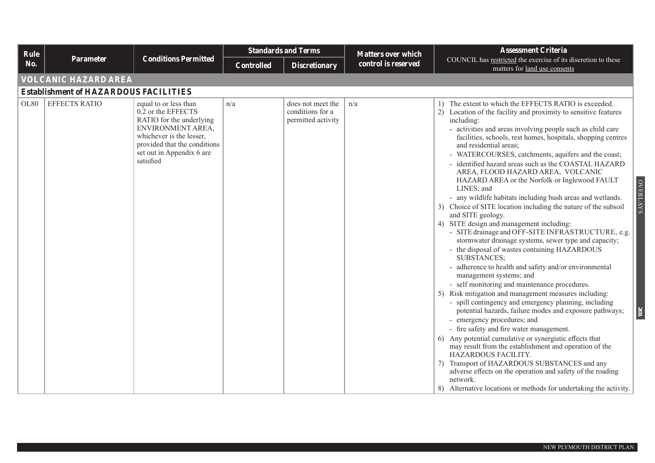| Rule             |                                              |                                                                                                                                                                                                    | <b>Standards and Terms</b> |                                                             | <b>Matters over which</b> | <b>Assessment Criteria</b>                                                                                                                                                                                                                                                                                                                                                                                                                                                                                                                                                                                                                                                                                                                                                                                                                                                                                                                                                                                                                                                                                                                                                                                                                                                                                                                                                                                                                                                                                                                                                                                                                                                       |  |  |  |  |
|------------------|----------------------------------------------|----------------------------------------------------------------------------------------------------------------------------------------------------------------------------------------------------|----------------------------|-------------------------------------------------------------|---------------------------|----------------------------------------------------------------------------------------------------------------------------------------------------------------------------------------------------------------------------------------------------------------------------------------------------------------------------------------------------------------------------------------------------------------------------------------------------------------------------------------------------------------------------------------------------------------------------------------------------------------------------------------------------------------------------------------------------------------------------------------------------------------------------------------------------------------------------------------------------------------------------------------------------------------------------------------------------------------------------------------------------------------------------------------------------------------------------------------------------------------------------------------------------------------------------------------------------------------------------------------------------------------------------------------------------------------------------------------------------------------------------------------------------------------------------------------------------------------------------------------------------------------------------------------------------------------------------------------------------------------------------------------------------------------------------------|--|--|--|--|
| No.              | <b>Parameter</b>                             | <b>Conditions Permitted</b>                                                                                                                                                                        | <b>Controlled</b>          | <b>Discretionary</b>                                        | control is reserved       | COUNCIL has restricted the exercise of its discretion to these<br>matters for land use consents                                                                                                                                                                                                                                                                                                                                                                                                                                                                                                                                                                                                                                                                                                                                                                                                                                                                                                                                                                                                                                                                                                                                                                                                                                                                                                                                                                                                                                                                                                                                                                                  |  |  |  |  |
|                  | VOLCANIC HAZARD AREA                         |                                                                                                                                                                                                    |                            |                                                             |                           |                                                                                                                                                                                                                                                                                                                                                                                                                                                                                                                                                                                                                                                                                                                                                                                                                                                                                                                                                                                                                                                                                                                                                                                                                                                                                                                                                                                                                                                                                                                                                                                                                                                                                  |  |  |  |  |
|                  | <b>Establishment of HAZARDOUS FACILITIES</b> |                                                                                                                                                                                                    |                            |                                                             |                           |                                                                                                                                                                                                                                                                                                                                                                                                                                                                                                                                                                                                                                                                                                                                                                                                                                                                                                                                                                                                                                                                                                                                                                                                                                                                                                                                                                                                                                                                                                                                                                                                                                                                                  |  |  |  |  |
| OL <sub>80</sub> | <b>EFFECTS RATIO</b>                         | equal to or less than<br>0.2 or the EFFECTS<br>RATIO for the underlying<br>ENVIRONMENT AREA,<br>whichever is the lesser,<br>provided that the conditions<br>set out in Appendix 6 are<br>satisfied | n/a                        | does not meet the<br>conditions for a<br>permitted activity | n/a                       | 1) The extent to which the EFFECTS RATIO is exceeded.<br>2) Location of the facility and proximity to sensitive features<br>including:<br>- activities and areas involving people such as child care<br>facilities, schools, rest homes, hospitals, shopping centres<br>and residential areas;<br>- WATERCOURSES, catchments, aquifers and the coast;<br>- identified hazard areas such as the COASTAL HAZARD<br>AREA, FLOOD HAZARD AREA, VOLCANIC<br>HAZARD AREA or the Norfolk or Inglewood FAULT<br><b>OVERLAYS</b><br>LINES; and<br>- any wildlife habitats including bush areas and wetlands.<br>3) Choice of SITE location including the nature of the subsoil<br>and SITE geology.<br>4) SITE design and management including:<br>- SITE drainage and OFF-SITE INFRASTRUCTURE, e.g.<br>stormwater drainage systems, sewer type and capacity;<br>- the disposal of wastes containing HAZARDOUS<br><b>SUBSTANCES;</b><br>- adherence to health and safety and/or environmental<br>management systems; and<br>- self monitoring and maintenance procedures.<br>5) Risk mitigation and management measures including:<br>- spill contingency and emergency planning, including<br>potential hazards, failure modes and exposure pathways;<br><b>201</b><br>- emergency procedures; and<br>- fire safety and fire water management.<br>6) Any potential cumulative or synergistic effects that<br>may result from the establishment and operation of the<br>HAZARDOUS FACILITY.<br>7) Transport of HAZARDOUS SUBSTANCES and any<br>adverse effects on the operation and safety of the roading<br>network.<br>8) Alternative locations or methods for undertaking the activity. |  |  |  |  |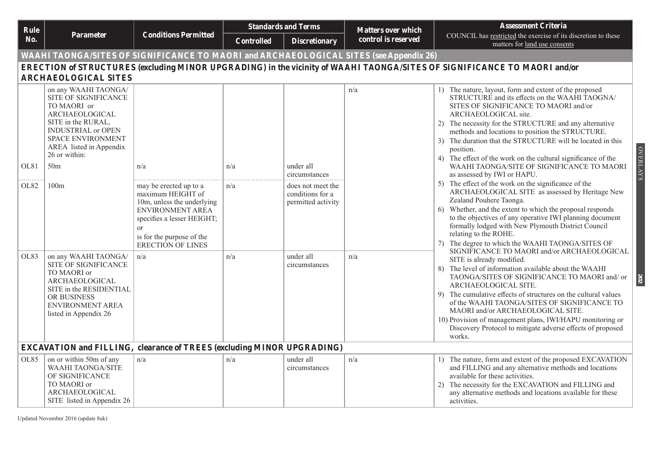| Rule |                                                                                                                                                                                                                             |                                                                                                                                                                                                       | <b>Standards and Terms</b> |                                                             | <b>Matters over which</b> | <b>Assessment Criteria</b>                                                                                                                                                                                                                                                                                                                                                                                                                                                                           |
|------|-----------------------------------------------------------------------------------------------------------------------------------------------------------------------------------------------------------------------------|-------------------------------------------------------------------------------------------------------------------------------------------------------------------------------------------------------|----------------------------|-------------------------------------------------------------|---------------------------|------------------------------------------------------------------------------------------------------------------------------------------------------------------------------------------------------------------------------------------------------------------------------------------------------------------------------------------------------------------------------------------------------------------------------------------------------------------------------------------------------|
| No.  | Parameter                                                                                                                                                                                                                   | <b>Conditions Permitted</b>                                                                                                                                                                           | Controlled                 | <b>Discretionary</b>                                        | control is reserved       | COUNCIL has restricted the exercise of its discretion to these<br>matters for land use consents                                                                                                                                                                                                                                                                                                                                                                                                      |
|      | <b>WAAHI TAONGA/SITES OF SIGNIFICANCE TO MAORI and ARCHAEOLOGICAL SITES (see Appendix 26)</b>                                                                                                                               |                                                                                                                                                                                                       |                            |                                                             |                           |                                                                                                                                                                                                                                                                                                                                                                                                                                                                                                      |
|      |                                                                                                                                                                                                                             |                                                                                                                                                                                                       |                            |                                                             |                           | ERECTION of STRUCTURES (excluding MINOR UPGRADING) in the vicinity of WAAHI TAONGA/SITES OF SIGNIFICANCE TO MAORI and/or                                                                                                                                                                                                                                                                                                                                                                             |
|      | <b>ARCHAEOLOGICAL SITES</b>                                                                                                                                                                                                 |                                                                                                                                                                                                       |                            |                                                             |                           |                                                                                                                                                                                                                                                                                                                                                                                                                                                                                                      |
| OL81 | on any WAAHI TAONGA/<br>SITE OF SIGNIFICANCE<br>TO MAORI or<br>ARCHAEOLOGICAL<br>SITE in the RURAL,<br><b>INDUSTRIAL or OPEN</b><br><b>SPACE ENVIRONMENT</b><br>AREA listed in Appendix<br>26 or within:<br>50 <sub>m</sub> | n/a                                                                                                                                                                                                   | n/a                        | under all                                                   | n/a                       | 1) The nature, layout, form and extent of the proposed<br>STRUCTURE and its effects on the WAAHI TAOGNA/<br>SITES OF SIGNIFICANCE TO MAORI and/or<br>ARCHAEOLOGICAL site.<br>2) The necessity for the STRUCTURE and any alternative<br>methods and locations to position the STRUCTURE.<br>3) The duration that the STRUCTURE will be located in this<br><b>OVERLAYS</b><br>position.<br>4) The effect of the work on the cultural significance of the<br>WAAHI TAONGA/SITE OF SIGNIFICANCE TO MAORI |
|      |                                                                                                                                                                                                                             |                                                                                                                                                                                                       |                            | circumstances                                               |                           | as assessed by IWI or HAPU.                                                                                                                                                                                                                                                                                                                                                                                                                                                                          |
| OL82 | 100m                                                                                                                                                                                                                        | may be erected up to a<br>maximum HEIGHT of<br>10m, unless the underlying<br>ENVIRONMENT AREA<br>specifies a lesser HEIGHT;<br><sub>or</sub><br>is for the purpose of the<br><b>ERECTION OF LINES</b> | n/a                        | does not meet the<br>conditions for a<br>permitted activity |                           | 5) The effect of the work on the significance of the<br>ARCHAEOLOGICAL SITE as assessed by Heritage New<br>Zealand Pouhere Taonga.<br>6) Whether, and the extent to which the proposal responds<br>to the objectives of any operative IWI planning document<br>formally lodged with New Plymouth District Council<br>relating to the ROHE.<br>7) The degree to which the WAAHI TAONGA/SITES OF<br>SIGNIFICANCE TO MAORI and/or ARCHAEOLOGICAL                                                        |
| OL83 | on any WAAHI TAONGA/<br>SITE OF SIGNIFICANCE<br>TO MAORI or<br>ARCHAEOLOGICAL<br>SITE in the RESIDENTIAL<br>OR BUSINESS<br>ENVIRONMENT AREA<br>listed in Appendix 26                                                        | n/a                                                                                                                                                                                                   | n/a                        | under all<br>circumstances                                  | n/a                       | SITE is already modified.<br>8) The level of information available about the WAAHI<br>TAONGA/SITES OF SIGNIFICANCE TO MAORI and/ or<br>ARCHAEOLOGICAL SITE.<br>9) The cumulative effects of structures on the cultural values<br>of the WAAHI TAONGA/SITES OF SIGNIFICANCE TO<br>MAORI and/or ARCHAEOLOGICAL SITE.<br>10) Provision of management plans, IWI/HAPU monitoring or<br>Discovery Protocol to mitigate adverse effects of proposed<br>works.                                              |
|      | <b>EXCAVATION and FILLING, clearance of TREES (excluding MINOR UPGRADING)</b>                                                                                                                                               |                                                                                                                                                                                                       |                            |                                                             |                           |                                                                                                                                                                                                                                                                                                                                                                                                                                                                                                      |
| OL85 | on or within 50m of any<br><b>WAAHI TAONGA/SITE</b><br>OF SIGNIFICANCE<br>TO MAORI or<br>ARCHAEOLOGICAL<br>SITE listed in Appendix 26                                                                                       | n/a                                                                                                                                                                                                   | n/a                        | under all<br>circumstances                                  | n/a                       | 1) The nature, form and extent of the proposed EXCAVATION<br>and FILLING and any alternative methods and locations<br>available for these activities.<br>The necessity for the EXCAVATION and FILLING and<br>2)<br>any alternative methods and locations available for these<br>activities.                                                                                                                                                                                                          |

Updated November 2016 (update 8ak)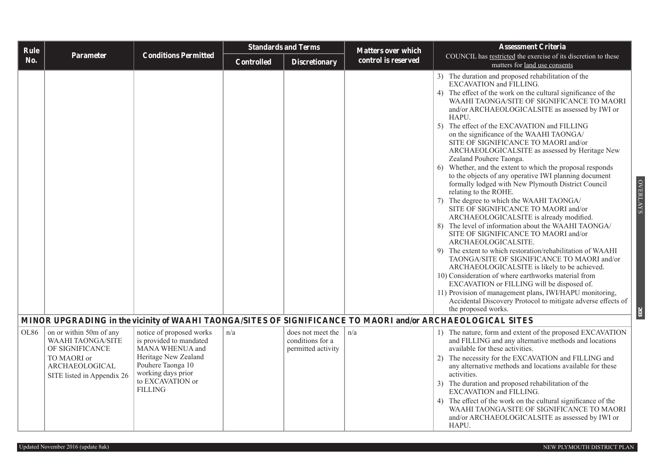| Rule |                                                                                                                                       |                                                                                                                                                                                 | <b>Standards and Terms</b> |                                                             | <b>Matters over which</b> | <b>Assessment Criteria</b>                                                                                                                                                                                                                                                                                                                                                                                                                                                                                                                                                                                                                                                                                                                                                                                                                                                                                                                                                                                                                                                                                                                                                                                                                                                                                                                                                             |  |  |
|------|---------------------------------------------------------------------------------------------------------------------------------------|---------------------------------------------------------------------------------------------------------------------------------------------------------------------------------|----------------------------|-------------------------------------------------------------|---------------------------|----------------------------------------------------------------------------------------------------------------------------------------------------------------------------------------------------------------------------------------------------------------------------------------------------------------------------------------------------------------------------------------------------------------------------------------------------------------------------------------------------------------------------------------------------------------------------------------------------------------------------------------------------------------------------------------------------------------------------------------------------------------------------------------------------------------------------------------------------------------------------------------------------------------------------------------------------------------------------------------------------------------------------------------------------------------------------------------------------------------------------------------------------------------------------------------------------------------------------------------------------------------------------------------------------------------------------------------------------------------------------------------|--|--|
| No.  | Parameter                                                                                                                             | <b>Conditions Permitted</b>                                                                                                                                                     | <b>Controlled</b>          | <b>Discretionary</b>                                        | control is reserved       | COUNCIL has restricted the exercise of its discretion to these<br>matters for land use consents                                                                                                                                                                                                                                                                                                                                                                                                                                                                                                                                                                                                                                                                                                                                                                                                                                                                                                                                                                                                                                                                                                                                                                                                                                                                                        |  |  |
|      |                                                                                                                                       |                                                                                                                                                                                 |                            |                                                             |                           | 3) The duration and proposed rehabilitation of the<br>EXCAVATION and FILLING.<br>4) The effect of the work on the cultural significance of the<br>WAAHI TAONGA/SITE OF SIGNIFICANCE TO MAORI<br>and/or ARCHAEOLOGICALSITE as assessed by IWI or<br>HAPU.<br>5) The effect of the EXCAVATION and FILLING<br>on the significance of the WAAHI TAONGA/<br>SITE OF SIGNIFICANCE TO MAORI and/or<br>ARCHAEOLOGICALSITE as assessed by Heritage New<br>Zealand Pouhere Taonga.<br>Whether, and the extent to which the proposal responds<br>6)<br>to the objects of any operative IWI planning document<br><b>OVERLAYS</b><br>formally lodged with New Plymouth District Council<br>relating to the ROHE.<br>7) The degree to which the WAAHI TAONGA/<br>SITE OF SIGNIFICANCE TO MAORI and/or<br>ARCHAEOLOGICALSITE is already modified.<br>The level of information about the WAAHI TAONGA/<br>8)<br>SITE OF SIGNIFICANCE TO MAORI and/or<br>ARCHAEOLOGICALSITE.<br>9) The extent to which restoration/rehabilitation of WAAHI<br>TAONGA/SITE OF SIGNIFICANCE TO MAORI and/or<br>ARCHAEOLOGICALSITE is likely to be achieved.<br>10) Consideration of where earthworks material from<br>EXCAVATION or FILLING will be disposed of.<br>11) Provision of management plans, IWI/HAPU monitoring,<br>Accidental Discovery Protocol to mitigate adverse effects of<br>the proposed works.<br>203 |  |  |
|      |                                                                                                                                       |                                                                                                                                                                                 |                            |                                                             |                           | MINOR UPGRADING in the vicinity of WAAHI TAONGA/SITES OF SIGNIFICANCE TO MAORI and/or ARCHAEOLOGICAL SITES                                                                                                                                                                                                                                                                                                                                                                                                                                                                                                                                                                                                                                                                                                                                                                                                                                                                                                                                                                                                                                                                                                                                                                                                                                                                             |  |  |
| OL86 | on or within 50m of any<br><b>WAAHI TAONGA/SITE</b><br>OF SIGNIFICANCE<br>TO MAORI or<br>ARCHAEOLOGICAL<br>SITE listed in Appendix 26 | notice of proposed works<br>is provided to mandated<br>MANA WHENUA and<br>Heritage New Zealand<br>Pouhere Taonga 10<br>working days prior<br>to EXCAVATION or<br><b>FILLING</b> | n/a                        | does not meet the<br>conditions for a<br>permitted activity | n/a                       | 1) The nature, form and extent of the proposed EXCAVATION<br>and FILLING and any alternative methods and locations<br>available for these activities.<br>The necessity for the EXCAVATION and FILLING and<br>2)<br>any alternative methods and locations available for these<br>activities.<br>3) The duration and proposed rehabilitation of the<br>EXCAVATION and FILLING.<br>4) The effect of the work on the cultural significance of the<br>WAAHI TAONGA/SITE OF SIGNIFICANCE TO MAORI<br>and/or ARCHAEOLOGICALSITE as assessed by IWI or<br>HAPU.                                                                                                                                                                                                                                                                                                                                                                                                                                                                                                                                                                                                                                                                                                                                                                                                                                |  |  |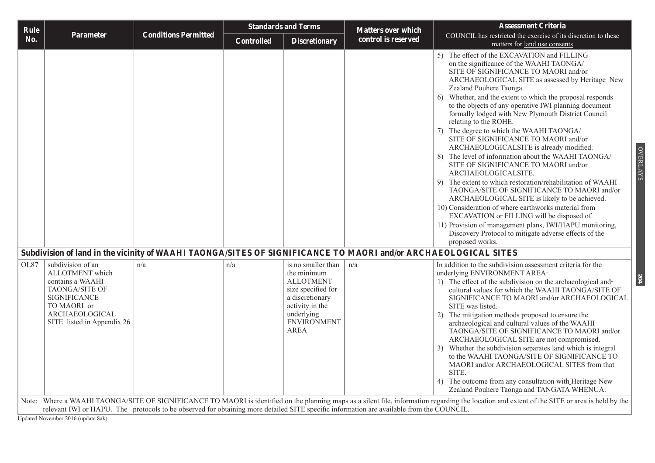Updated November 2016 (update 8ak)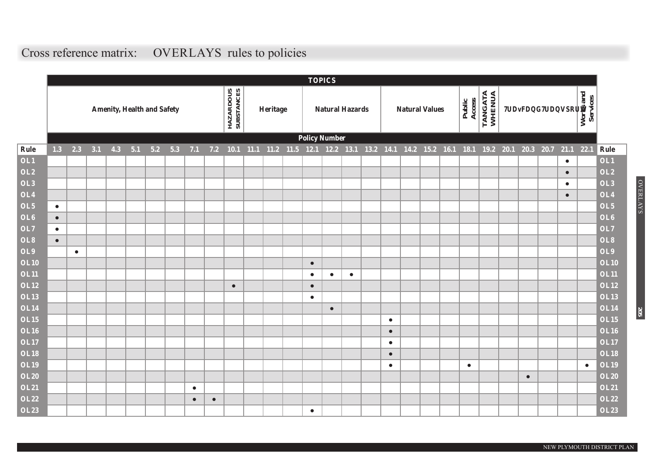# **Cross reference matrix: OVERLAYS rules to policies**

|                            |           |           |     |     |                                   |     |     |           |           |                         |          |                                    |                        | <b>TOPICS</b>          |           |           |                       |  |                  |                   |                |                              |      |           |                       |                            |
|----------------------------|-----------|-----------|-----|-----|-----------------------------------|-----|-----|-----------|-----------|-------------------------|----------|------------------------------------|------------------------|------------------------|-----------|-----------|-----------------------|--|------------------|-------------------|----------------|------------------------------|------|-----------|-----------------------|----------------------------|
|                            |           |           |     |     | <b>Amenity, Health and Safety</b> |     |     |           |           | HAZARDOUS<br>SUBSTANCES | Heritage |                                    |                        | <b>Natural Hazards</b> |           |           | <b>Natural Values</b> |  | Access<br>Public | TANGATA<br>WHENUA |                | <b>Traffic and Transport</b> |      |           | Works and<br>Services |                            |
|                            |           |           |     |     |                                   |     |     |           |           |                         |          |                                    |                        | <b>Policy Number</b>   |           |           |                       |  |                  |                   |                |                              |      |           |                       |                            |
| Rule                       | 1.3       | 2.3       | 3.1 | 4.3 | 5.1                               | 5.2 | 5.3 | 7.1       | 7.2       | 10.1                    |          | 11.1 11.2 11.5 12.1 12.2 13.1 13.2 |                        |                        |           |           | 14.1 14.2 15.2 16.1   |  | 18.1             |                   | 19.2 20.1 20.3 |                              | 20.7 | 21.1      | 22.1                  | Rule                       |
| OL1                        |           |           |     |     |                                   |     |     |           |           |                         |          |                                    |                        |                        |           |           |                       |  |                  |                   |                |                              |      | $\bullet$ |                       | OL1                        |
| <b>OL2</b>                 |           |           |     |     |                                   |     |     |           |           |                         |          |                                    |                        |                        |           |           |                       |  |                  |                   |                |                              |      | $\bullet$ |                       | OL2                        |
| OL3                        |           |           |     |     |                                   |     |     |           |           |                         |          |                                    |                        |                        |           |           |                       |  |                  |                   |                |                              |      | $\bullet$ |                       | OL3                        |
| OL4                        |           |           |     |     |                                   |     |     |           |           |                         |          |                                    |                        |                        |           |           |                       |  |                  |                   |                |                              |      | $\bullet$ |                       | OL4                        |
| OL5                        | $\bullet$ |           |     |     |                                   |     |     |           |           |                         |          |                                    |                        |                        |           |           |                       |  |                  |                   |                |                              |      |           |                       | OL5                        |
| OL <sub>6</sub>            | $\bullet$ |           |     |     |                                   |     |     |           |           |                         |          |                                    |                        |                        |           |           |                       |  |                  |                   |                |                              |      |           |                       | OL6                        |
| <b>OL7</b>                 | $\bullet$ |           |     |     |                                   |     |     |           |           |                         |          |                                    |                        |                        |           |           |                       |  |                  |                   |                |                              |      |           |                       | OL7                        |
| OL8                        | $\bullet$ |           |     |     |                                   |     |     |           |           |                         |          |                                    |                        |                        |           |           |                       |  |                  |                   |                |                              |      |           |                       | OL8                        |
| OL9                        |           | $\bullet$ |     |     |                                   |     |     |           |           |                         |          |                                    |                        |                        |           |           |                       |  |                  |                   |                |                              |      |           |                       | OL9                        |
| <b>OL10</b>                |           |           |     |     |                                   |     |     |           |           |                         |          |                                    | $\bullet$              |                        |           |           |                       |  |                  |                   |                |                              |      |           |                       | <b>OL10</b>                |
| <b>OL11</b><br><b>OL12</b> |           |           |     |     |                                   |     |     |           |           |                         |          |                                    | $\bullet$              | $\bullet$              | $\bullet$ |           |                       |  |                  |                   |                |                              |      |           |                       | <b>OL11</b><br><b>OL12</b> |
| <b>OL13</b>                |           |           |     |     |                                   |     |     |           |           | $\bullet$               |          |                                    | $\bullet$<br>$\bullet$ |                        |           |           |                       |  |                  |                   |                |                              |      |           |                       | <b>OL13</b>                |
| <b>OL14</b>                |           |           |     |     |                                   |     |     |           |           |                         |          |                                    |                        | $\bullet$              |           |           |                       |  |                  |                   |                |                              |      |           |                       | <b>OL14</b>                |
| <b>OL15</b>                |           |           |     |     |                                   |     |     |           |           |                         |          |                                    |                        |                        |           | $\bullet$ |                       |  |                  |                   |                |                              |      |           |                       | <b>OL15</b>                |
| <b>OL16</b>                |           |           |     |     |                                   |     |     |           |           |                         |          |                                    |                        |                        |           | $\bullet$ |                       |  |                  |                   |                |                              |      |           |                       | <b>OL16</b>                |
| <b>OL17</b>                |           |           |     |     |                                   |     |     |           |           |                         |          |                                    |                        |                        |           | $\bullet$ |                       |  |                  |                   |                |                              |      |           |                       | <b>OL17</b>                |
| <b>OL18</b>                |           |           |     |     |                                   |     |     |           |           |                         |          |                                    |                        |                        |           | $\bullet$ |                       |  |                  |                   |                |                              |      |           |                       | <b>OL18</b>                |
| <b>OL19</b>                |           |           |     |     |                                   |     |     |           |           |                         |          |                                    |                        |                        |           | $\bullet$ |                       |  | $\bullet$        |                   |                |                              |      |           | $\bullet$             | <b>OL19</b>                |
| <b>OL20</b>                |           |           |     |     |                                   |     |     |           |           |                         |          |                                    |                        |                        |           |           |                       |  |                  |                   |                | $\bullet$                    |      |           |                       | <b>OL20</b>                |
| <b>OL21</b>                |           |           |     |     |                                   |     |     | $\bullet$ |           |                         |          |                                    |                        |                        |           |           |                       |  |                  |                   |                |                              |      |           |                       | <b>OL21</b>                |
| <b>OL22</b>                |           |           |     |     |                                   |     |     | $\bullet$ | $\bullet$ |                         |          |                                    |                        |                        |           |           |                       |  |                  |                   |                |                              |      |           |                       | <b>OL22</b>                |
| <b>OL23</b>                |           |           |     |     |                                   |     |     |           |           |                         |          |                                    | $\bullet$              |                        |           |           |                       |  |                  |                   |                |                              |      |           |                       | <b>OL23</b>                |

OVERLAYS

**OVERLAYS**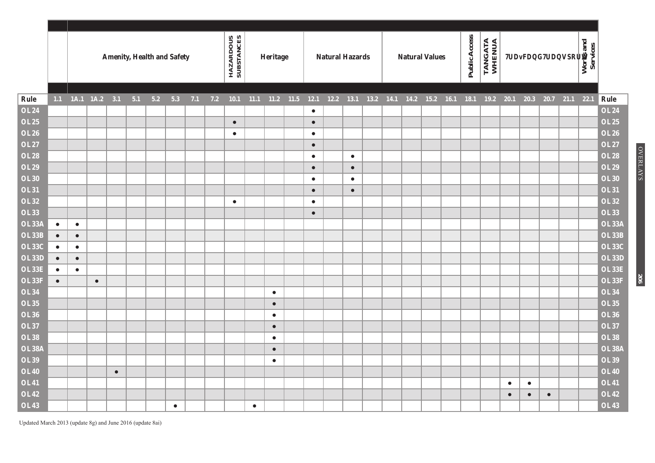|              |           |                   |           |           | <b>Amenity, Health and Safety</b> |     |           |     |     | HAZARDOUS<br>SUBSTANCES |           | Heritage  |             |           | <b>Natural Hazards</b> |           |  | <b>Natural Values</b> |      | Public Access | TANGATA<br>WHENUA |           |           | <b>Traffic and Transport</b> |             | Works and<br>Services |              |
|--------------|-----------|-------------------|-----------|-----------|-----------------------------------|-----|-----------|-----|-----|-------------------------|-----------|-----------|-------------|-----------|------------------------|-----------|--|-----------------------|------|---------------|-------------------|-----------|-----------|------------------------------|-------------|-----------------------|--------------|
| Rule         |           | 1.1 1A.1 1A.2 3.1 |           |           | 5.1                               | 5.2 | 5.3       | 7.1 | 7.2 | 10.1                    | 11.1      |           | $11.2$ 11.5 | 12.1      | $12.2$ 13.1            |           |  | 13.2 14.1 14.2 15.2   | 16.1 | 18.1          | $19.2$ 20.1       |           | 20.3      | 20.7                         | $21.1$ 22.1 |                       | Rule         |
| <b>OL24</b>  |           |                   |           |           |                                   |     |           |     |     |                         |           |           |             | $\bullet$ |                        |           |  |                       |      |               |                   |           |           |                              |             |                       | <b>OL24</b>  |
| <b>OL25</b>  |           |                   |           |           |                                   |     |           |     |     | $\bullet$               |           |           |             | $\bullet$ |                        |           |  |                       |      |               |                   |           |           |                              |             |                       | <b>OL25</b>  |
| <b>OL26</b>  |           |                   |           |           |                                   |     |           |     |     | $\bullet$               |           |           |             | $\bullet$ |                        |           |  |                       |      |               |                   |           |           |                              |             |                       | <b>OL26</b>  |
| <b>OL27</b>  |           |                   |           |           |                                   |     |           |     |     |                         |           |           |             | $\bullet$ |                        |           |  |                       |      |               |                   |           |           |                              |             |                       | <b>OL27</b>  |
| <b>OL28</b>  |           |                   |           |           |                                   |     |           |     |     |                         |           |           |             | $\bullet$ |                        | $\bullet$ |  |                       |      |               |                   |           |           |                              |             |                       | <b>OL28</b>  |
| <b>OL29</b>  |           |                   |           |           |                                   |     |           |     |     |                         |           |           |             | $\bullet$ |                        | $\bullet$ |  |                       |      |               |                   |           |           |                              |             |                       | <b>OL29</b>  |
| <b>OL30</b>  |           |                   |           |           |                                   |     |           |     |     |                         |           |           |             | $\bullet$ |                        | $\bullet$ |  |                       |      |               |                   |           |           |                              |             |                       | <b>OL30</b>  |
| <b>OL31</b>  |           |                   |           |           |                                   |     |           |     |     |                         |           |           |             | $\bullet$ |                        | $\bullet$ |  |                       |      |               |                   |           |           |                              |             |                       | <b>OL31</b>  |
| <b>OL32</b>  |           |                   |           |           |                                   |     |           |     |     | $\bullet$               |           |           |             | $\bullet$ |                        |           |  |                       |      |               |                   |           |           |                              |             |                       | <b>OL32</b>  |
| <b>OL33</b>  |           |                   |           |           |                                   |     |           |     |     |                         |           |           |             | $\bullet$ |                        |           |  |                       |      |               |                   |           |           |                              |             |                       | <b>OL33</b>  |
| <b>OL33A</b> | $\bullet$ | $\bullet$         |           |           |                                   |     |           |     |     |                         |           |           |             |           |                        |           |  |                       |      |               |                   |           |           |                              |             |                       | OL33A        |
| <b>OL33B</b> | $\bullet$ | $\bullet$         |           |           |                                   |     |           |     |     |                         |           |           |             |           |                        |           |  |                       |      |               |                   |           |           |                              |             |                       | <b>OL33B</b> |
| <b>OL33C</b> | $\bullet$ | $\bullet$         |           |           |                                   |     |           |     |     |                         |           |           |             |           |                        |           |  |                       |      |               |                   |           |           |                              |             |                       | <b>OL33C</b> |
| <b>OL33D</b> | $\bullet$ | $\bullet$         |           |           |                                   |     |           |     |     |                         |           |           |             |           |                        |           |  |                       |      |               |                   |           |           |                              |             |                       | <b>OL33D</b> |
| <b>OL33E</b> | $\bullet$ | $\bullet$         |           |           |                                   |     |           |     |     |                         |           |           |             |           |                        |           |  |                       |      |               |                   |           |           |                              |             |                       | OL33E        |
| <b>OL33F</b> | $\bullet$ |                   | $\bullet$ |           |                                   |     |           |     |     |                         |           |           |             |           |                        |           |  |                       |      |               |                   |           |           |                              |             |                       | OL33F        |
| <b>OL34</b>  |           |                   |           |           |                                   |     |           |     |     |                         |           | $\bullet$ |             |           |                        |           |  |                       |      |               |                   |           |           |                              |             |                       | <b>OL34</b>  |
| <b>OL35</b>  |           |                   |           |           |                                   |     |           |     |     |                         |           | $\bullet$ |             |           |                        |           |  |                       |      |               |                   |           |           |                              |             |                       | <b>OL35</b>  |
| <b>OL36</b>  |           |                   |           |           |                                   |     |           |     |     |                         |           | $\bullet$ |             |           |                        |           |  |                       |      |               |                   |           |           |                              |             |                       | <b>OL36</b>  |
| <b>OL37</b>  |           |                   |           |           |                                   |     |           |     |     |                         |           | $\bullet$ |             |           |                        |           |  |                       |      |               |                   |           |           |                              |             |                       | <b>OL37</b>  |
| <b>OL38</b>  |           |                   |           |           |                                   |     |           |     |     |                         |           | $\bullet$ |             |           |                        |           |  |                       |      |               |                   |           |           |                              |             |                       | <b>OL38</b>  |
| <b>OL38A</b> |           |                   |           |           |                                   |     |           |     |     |                         |           | $\bullet$ |             |           |                        |           |  |                       |      |               |                   |           |           |                              |             |                       | <b>OL38A</b> |
| <b>OL39</b>  |           |                   |           |           |                                   |     |           |     |     |                         |           | $\bullet$ |             |           |                        |           |  |                       |      |               |                   |           |           |                              |             |                       | <b>OL39</b>  |
| <b>OL40</b>  |           |                   |           | $\bullet$ |                                   |     |           |     |     |                         |           |           |             |           |                        |           |  |                       |      |               |                   |           |           |                              |             |                       | <b>OL40</b>  |
| <b>OL41</b>  |           |                   |           |           |                                   |     |           |     |     |                         |           |           |             |           |                        |           |  |                       |      |               |                   | $\bullet$ | $\bullet$ |                              |             |                       | <b>OL41</b>  |
| <b>OL42</b>  |           |                   |           |           |                                   |     |           |     |     |                         |           |           |             |           |                        |           |  |                       |      |               |                   | $\bullet$ | $\bullet$ | $\bullet$                    |             |                       | <b>OL42</b>  |
| <b>OL43</b>  |           |                   |           |           |                                   |     | $\bullet$ |     |     |                         | $\bullet$ |           |             |           |                        |           |  |                       |      |               |                   |           |           |                              |             |                       | <b>OL43</b>  |

**OVERLAYS** 

**206**

Updated March 2013 (update 8g) and June 2016 (update 8ai)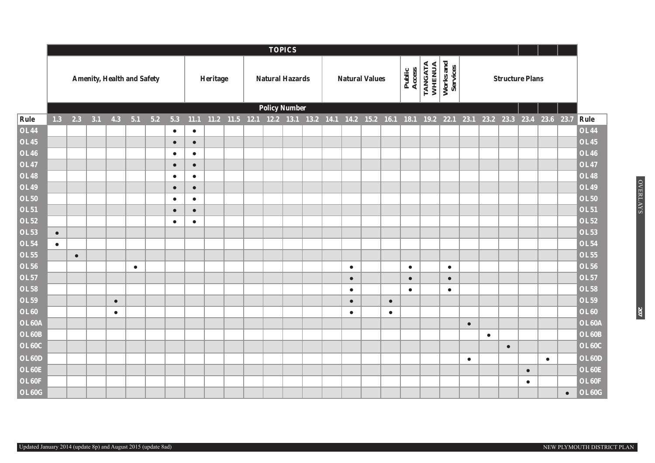|                            |           |           |                                   |           |           |       |                        |                        |          |           |  | <b>TOPICS</b>          |  |           |                       |           |                  |                   |                       |           |           |           |                        |           |           |                            |
|----------------------------|-----------|-----------|-----------------------------------|-----------|-----------|-------|------------------------|------------------------|----------|-----------|--|------------------------|--|-----------|-----------------------|-----------|------------------|-------------------|-----------------------|-----------|-----------|-----------|------------------------|-----------|-----------|----------------------------|
|                            |           |           | <b>Amenity, Health and Safety</b> |           |           |       |                        |                        | Heritage |           |  | <b>Natural Hazards</b> |  |           | <b>Natural Values</b> |           | Public<br>Access | TANGATA<br>WHENUA | Works and<br>Services |           |           |           | <b>Structure Plans</b> |           |           |                            |
|                            |           |           |                                   |           |           |       |                        |                        |          |           |  | <b>Policy Number</b>   |  |           |                       |           |                  |                   |                       |           |           |           |                        |           |           |                            |
| Rule                       | 1.3       | 2.3       | 3.1                               | 4.3       | 5.1       | $5.2$ | 5.3                    | 11.1                   | 11.2     | 11.5 12.1 |  | 12.2 13.1 13.2 14.1    |  |           | 14.2 15.2             | 16.1      | 18.1             | 19.2 22.1         |                       | 23.1      | 23.2      | 23.3      | 23.4                   | 23.6 23.7 |           | Rule                       |
| <b>OL44</b>                |           |           |                                   |           |           |       | $\bullet$              | $\bullet$              |          |           |  |                        |  |           |                       |           |                  |                   |                       |           |           |           |                        |           |           | <b>OL44</b>                |
| <b>OL45</b>                |           |           |                                   |           |           |       | $\bullet$              | $\bullet$              |          |           |  |                        |  |           |                       |           |                  |                   |                       |           |           |           |                        |           |           | <b>OL45</b>                |
| <b>OL46</b>                |           |           |                                   |           |           |       | $\bullet$              | $\bullet$              |          |           |  |                        |  |           |                       |           |                  |                   |                       |           |           |           |                        |           |           | <b>OL46</b>                |
| <b>OL47</b>                |           |           |                                   |           |           |       | $\bullet$              | $\bullet$              |          |           |  |                        |  |           |                       |           |                  |                   |                       |           |           |           |                        |           |           | <b>OL47</b>                |
| <b>OL48</b>                |           |           |                                   |           |           |       | $\bullet$              | $\bullet$              |          |           |  |                        |  |           |                       |           |                  |                   |                       |           |           |           |                        |           |           | <b>OL48</b><br><b>OL49</b> |
| <b>OL49</b><br><b>OL50</b> |           |           |                                   |           |           |       | $\bullet$              | $\bullet$              |          |           |  |                        |  |           |                       |           |                  |                   |                       |           |           |           |                        |           |           | <b>OL50</b>                |
| <b>OL51</b>                |           |           |                                   |           |           |       | $\bullet$<br>$\bullet$ | $\bullet$              |          |           |  |                        |  |           |                       |           |                  |                   |                       |           |           |           |                        |           |           | <b>OL51</b>                |
| <b>OL52</b>                |           |           |                                   |           |           |       | $\bullet$              | $\bullet$<br>$\bullet$ |          |           |  |                        |  |           |                       |           |                  |                   |                       |           |           |           |                        |           |           | <b>OL52</b>                |
| <b>OL53</b>                | $\bullet$ |           |                                   |           |           |       |                        |                        |          |           |  |                        |  |           |                       |           |                  |                   |                       |           |           |           |                        |           |           | <b>OL53</b>                |
| <b>OL54</b>                | $\bullet$ |           |                                   |           |           |       |                        |                        |          |           |  |                        |  |           |                       |           |                  |                   |                       |           |           |           |                        |           |           | <b>OL54</b>                |
| <b>OL55</b>                |           | $\bullet$ |                                   |           |           |       |                        |                        |          |           |  |                        |  |           |                       |           |                  |                   |                       |           |           |           |                        |           |           | <b>OL55</b>                |
| <b>OL56</b>                |           |           |                                   |           | $\bullet$ |       |                        |                        |          |           |  |                        |  | $\bullet$ |                       |           | $\bullet$        |                   | $\bullet$             |           |           |           |                        |           |           | <b>OL56</b>                |
| <b>OL57</b>                |           |           |                                   |           |           |       |                        |                        |          |           |  |                        |  | $\bullet$ |                       |           | $\bullet$        |                   | $\bullet$             |           |           |           |                        |           |           | <b>OL57</b>                |
| <b>OL58</b>                |           |           |                                   |           |           |       |                        |                        |          |           |  |                        |  | $\bullet$ |                       |           | $\bullet$        |                   | $\bullet$             |           |           |           |                        |           |           | <b>OL58</b>                |
| <b>OL59</b>                |           |           |                                   | $\bullet$ |           |       |                        |                        |          |           |  |                        |  | $\bullet$ |                       | $\bullet$ |                  |                   |                       |           |           |           |                        |           |           | <b>OL59</b>                |
| <b>OL60</b>                |           |           |                                   | $\bullet$ |           |       |                        |                        |          |           |  |                        |  | $\bullet$ |                       | $\bullet$ |                  |                   |                       |           |           |           |                        |           |           | <b>OL60</b>                |
| OL60A                      |           |           |                                   |           |           |       |                        |                        |          |           |  |                        |  |           |                       |           |                  |                   |                       | $\bullet$ |           |           |                        |           |           | OL60A                      |
| <b>OL60B</b>               |           |           |                                   |           |           |       |                        |                        |          |           |  |                        |  |           |                       |           |                  |                   |                       |           | $\bullet$ |           |                        |           |           | OL60B                      |
| <b>OL60C</b>               |           |           |                                   |           |           |       |                        |                        |          |           |  |                        |  |           |                       |           |                  |                   |                       |           |           | $\bullet$ |                        |           |           | OL60C                      |
| <b>OL60D</b>               |           |           |                                   |           |           |       |                        |                        |          |           |  |                        |  |           |                       |           |                  |                   |                       | $\bullet$ |           |           |                        | $\bullet$ |           | OL60D                      |
| OL60E                      |           |           |                                   |           |           |       |                        |                        |          |           |  |                        |  |           |                       |           |                  |                   |                       |           |           |           | $\bullet$              |           |           | OL60E                      |
| OL60F                      |           |           |                                   |           |           |       |                        |                        |          |           |  |                        |  |           |                       |           |                  |                   |                       |           |           |           | $\bullet$              |           |           | OL60F                      |
| OL60G                      |           |           |                                   |           |           |       |                        |                        |          |           |  |                        |  |           |                       |           |                  |                   |                       |           |           |           |                        |           | $\bullet$ | OL60G                      |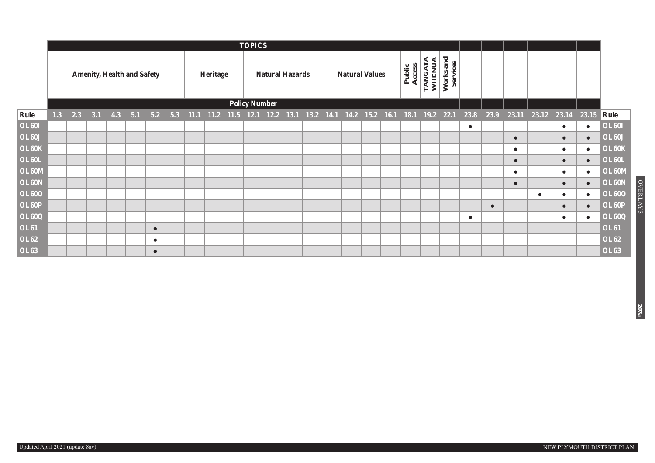|              |     |     |                                   |           |     |                                                                       |          | <b>TOPICS</b>        |                        |  |  |                       |                  |                                  |                              |           |           |           |                   |           |              |
|--------------|-----|-----|-----------------------------------|-----------|-----|-----------------------------------------------------------------------|----------|----------------------|------------------------|--|--|-----------------------|------------------|----------------------------------|------------------------------|-----------|-----------|-----------|-------------------|-----------|--------------|
|              |     |     | <b>Amenity, Health and Safety</b> |           |     |                                                                       | Heritage |                      | <b>Natural Hazards</b> |  |  | <b>Natural Values</b> | Public<br>Access | É<br><b>WHENUA</b><br>₹<br>TANG. | and<br>Works and<br>Services |           |           |           |                   |           |              |
|              |     |     |                                   |           |     |                                                                       |          | <b>Policy Number</b> |                        |  |  |                       |                  |                                  |                              |           |           |           |                   |           |              |
| Rule         | 1.3 | 2.3 | $3.1$ 4.3 5.1                     | 5.2       | 5.3 | 11.1 11.2 11.5 12.1 12.2 13.1 13.2 14.1 14.2 15.2 16.1 18.1 19.2 22.1 |          |                      |                        |  |  |                       |                  |                                  |                              | 23.8      | 23.9      |           | 23.11 23.12 23.14 | 23.15     | Rule         |
| <b>OL60I</b> |     |     |                                   |           |     |                                                                       |          |                      |                        |  |  |                       |                  |                                  |                              | $\bullet$ |           |           | $\bullet$         | $\bullet$ | <b>OL601</b> |
| <b>OL60J</b> |     |     |                                   |           |     |                                                                       |          |                      |                        |  |  |                       |                  |                                  |                              |           |           | $\bullet$ | $\bullet$         | $\bullet$ | <b>OL60J</b> |
| OL60K        |     |     |                                   |           |     |                                                                       |          |                      |                        |  |  |                       |                  |                                  |                              |           |           | $\bullet$ | $\bullet$         | $\bullet$ | OL60K        |
| <b>OL60L</b> |     |     |                                   |           |     |                                                                       |          |                      |                        |  |  |                       |                  |                                  |                              |           |           | $\bullet$ | $\bullet$         | $\bullet$ | <b>OL60L</b> |
| OL60M        |     |     |                                   |           |     |                                                                       |          |                      |                        |  |  |                       |                  |                                  |                              |           |           | $\bullet$ | $\bullet$         | $\bullet$ | OL60M        |
| OL60N        |     |     |                                   |           |     |                                                                       |          |                      |                        |  |  |                       |                  |                                  |                              |           |           | $\bullet$ | $\bullet$         | $\bullet$ | OL60N        |
| <b>OL600</b> |     |     |                                   |           |     |                                                                       |          |                      |                        |  |  |                       |                  |                                  |                              |           |           |           |                   | $\bullet$ | <b>OL600</b> |
| OL60P        |     |     |                                   |           |     |                                                                       |          |                      |                        |  |  |                       |                  |                                  |                              |           | $\bullet$ |           |                   |           | OL60P        |
| OL60Q        |     |     |                                   |           |     |                                                                       |          |                      |                        |  |  |                       |                  |                                  |                              | $\bullet$ |           |           | $\bullet$         | $\bullet$ | <b>OL60Q</b> |
| <b>OL61</b>  |     |     |                                   | $\bullet$ |     |                                                                       |          |                      |                        |  |  |                       |                  |                                  |                              |           |           |           |                   |           | <b>OL61</b>  |
| <b>OL62</b>  |     |     |                                   | $\bullet$ |     |                                                                       |          |                      |                        |  |  |                       |                  |                                  |                              |           |           |           |                   |           | <b>OL62</b>  |
| <b>OL63</b>  |     |     |                                   | $\bullet$ |     |                                                                       |          |                      |                        |  |  |                       |                  |                                  |                              |           |           |           |                   |           | <b>OL63</b>  |

**OVERLAYS** 

**207a**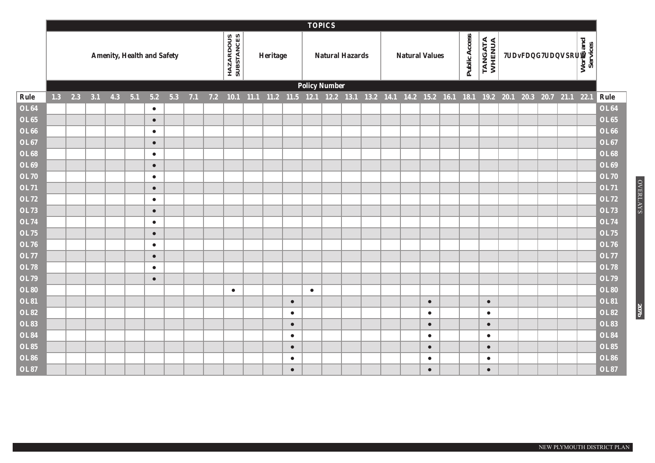|                   |           |     |                                   |     |           |     |     |     |                         |          |           | <b>TOPICS</b>        |                        |  |                       |           |               |                                                                                      |                              |  |                       |             |
|-------------------|-----------|-----|-----------------------------------|-----|-----------|-----|-----|-----|-------------------------|----------|-----------|----------------------|------------------------|--|-----------------------|-----------|---------------|--------------------------------------------------------------------------------------|------------------------------|--|-----------------------|-------------|
|                   |           |     | <b>Amenity, Health and Safety</b> |     |           |     |     |     | HAZARDOUS<br>SUBSTANCES | Heritage |           |                      | <b>Natural Hazards</b> |  | <b>Natural Values</b> |           | Public Access | TANGATA<br>WHENUA                                                                    | <b>Traffic and Transport</b> |  | Works and<br>Services |             |
|                   |           |     |                                   |     |           |     |     |     |                         |          |           | <b>Policy Number</b> |                        |  |                       |           |               |                                                                                      |                              |  |                       |             |
| Rule              | $1.3$ 2.3 | 3.1 | 4.3                               | 5.1 | 5.2       | 5.3 | 7.1 | 7.2 | $10.1$ 11.1             |          |           |                      |                        |  |                       |           |               | 11.2 11.5 12.1 12.2 13.1 13.2 14.1 14.2 15.2 16.1 18.1 19.2 20.1 20.3 20.7 21.1 22.1 |                              |  |                       | Rule        |
| <b>OL64</b>       |           |     |                                   |     | $\bullet$ |     |     |     |                         |          |           |                      |                        |  |                       |           |               |                                                                                      |                              |  |                       | <b>OL64</b> |
| <b>OL65</b>       |           |     |                                   |     | $\bullet$ |     |     |     |                         |          |           |                      |                        |  |                       |           |               |                                                                                      |                              |  |                       | <b>OL65</b> |
| <b>OL66</b>       |           |     |                                   |     | $\bullet$ |     |     |     |                         |          |           |                      |                        |  |                       |           |               |                                                                                      |                              |  |                       | <b>OL66</b> |
| <b>OL67</b>       |           |     |                                   |     | $\bullet$ |     |     |     |                         |          |           |                      |                        |  |                       |           |               |                                                                                      |                              |  |                       | <b>OL67</b> |
| <b>OL68</b>       |           |     |                                   |     | $\bullet$ |     |     |     |                         |          |           |                      |                        |  |                       |           |               |                                                                                      |                              |  |                       | <b>OL68</b> |
| <b>OL69</b>       |           |     |                                   |     | $\bullet$ |     |     |     |                         |          |           |                      |                        |  |                       |           |               |                                                                                      |                              |  |                       | <b>OL69</b> |
| <b>OL70</b>       |           |     |                                   |     | $\bullet$ |     |     |     |                         |          |           |                      |                        |  |                       |           |               |                                                                                      |                              |  |                       | <b>OL70</b> |
| <b>OL71</b>       |           |     |                                   |     | $\bullet$ |     |     |     |                         |          |           |                      |                        |  |                       |           |               |                                                                                      |                              |  |                       | <b>OL71</b> |
| <b>OL72</b>       |           |     |                                   |     | $\bullet$ |     |     |     |                         |          |           |                      |                        |  |                       |           |               |                                                                                      |                              |  |                       | <b>OL72</b> |
| <b>OL73</b>       |           |     |                                   |     | $\bullet$ |     |     |     |                         |          |           |                      |                        |  |                       |           |               |                                                                                      |                              |  |                       | <b>OL73</b> |
| <b>OL74</b>       |           |     |                                   |     | $\bullet$ |     |     |     |                         |          |           |                      |                        |  |                       |           |               |                                                                                      |                              |  |                       | <b>OL74</b> |
| <b>OL75</b>       |           |     |                                   |     | $\bullet$ |     |     |     |                         |          |           |                      |                        |  |                       |           |               |                                                                                      |                              |  |                       | <b>OL75</b> |
| <b>OL76</b>       |           |     |                                   |     | $\bullet$ |     |     |     |                         |          |           |                      |                        |  |                       |           |               |                                                                                      |                              |  |                       | <b>OL76</b> |
| <b>OL77</b>       |           |     |                                   |     | $\bullet$ |     |     |     |                         |          |           |                      |                        |  |                       |           |               |                                                                                      |                              |  |                       | <b>OL77</b> |
| <b>OL78</b>       |           |     |                                   |     | $\bullet$ |     |     |     |                         |          |           |                      |                        |  |                       |           |               |                                                                                      |                              |  |                       | <b>OL78</b> |
| <b>OL79</b>       |           |     |                                   |     | $\bullet$ |     |     |     |                         |          |           |                      |                        |  |                       |           |               |                                                                                      |                              |  |                       | <b>OL79</b> |
| <b>OL80</b>       |           |     |                                   |     |           |     |     |     | $\bullet$               |          |           | $\bullet$            |                        |  |                       |           |               |                                                                                      |                              |  |                       | <b>OL80</b> |
| <b>OL81</b>       |           |     |                                   |     |           |     |     |     |                         |          | $\bullet$ |                      |                        |  |                       | $\bullet$ |               | $\bullet$                                                                            |                              |  |                       | <b>OL81</b> |
| <b>OL82</b>       |           |     |                                   |     |           |     |     |     |                         |          | $\bullet$ |                      |                        |  |                       | $\bullet$ |               | $\bullet$                                                                            |                              |  |                       | <b>OL82</b> |
| $\overline{OL83}$ |           |     |                                   |     |           |     |     |     |                         |          | $\bullet$ |                      |                        |  |                       | $\bullet$ |               | $\bullet$                                                                            |                              |  |                       | <b>OL83</b> |
| <b>OL84</b>       |           |     |                                   |     |           |     |     |     |                         |          | $\bullet$ |                      |                        |  |                       | $\bullet$ |               | $\bullet$                                                                            |                              |  |                       | <b>OL84</b> |
| <b>OL85</b>       |           |     |                                   |     |           |     |     |     |                         |          | $\bullet$ |                      |                        |  |                       | $\bullet$ |               | $\bullet$                                                                            |                              |  |                       | <b>OL85</b> |
| <b>OL86</b>       |           |     |                                   |     |           |     |     |     |                         |          | $\bullet$ |                      |                        |  |                       | $\bullet$ |               | $\bullet$                                                                            |                              |  |                       | <b>OL86</b> |
| <b>OL87</b>       |           |     |                                   |     |           |     |     |     |                         |          | $\bullet$ |                      |                        |  |                       | $\bullet$ |               | $\bullet$                                                                            |                              |  |                       | <b>OL87</b> |

OVERLAYS

**207b**